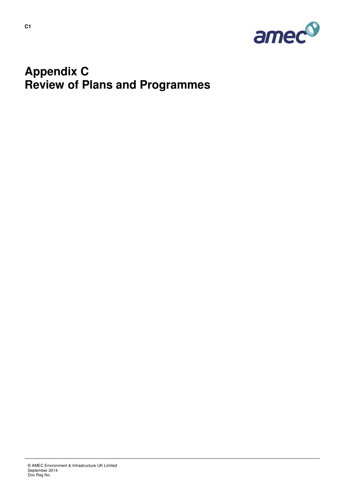

## **Appendix C Review of Plans and Programmes**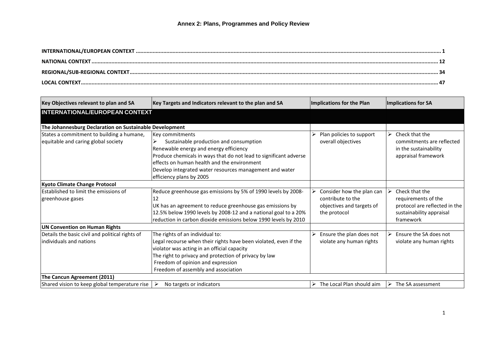<span id="page-1-0"></span>

| Key Objectives relevant to plan and SA                  | Key Targets and Indicators relevant to the plan and SA            | Implications for the Plan                  | Implications for SA                   |
|---------------------------------------------------------|-------------------------------------------------------------------|--------------------------------------------|---------------------------------------|
| <b>INTERNATIONAL/EUROPEAN CONTEXT</b>                   |                                                                   |                                            |                                       |
|                                                         |                                                                   |                                            |                                       |
| The Johannesburg Declaration on Sustainable Development |                                                                   |                                            |                                       |
| States a commitment to building a humane,               | <b>Key commitments</b>                                            | Plan policies to support                   | ↘<br>Check that the                   |
| equitable and caring global society                     | Sustainable production and consumption<br>⋗                       | overall objectives                         | commitments are reflected             |
|                                                         | Renewable energy and energy efficiency                            |                                            | in the sustainability                 |
|                                                         | Produce chemicals in ways that do not lead to significant adverse |                                            | appraisal framework                   |
|                                                         | effects on human health and the environment                       |                                            |                                       |
|                                                         | Develop integrated water resources management and water           |                                            |                                       |
|                                                         | efficiency plans by 2005                                          |                                            |                                       |
| <b>Kyoto Climate Change Protocol</b>                    |                                                                   |                                            |                                       |
| Established to limit the emissions of                   | Reduce greenhouse gas emissions by 5% of 1990 levels by 2008-     | Consider how the plan can<br>➤             | Check that the                        |
| greenhouse gases                                        | 12                                                                | contribute to the                          | requirements of the                   |
|                                                         | UK has an agreement to reduce greenhouse gas emissions by         | objectives and targets of                  | protocol are reflected in the         |
|                                                         | 12.5% below 1990 levels by 2008-12 and a national goal to a 20%   | the protocol                               | sustainability appraisal              |
|                                                         | reduction in carbon dioxide emissions below 1990 levels by 2010   |                                            | framework                             |
| <b>UN Convention on Human Rights</b>                    |                                                                   |                                            |                                       |
| Details the basic civil and political rights of         | The rights of an individual to:                                   | Ensure the plan does not<br>➤              | Ensure the SA does not                |
| lindividuals and nations                                | Legal recourse when their rights have been violated, even if the  | violate any human rights                   | violate any human rights              |
|                                                         | violator was acting in an official capacity                       |                                            |                                       |
|                                                         | The right to privacy and protection of privacy by law             |                                            |                                       |
|                                                         | Freedom of opinion and expression                                 |                                            |                                       |
|                                                         | Freedom of assembly and association                               |                                            |                                       |
| The Cancun Agreement (2011)                             |                                                                   |                                            |                                       |
| Shared vision to keep global temperature rise           | No targets or indicators<br>➤                                     | $\triangleright$ The Local Plan should aim | The SA assessment<br>$\triangleright$ |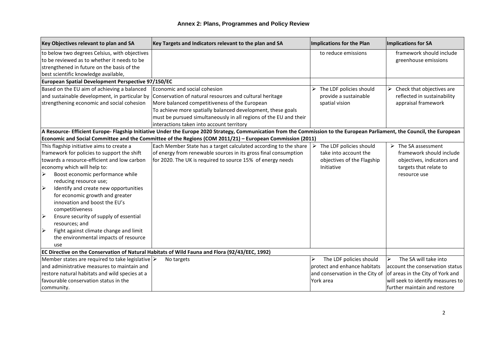| Key Objectives relevant to plan and SA                          | Key Targets and Indicators relevant to the plan and SA                                                                                                                    | <b>Implications for the Plan</b> | Implications for SA                |
|-----------------------------------------------------------------|---------------------------------------------------------------------------------------------------------------------------------------------------------------------------|----------------------------------|------------------------------------|
| to below two degrees Celsius, with objectives                   |                                                                                                                                                                           | to reduce emissions              | framework should include           |
| to be reviewed as to whether it needs to be                     |                                                                                                                                                                           |                                  | greenhouse emissions               |
| strengthened in future on the basis of the                      |                                                                                                                                                                           |                                  |                                    |
| best scientific knowledge available,                            |                                                                                                                                                                           |                                  |                                    |
| European Spatial Development Perspective 97/150/EC              |                                                                                                                                                                           |                                  |                                    |
| Based on the EU aim of achieving a balanced                     | Economic and social cohesion                                                                                                                                              | The LDF policies should          | Check that objectives are<br>➤     |
| and sustainable development, in particular by                   | Conservation of natural resources and cultural heritage                                                                                                                   | provide a sustainable            | reflected in sustainability        |
| strengthening economic and social cohesion                      | More balanced competitiveness of the European                                                                                                                             | spatial vision                   | appraisal framework                |
|                                                                 | To achieve more spatially balanced development, these goals                                                                                                               |                                  |                                    |
|                                                                 | must be pursued simultaneously in all regions of the EU and their                                                                                                         |                                  |                                    |
|                                                                 | interactions taken into account territory                                                                                                                                 |                                  |                                    |
|                                                                 | A Resource- Efficient Europe- Flagship Initiative Under the Europe 2020 Strategy, Communication from the Commission to the European Parliament, the Council, the European |                                  |                                    |
|                                                                 | Economic and Social Committee and the Committee of the Regions (COM 2011/21) - European Commission (2011)                                                                 |                                  |                                    |
| This flagship initiative aims to create a                       | Each Member State has a target calculated according to the share                                                                                                          | The LDF policies should<br>➤     | $\triangleright$ The SA assessment |
| framework for policies to support the shift                     | of energy from renewable sources in its gross final consumption                                                                                                           | take into account the            | framework should include           |
| towards a resource-efficient and low carbon                     | for 2020. The UK is required to source 15% of energy needs                                                                                                                | objectives of the Flagship       | objectives, indicators and         |
| economy which will help to:                                     |                                                                                                                                                                           | Initiative                       | targets that relate to             |
| Boost economic performance while<br>➤                           |                                                                                                                                                                           |                                  | resource use                       |
| reducing resource use;                                          |                                                                                                                                                                           |                                  |                                    |
| $\blacktriangleright$<br>Identify and create new opportunities  |                                                                                                                                                                           |                                  |                                    |
| for economic growth and greater                                 |                                                                                                                                                                           |                                  |                                    |
| innovation and boost the EU's                                   |                                                                                                                                                                           |                                  |                                    |
| competitiveness                                                 |                                                                                                                                                                           |                                  |                                    |
| $\blacktriangleright$<br>Ensure security of supply of essential |                                                                                                                                                                           |                                  |                                    |
| resources; and                                                  |                                                                                                                                                                           |                                  |                                    |
| $\blacktriangleright$<br>Fight against climate change and limit |                                                                                                                                                                           |                                  |                                    |
| the environmental impacts of resource                           |                                                                                                                                                                           |                                  |                                    |
| use                                                             |                                                                                                                                                                           |                                  |                                    |
|                                                                 | EC Directive on the Conservation of Natural Habitats of Wild Fauna and Flora (92/43/EEC, 1992)                                                                            |                                  |                                    |
| Member states are required to take legislative $\triangleright$ | No targets                                                                                                                                                                | The LDF policies should<br>≻     | The SA will take into<br>≻         |
| and administrative measures to maintain and                     |                                                                                                                                                                           | protect and enhance habitats     | account the conservation status    |
| restore natural habitats and wild species at a                  |                                                                                                                                                                           | and conservation in the City of  | of areas in the City of York and   |
| favourable conservation status in the                           |                                                                                                                                                                           | York area                        | will seek to identify measures to  |
| community.                                                      |                                                                                                                                                                           |                                  | further maintain and restore       |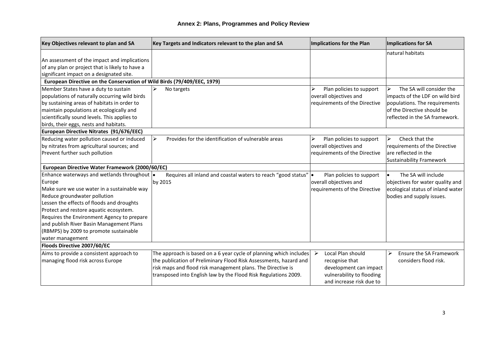| Key Objectives relevant to plan and SA                                  | Key Targets and Indicators relevant to the plan and SA                              | Implications for the Plan     | Implications for SA                     |
|-------------------------------------------------------------------------|-------------------------------------------------------------------------------------|-------------------------------|-----------------------------------------|
|                                                                         |                                                                                     |                               | natural habitats                        |
| An assessment of the impact and implications                            |                                                                                     |                               |                                         |
| of any plan or project that is likely to have a                         |                                                                                     |                               |                                         |
| significant impact on a designated site.                                |                                                                                     |                               |                                         |
| European Directive on the Conservation of Wild Birds (79/409/EEC, 1979) |                                                                                     |                               |                                         |
| Member States have a duty to sustain                                    | ➤<br>No targets                                                                     | Plan policies to support<br>↘ | The SA will consider the<br>➤           |
| populations of naturally occurring wild birds                           |                                                                                     | overall objectives and        | impacts of the LDF on wild bird         |
| by sustaining areas of habitats in order to                             |                                                                                     | requirements of the Directive | populations. The requirements           |
| maintain populations at ecologically and                                |                                                                                     |                               | of the Directive should be              |
| scientifically sound levels. This applies to                            |                                                                                     |                               | reflected in the SA framework.          |
| birds, their eggs, nests and habitats.                                  |                                                                                     |                               |                                         |
| European Directive Nitrates (91/676/EEC)                                |                                                                                     |                               |                                         |
| Reducing water pollution caused or induced                              | Provides for the identification of vulnerable areas<br>➤                            | Plan policies to support<br>↘ | Check that the<br>$\blacktriangleright$ |
| by nitrates from agricultural sources; and                              |                                                                                     | overall objectives and        | requirements of the Directive           |
| Prevent further such pollution                                          |                                                                                     | requirements of the Directive | are reflected in the                    |
|                                                                         |                                                                                     |                               | <b>Sustainability Framework</b>         |
| European Directive Water Framework (2000/60/EC)                         |                                                                                     |                               |                                         |
| Enhance waterways and wetlands throughout $\cdot$                       | Requires all inland and coastal waters to reach "good status"  .                    | Plan policies to support      | The SA will include                     |
| Europe                                                                  | by 2015                                                                             | overall objectives and        | objectives for water quality and        |
| Make sure we use water in a sustainable way                             |                                                                                     | requirements of the Directive | ecological status of inland water       |
| Reduce groundwater pollution                                            |                                                                                     |                               | bodies and supply issues.               |
| Lessen the effects of floods and droughts                               |                                                                                     |                               |                                         |
| Protect and restore aquatic ecosystem.                                  |                                                                                     |                               |                                         |
| Requires the Environment Agency to prepare                              |                                                                                     |                               |                                         |
| and publish River Basin Management Plans                                |                                                                                     |                               |                                         |
| (RBMPS) by 2009 to promote sustainable                                  |                                                                                     |                               |                                         |
| water management                                                        |                                                                                     |                               |                                         |
| Floods Directive 2007/60/EC                                             |                                                                                     |                               |                                         |
| Aims to provide a consistent approach to                                | The approach is based on a 6 year cycle of planning which includes $\triangleright$ | Local Plan should             | Ensure the SA Framework                 |
| managing flood risk across Europe                                       | the publication of Preliminary Flood Risk Assessments, hazard and                   | recognise that                | considers flood risk.                   |
|                                                                         | risk maps and flood risk management plans. The Directive is                         | development can impact        |                                         |
|                                                                         | transposed into English law by the Flood Risk Regulations 2009.                     | vulnerability to flooding     |                                         |
|                                                                         |                                                                                     | and increase risk due to      |                                         |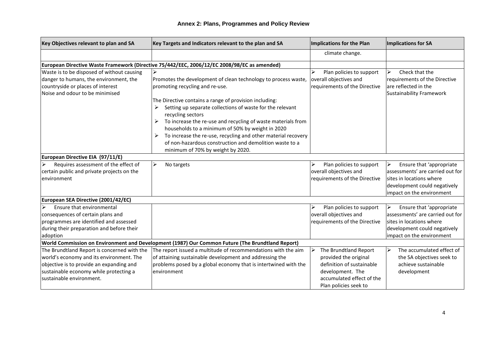| Key Objectives relevant to plan and SA                                                                                                                                                                    | Key Targets and Indicators relevant to the plan and SA                                                                                                                                                                                                                                                                                                                                                                                                                                                                                            | Implications for the Plan                                                                                                                                  | Implications for SA                                                                                                                                    |
|-----------------------------------------------------------------------------------------------------------------------------------------------------------------------------------------------------------|---------------------------------------------------------------------------------------------------------------------------------------------------------------------------------------------------------------------------------------------------------------------------------------------------------------------------------------------------------------------------------------------------------------------------------------------------------------------------------------------------------------------------------------------------|------------------------------------------------------------------------------------------------------------------------------------------------------------|--------------------------------------------------------------------------------------------------------------------------------------------------------|
|                                                                                                                                                                                                           |                                                                                                                                                                                                                                                                                                                                                                                                                                                                                                                                                   | climate change.                                                                                                                                            |                                                                                                                                                        |
|                                                                                                                                                                                                           | European Directive Waste Framework (Directive 75/442/EEC, 2006/12/EC 2008/98/EC as amended)                                                                                                                                                                                                                                                                                                                                                                                                                                                       |                                                                                                                                                            |                                                                                                                                                        |
| Waste is to be disposed of without causing<br>danger to humans, the environment, the<br>countryside or places of interest<br>Noise and odour to be minimised                                              | Promotes the development of clean technology to process waste,<br>promoting recycling and re-use.<br>The Directive contains a range of provision including:<br>Setting up separate collections of waste for the relevant<br>➤<br>recycling sectors<br>To increase the re-use and recycling of waste materials from<br>➤<br>households to a minimum of 50% by weight in 2020<br>➤<br>To increase the re-use, recycling and other material recovery<br>of non-hazardous construction and demolition waste to a<br>minimum of 70% by weight by 2020. | Plan policies to support<br>overall objectives and<br>requirements of the Directive                                                                        | Check that the<br>↘<br>requirements of the Directive<br>are reflected in the<br>Sustainability Framework                                               |
| European Directive EIA (97/11/E)                                                                                                                                                                          |                                                                                                                                                                                                                                                                                                                                                                                                                                                                                                                                                   |                                                                                                                                                            |                                                                                                                                                        |
| Requires assessment of the effect of<br>certain public and private projects on the<br>environment                                                                                                         | No targets<br>➤                                                                                                                                                                                                                                                                                                                                                                                                                                                                                                                                   | Plan policies to support<br>overall objectives and<br>requirements of the Directive                                                                        | Ensure that 'appropriate<br>assessments' are carried out for<br>sites in locations where<br>development could negatively<br>impact on the environment  |
| European SEA Directive (2001/42/EC)                                                                                                                                                                       |                                                                                                                                                                                                                                                                                                                                                                                                                                                                                                                                                   |                                                                                                                                                            |                                                                                                                                                        |
| $\blacktriangleright$<br>Ensure that environmental<br>consequences of certain plans and<br>programmes are identified and assessed<br>during their preparation and before their<br>adoption                |                                                                                                                                                                                                                                                                                                                                                                                                                                                                                                                                                   | Plan policies to support<br>overall objectives and<br>requirements of the Directive                                                                        | Ensure that 'appropriate<br>lassessments' are carried out for<br>sites in locations where<br>development could negatively<br>impact on the environment |
|                                                                                                                                                                                                           | World Commission on Environment and Development (1987) Our Common Future (The Brundtland Report)                                                                                                                                                                                                                                                                                                                                                                                                                                                  |                                                                                                                                                            |                                                                                                                                                        |
| The Brundtland Report is concerned with the<br>world's economy and its environment. The<br>objective is to provide an expanding and<br>sustainable economy while protecting a<br>sustainable environment. | The report issued a multitude of recommendations with the aim<br>of attaining sustainable development and addressing the<br>problems posed by a global economy that is intertwined with the<br>environment                                                                                                                                                                                                                                                                                                                                        | The Brundtland Report<br>➤<br>provided the original<br>definition of sustainable<br>development. The<br>accumulated effect of the<br>Plan policies seek to | The accumulated effect of<br>the SA objectives seek to<br>achieve sustainable<br>development                                                           |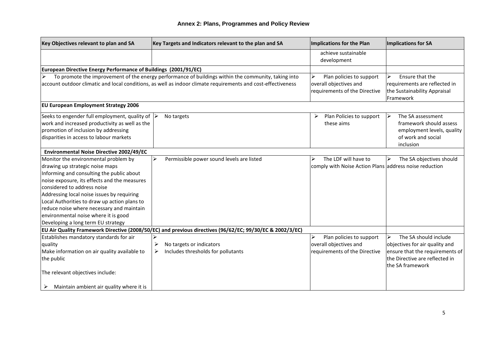| Key Objectives relevant to plan and SA                                                                                                                                                                                                                                                                                                                                                                                       | Key Targets and Indicators relevant to the plan and SA                                                                                                                                                              | Implications for the Plan                                                                | Implications for SA                                                                                                                                   |
|------------------------------------------------------------------------------------------------------------------------------------------------------------------------------------------------------------------------------------------------------------------------------------------------------------------------------------------------------------------------------------------------------------------------------|---------------------------------------------------------------------------------------------------------------------------------------------------------------------------------------------------------------------|------------------------------------------------------------------------------------------|-------------------------------------------------------------------------------------------------------------------------------------------------------|
|                                                                                                                                                                                                                                                                                                                                                                                                                              |                                                                                                                                                                                                                     | achieve sustainable<br>development                                                       |                                                                                                                                                       |
| European Directive Energy Performance of Buildings (2001/91/EC)                                                                                                                                                                                                                                                                                                                                                              |                                                                                                                                                                                                                     |                                                                                          |                                                                                                                                                       |
|                                                                                                                                                                                                                                                                                                                                                                                                                              | To promote the improvement of the energy performance of buildings within the community, taking into<br>account outdoor climatic and local conditions, as well as indoor climate requirements and cost-effectiveness | ↘<br>Plan policies to support<br>overall objectives and<br>requirements of the Directive | Ensure that the<br>$\blacktriangleright$<br>requirements are reflected in<br>the Sustainability Appraisal<br><b>Framework</b>                         |
| <b>EU European Employment Strategy 2006</b>                                                                                                                                                                                                                                                                                                                                                                                  |                                                                                                                                                                                                                     |                                                                                          |                                                                                                                                                       |
| Seeks to engender full employment, quality of $\triangleright$<br>work and increased productivity as well as the<br>promotion of inclusion by addressing<br>disparities in access to labour markets                                                                                                                                                                                                                          | No targets                                                                                                                                                                                                          | Plan Policies to support<br>➤<br>these aims                                              | The SA assessment<br>∣⋟<br>framework should assess<br>employment levels, quality<br>of work and social<br>inclusion                                   |
| Environmental Noise Directive 2002/49/EC                                                                                                                                                                                                                                                                                                                                                                                     |                                                                                                                                                                                                                     |                                                                                          |                                                                                                                                                       |
| Monitor the environmental problem by<br>drawing up strategic noise maps<br>Informing and consulting the public about<br>noise exposure, its effects and the measures<br>considered to address noise<br>Addressing local noise issues by requiring<br>Local Authorities to draw up action plans to<br>reduce noise where necessary and maintain<br>environmental noise where it is good<br>Developing a long term EU strategy | Permissible power sound levels are listed                                                                                                                                                                           | The LDF will have to<br>⋗<br>comply with Noise Action Plans address noise reduction      | The SA objectives should                                                                                                                              |
|                                                                                                                                                                                                                                                                                                                                                                                                                              | EU Air Quality Framework Directive (2008/50/EC) and previous directives (96/62/EC; 99/30/EC & 2002/3/EC)                                                                                                            |                                                                                          |                                                                                                                                                       |
| Establishes mandatory standards for air<br>quality<br>Make information on air quality available to<br>the public<br>The relevant objectives include:<br>Maintain ambient air quality where it is<br>➤                                                                                                                                                                                                                        | No targets or indicators<br>➤<br>Includes thresholds for pollutants<br>➤                                                                                                                                            | Plan policies to support<br>overall objectives and<br>requirements of the Directive      | The SA should include<br>≻<br>objectives for air quality and<br>ensure that the requirements of<br>the Directive are reflected in<br>the SA framework |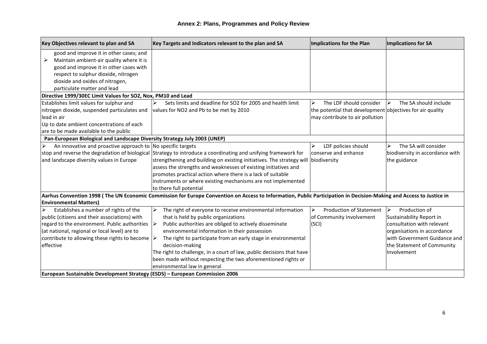| Key Objectives relevant to plan and SA                                      | Key Targets and Indicators relevant to the plan and SA                                                                                                              | Implications for the Plan                                 | Implications for SA             |
|-----------------------------------------------------------------------------|---------------------------------------------------------------------------------------------------------------------------------------------------------------------|-----------------------------------------------------------|---------------------------------|
| good and improve it in other cases; and                                     |                                                                                                                                                                     |                                                           |                                 |
| Maintain ambient-air quality where it is<br>➤                               |                                                                                                                                                                     |                                                           |                                 |
| good and improve it in other cases with                                     |                                                                                                                                                                     |                                                           |                                 |
| respect to sulphur dioxide, nitrogen                                        |                                                                                                                                                                     |                                                           |                                 |
| dioxide and oxides of nitrogen,                                             |                                                                                                                                                                     |                                                           |                                 |
| particulate matter and lead                                                 |                                                                                                                                                                     |                                                           |                                 |
| Directive 1999/30EC Limit Values for SO2, Nox, PM10 and Lead                |                                                                                                                                                                     |                                                           |                                 |
| Establishes limit values for sulphur and                                    | Sets limits and deadline for SO2 for 2005 and health limit<br>⋗                                                                                                     | The LDF should consider<br>≻                              | The SA should include<br>➤      |
| nitrogen dioxide, suspended particulates and                                | values for NO2 and Pb to be met by 2010                                                                                                                             | the potential that development objectives for air quality |                                 |
| lead in air                                                                 |                                                                                                                                                                     | may contribute to air pollution                           |                                 |
| Up to date ambient concentrations of each                                   |                                                                                                                                                                     |                                                           |                                 |
| are to be made available to the public                                      |                                                                                                                                                                     |                                                           |                                 |
| Pan-European Biological and Landscape Diversity Strategy July 2003 (UNEP)   |                                                                                                                                                                     |                                                           |                                 |
| ➤<br>An innovative and proactive approach to No specific targets            |                                                                                                                                                                     | LDF policies should                                       | The SA will consider<br>↘       |
|                                                                             | stop and reverse the degradation of biological Strategy to introduce a coordinating and unifying framework for                                                      | conserve and enhance                                      | biodiversity in accordance with |
| and landscape diversity values in Europe                                    | strengthening and building on existing initiatives. The strategy will biodiversity                                                                                  |                                                           | the guidance                    |
|                                                                             | assess the strengths and weaknesses of existing initiatives and                                                                                                     |                                                           |                                 |
|                                                                             | promotes practical action where there is a lack of suitable                                                                                                         |                                                           |                                 |
|                                                                             | instruments or where existing mechanisms are not implemented                                                                                                        |                                                           |                                 |
|                                                                             | to there full potential                                                                                                                                             |                                                           |                                 |
|                                                                             | Aarhus Convention 1998 (The UN Economic Commission for Europe Convention on Access to Information, Public Participation in Decision-Making and Access to Justice in |                                                           |                                 |
| <b>Environmental Matters)</b>                                               |                                                                                                                                                                     |                                                           |                                 |
| Establishes a number of rights of the                                       | The right of everyone to receive environmental information<br>⋗                                                                                                     | <b>Production of Statement</b><br>⋗                       | Production of<br>∣⋟             |
| public (citizens and their associations) with                               | that is held by public organizations                                                                                                                                | of Community Involvement                                  | Sustainability Report in        |
| regard to the environment. Public authorities                               | Public authorities are obliged to actively disseminate                                                                                                              | (SCI)                                                     | lconsultation with relevant     |
| (at national, regional or local level) are to                               | environmental information in their possession                                                                                                                       |                                                           | organisations in accordance     |
| contribute to allowing these rights to become $\triangleright$              | The right to participate from an early stage in environmental                                                                                                       |                                                           | with Government Guidance and    |
| effective                                                                   | decision-making                                                                                                                                                     |                                                           | the Statement of Community      |
|                                                                             | The right to challenge, in a court of law, public decisions that have                                                                                               |                                                           | Involvement                     |
|                                                                             | been made without respecting the two aforementioned rights or                                                                                                       |                                                           |                                 |
|                                                                             | environmental law in general                                                                                                                                        |                                                           |                                 |
| European Sustainable Development Strategy (ESDS) - European Commission 2006 |                                                                                                                                                                     |                                                           |                                 |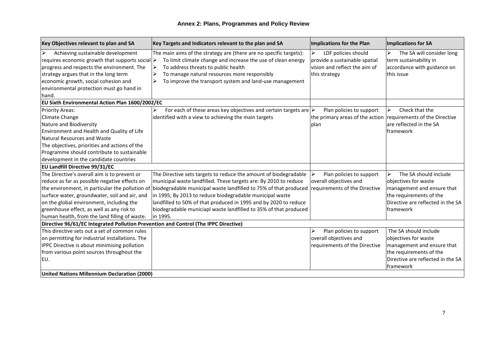| Key Objectives relevant to plan and SA                                              | Key Targets and Indicators relevant to the plan and SA                                                           | Implications for the Plan                                     | Implications for SA               |
|-------------------------------------------------------------------------------------|------------------------------------------------------------------------------------------------------------------|---------------------------------------------------------------|-----------------------------------|
| Achieving sustainable development                                                   | The main aims of the strategy are (there are no specific targets):                                               | $\blacktriangleright$<br>LDF policies should                  | ⋗<br>The SA will consider long    |
| requires economic growth that supports social $\triangleright$                      | To limit climate change and increase the use of clean energy                                                     | provide a sustainable spatial                                 | term sustainability in            |
| progress and respects the environment. The                                          | To address threats to public health<br>➤                                                                         | vision and reflect the aim of                                 | accordance with guidance on       |
| strategy argues that in the long term                                               | $\blacktriangleright$<br>To manage natural resources more responsibly                                            | this strategy                                                 | this issue                        |
| economic growth, social cohesion and                                                | To improve the transport system and land-use management<br>➤                                                     |                                                               |                                   |
| environmental protection must go hand in                                            |                                                                                                                  |                                                               |                                   |
| hand.                                                                               |                                                                                                                  |                                                               |                                   |
| EU Sixth Environmental Action Plan 1600/2002/EC                                     |                                                                                                                  |                                                               |                                   |
| <b>Priority Areas:</b>                                                              | For each of these areas key objectives and certain targets are $\triangleright$                                  | Plan policies to support                                      | Check that the<br>⋗               |
| Climate Change                                                                      | identified with a view to achieving the main targets                                                             | the primary areas of the action requirements of the Directive |                                   |
| Nature and Biodiversity                                                             |                                                                                                                  | plan                                                          | are reflected in the SA           |
| Environment and Health and Quality of Life                                          |                                                                                                                  |                                                               | <b>framework</b>                  |
| Natural Resources and Waste                                                         |                                                                                                                  |                                                               |                                   |
| The objectives, priorities and actions of the                                       |                                                                                                                  |                                                               |                                   |
| Programme should contribute to sustainable                                          |                                                                                                                  |                                                               |                                   |
| development in the candidate countries                                              |                                                                                                                  |                                                               |                                   |
| <b>EU Landfill Directive 99/31/EC</b>                                               |                                                                                                                  |                                                               |                                   |
| The Directive's overall aim is to prevent or                                        | The Directive sets targets to reduce the amount of biodegradable                                                 | $\blacktriangleright$<br>Plan policies to support             | The SA should include<br>⋗        |
| reduce as far as possible negative effects on                                       | municipal waste landfilled. These targets are: By 2010 to reduce                                                 | overall objectives and                                        | objectives for waste              |
|                                                                                     | the environment, in particular the pollution of biodegradable municipal waste landfilled to 75% of that produced | requirements of the Directive                                 | management and ensure that        |
| surface water, groundwater, soil and air, and                                       | in 1995; By 2013 to reduce biodegradable municipal waste                                                         |                                                               | the requirements of the           |
| on the global environment, including the                                            | landfilled to 50% of that produced in 1995 and by 2020 to reduce                                                 |                                                               | Directive are reflected in the SA |
| greenhouse effect, as well as any risk to                                           | biodegradable municiapl waste landfilled to 35% of that produced                                                 |                                                               | framework                         |
| human health, from the land filling of waste.                                       | in 1995.                                                                                                         |                                                               |                                   |
| Directive 96/61/EC Integrated Pollution Prevention and Control (The IPPC Directive) |                                                                                                                  |                                                               |                                   |
| This directive sets out a set of common rules                                       |                                                                                                                  | Plan policies to support<br>⋗                                 | The SA should include             |
| on permitting for industrial installations. The                                     |                                                                                                                  | overall objectives and                                        | objectives for waste              |
| IPPC Directive is about minimising pollution                                        |                                                                                                                  | requirements of the Directive                                 | management and ensure that        |
| from various point sources throughout the                                           |                                                                                                                  |                                                               | the requirements of the           |
| IEU.                                                                                |                                                                                                                  |                                                               | Directive are reflected in the SA |
|                                                                                     |                                                                                                                  |                                                               | framework                         |
| United Nations Millennium Declaration (2000)                                        |                                                                                                                  |                                                               |                                   |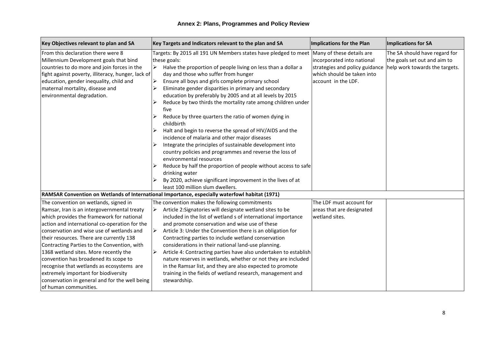| Key Objectives relevant to plan and SA                                                                                                                                                                                                                                                                                                                                                                                                                                                                                                                                       | Key Targets and Indicators relevant to the plan and SA                                                                                                                                                                                                                                                                                                                                                                                                                                                                                                                                                                                                                                                                                                                                                                                                                                                                                                                                                                      | Implications for the Plan                                                                                         | <b>Implications for SA</b>                                                                      |
|------------------------------------------------------------------------------------------------------------------------------------------------------------------------------------------------------------------------------------------------------------------------------------------------------------------------------------------------------------------------------------------------------------------------------------------------------------------------------------------------------------------------------------------------------------------------------|-----------------------------------------------------------------------------------------------------------------------------------------------------------------------------------------------------------------------------------------------------------------------------------------------------------------------------------------------------------------------------------------------------------------------------------------------------------------------------------------------------------------------------------------------------------------------------------------------------------------------------------------------------------------------------------------------------------------------------------------------------------------------------------------------------------------------------------------------------------------------------------------------------------------------------------------------------------------------------------------------------------------------------|-------------------------------------------------------------------------------------------------------------------|-------------------------------------------------------------------------------------------------|
| From this declaration there were 8<br>Millennium Development goals that bind<br>countries to do more and join forces in the<br>fight against poverty, illiteracy, hunger, lack of<br>education, gender inequality, child and<br>maternal mortality, disease and<br>environmental degradation.                                                                                                                                                                                                                                                                                | Targets: By 2015 all 191 UN Members states have pledged to meet  Many of these details are<br>these goals:<br>Halve the proportion of people living on less than a dollar a<br>day and those who suffer from hunger<br>Ensure all boys and girls complete primary school<br>➤<br>Eliminate gender disparities in primary and secondary<br>➤<br>education by preferably by 2005 and at all levels by 2015<br>Reduce by two thirds the mortality rate among children under<br>⋗<br>five<br>⋗<br>Reduce by three quarters the ratio of women dying in<br>childbirth<br>Halt and begin to reverse the spread of HIV/AIDS and the<br>incidence of malaria and other major diseases<br>⋗<br>Integrate the principles of sustainable development into<br>country policies and programmes and reverse the loss of<br>environmental resources<br>Reduce by half the proportion of people without access to safe<br>drinking water<br>By 2020, achieve significant improvement in the lives of at<br>least 100 million slum dwellers. | incorporated into national<br>strategies and policy guidance<br>which should be taken into<br>account in the LDF. | The SA should have regard for<br>the goals set out and aim to<br>help work towards the targets. |
|                                                                                                                                                                                                                                                                                                                                                                                                                                                                                                                                                                              | RAMSAR Convention on Wetlands of International Importance, especially waterfowl habitat (1971)                                                                                                                                                                                                                                                                                                                                                                                                                                                                                                                                                                                                                                                                                                                                                                                                                                                                                                                              |                                                                                                                   |                                                                                                 |
| The convention on wetlands, signed in<br>Ramsar, Iran is an intergovernmental treaty<br>which provides the framework for national<br>action and international co-operation for the<br>conservation and wise use of wetlands and<br>their resources. There are currently 138<br>Contracting Parties to the Convention, with<br>1368 wetland sites. More recently the<br>convention has broadened its scope to<br>recognise that wetlands as ecosystems are<br>extremely important for biodiversity<br>conservation in general and for the well being<br>of human communities. | The convention makes the following commitments<br>Article 2:Signatories will designate wetland sites to be<br>➤<br>included in the list of wetland s of international importance<br>and promote conservation and wise use of these<br>$\blacktriangleright$<br>Article 3: Under the Convention there is an obligation for<br>Contracting parties to include wetland conservation<br>considerations in their national land-use planning.<br>➤<br>Article 4: Contracting parties have also undertaken to establish<br>nature reserves in wetlands, whether or not they are included<br>in the Ramsar list, and they are also expected to promote<br>training in the fields of wetland research, management and<br>stewardship.                                                                                                                                                                                                                                                                                                | The LDF must account for<br>areas that are designated<br>wetland sites.                                           |                                                                                                 |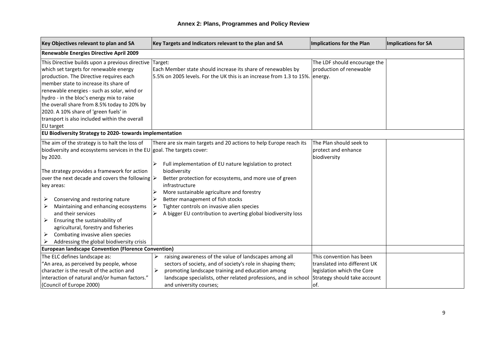| Key Objectives relevant to plan and SA                                                                                                                                                                                                                                                                                                                                                                                                                                                                                                                     | Key Targets and Indicators relevant to the plan and SA                                                                                                                                                                                                                                                                                                                                                                                              | Implications for the Plan                                                                                                     | <b>Implications for SA</b> |
|------------------------------------------------------------------------------------------------------------------------------------------------------------------------------------------------------------------------------------------------------------------------------------------------------------------------------------------------------------------------------------------------------------------------------------------------------------------------------------------------------------------------------------------------------------|-----------------------------------------------------------------------------------------------------------------------------------------------------------------------------------------------------------------------------------------------------------------------------------------------------------------------------------------------------------------------------------------------------------------------------------------------------|-------------------------------------------------------------------------------------------------------------------------------|----------------------------|
| <b>Renewable Energies Directive April 2009</b>                                                                                                                                                                                                                                                                                                                                                                                                                                                                                                             |                                                                                                                                                                                                                                                                                                                                                                                                                                                     |                                                                                                                               |                            |
| This Directive builds upon a previous directive Target:<br>which set targets for renewable energy<br>production. The Directive requires each<br>member state to increase its share of<br>renewable energies - such as solar, wind or<br>hydro - in the bloc's energy mix to raise<br>the overall share from 8.5% today to 20% by<br>2020. A 10% share of 'green fuels' in<br>transport is also included within the overall<br>EU target                                                                                                                    | Each Member state should increase its share of renewables by<br>5.5% on 2005 levels. For the UK this is an increase from 1.3 to 15%. energy.                                                                                                                                                                                                                                                                                                        | The LDF should encourage the<br>production of renewable                                                                       |                            |
| EU Biodiversity Strategy to 2020- towards implementation                                                                                                                                                                                                                                                                                                                                                                                                                                                                                                   |                                                                                                                                                                                                                                                                                                                                                                                                                                                     |                                                                                                                               |                            |
| The aim of the strategy is to halt the loss of<br>biodiversity and ecosystems services in the EU goal. The targets cover:<br>by 2020.<br>The strategy provides a framework for action<br>over the next decade and covers the following $\triangleright$<br>key areas:<br>Conserving and restoring nature<br>➤<br>Maintaining and enhancing ecosystems<br>➤<br>and their services<br>Ensuring the sustainability of<br>➤<br>agricultural, forestry and fisheries<br>Combating invasive alien species<br>➤<br>Addressing the global biodiversity crisis<br>➤ | There are six main targets and 20 actions to help Europe reach its<br>Full implementation of EU nature legislation to protect<br>➤<br>biodiversity<br>Better protection for ecosystems, and more use of green<br>infrastructure<br>More sustainable agriculture and forestry<br>➤<br>Better management of fish stocks<br>➤<br>Tighter controls on invasive alien species<br>➤<br>A bigger EU contribution to averting global biodiversity loss<br>➤ | The Plan should seek to<br>protect and enhance<br>biodiversity                                                                |                            |
| <b>European landscape Convention (Florence Convention)</b>                                                                                                                                                                                                                                                                                                                                                                                                                                                                                                 |                                                                                                                                                                                                                                                                                                                                                                                                                                                     |                                                                                                                               |                            |
| The ELC defines landscape as:<br>"An area, as perceived by people, whose<br>character is the result of the action and<br>interaction of natural and/or human factors."<br>(Council of Europe 2000)                                                                                                                                                                                                                                                                                                                                                         | raising awareness of the value of landscapes among all<br>➤<br>sectors of society, and of society's role in shaping them;<br>➤<br>promoting landscape training and education among<br>landscape specialists, other related professions, and in school<br>and university courses;                                                                                                                                                                    | This convention has been<br>translated into different UK<br>legislation which the Core<br>Strategy should take account<br>of. |                            |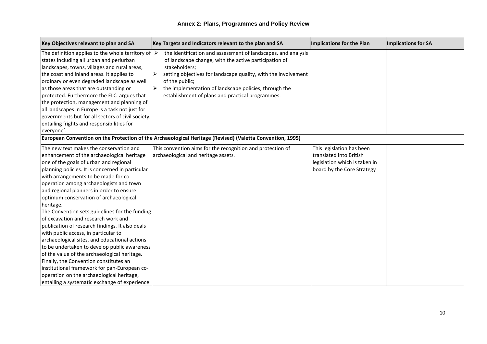| Key Objectives relevant to plan and SA                                                                                                                        | Key Targets and Indicators relevant to the plan and SA                                                                                  | Implications for the Plan     | Implications for SA |
|---------------------------------------------------------------------------------------------------------------------------------------------------------------|-----------------------------------------------------------------------------------------------------------------------------------------|-------------------------------|---------------------|
| The definition applies to the whole territory of $\triangleright$<br>states including all urban and periurban<br>landscapes, towns, villages and rural areas, | the identification and assessment of landscapes, and analysis<br>of landscape change, with the active participation of<br>stakeholders; |                               |                     |
| the coast and inland areas. It applies to<br>ordinary or even degraded landscape as well                                                                      | setting objectives for landscape quality, with the involvement<br>➤<br>of the public;                                                   |                               |                     |
| as those areas that are outstanding or                                                                                                                        | ∣≽<br>the implementation of landscape policies, through the                                                                             |                               |                     |
| protected. Furthermore the ELC argues that<br>the protection, management and planning of                                                                      | establishment of plans and practical programmes.                                                                                        |                               |                     |
| all landscapes in Europe is a task not just for<br>governments but for all sectors of civil society,                                                          |                                                                                                                                         |                               |                     |
| entailing 'rights and responsibilities for<br>everyone'.                                                                                                      |                                                                                                                                         |                               |                     |
|                                                                                                                                                               | European Convention on the Protection of the Archaeological Heritage (Revised) (Valetta Convention, 1995)                               |                               |                     |
| The new text makes the conservation and                                                                                                                       | This convention aims for the recognition and protection of                                                                              | This legislation has been     |                     |
| enhancement of the archaeological heritage                                                                                                                    | archaeological and heritage assets.                                                                                                     | translated into British       |                     |
| one of the goals of urban and regional                                                                                                                        |                                                                                                                                         | legislation which is taken in |                     |
| planning policies. It is concerned in particular                                                                                                              |                                                                                                                                         | board by the Core Strategy    |                     |
| with arrangements to be made for co-                                                                                                                          |                                                                                                                                         |                               |                     |
| operation among archaeologists and town                                                                                                                       |                                                                                                                                         |                               |                     |
| and regional planners in order to ensure                                                                                                                      |                                                                                                                                         |                               |                     |
| optimum conservation of archaeological                                                                                                                        |                                                                                                                                         |                               |                     |
| heritage.                                                                                                                                                     |                                                                                                                                         |                               |                     |
| The Convention sets guidelines for the funding                                                                                                                |                                                                                                                                         |                               |                     |
| of excavation and research work and                                                                                                                           |                                                                                                                                         |                               |                     |
| publication of research findings. It also deals                                                                                                               |                                                                                                                                         |                               |                     |
| with public access, in particular to                                                                                                                          |                                                                                                                                         |                               |                     |
| archaeological sites, and educational actions                                                                                                                 |                                                                                                                                         |                               |                     |
| to be undertaken to develop public awareness                                                                                                                  |                                                                                                                                         |                               |                     |
| of the value of the archaeological heritage.                                                                                                                  |                                                                                                                                         |                               |                     |
| Finally, the Convention constitutes an                                                                                                                        |                                                                                                                                         |                               |                     |
| institutional framework for pan-European co-                                                                                                                  |                                                                                                                                         |                               |                     |
| operation on the archaeological heritage,                                                                                                                     |                                                                                                                                         |                               |                     |
| entailing a systematic exchange of experience                                                                                                                 |                                                                                                                                         |                               |                     |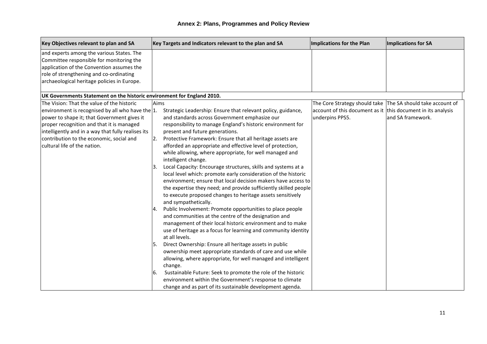| Key Objectives relevant to plan and SA                                                                                                                                                                                                                                                                                           | Key Targets and Indicators relevant to the plan and SA                                                                                                                                                                                                                                                                                                                                                                                                                                                                                                                                                                                                                                                                                                                                                                                                                                                                                                                                                                                                                                                                                                                                                                                                                                                                                                                                        | Implications for the Plan                                                                                                                      | Implications for SA |
|----------------------------------------------------------------------------------------------------------------------------------------------------------------------------------------------------------------------------------------------------------------------------------------------------------------------------------|-----------------------------------------------------------------------------------------------------------------------------------------------------------------------------------------------------------------------------------------------------------------------------------------------------------------------------------------------------------------------------------------------------------------------------------------------------------------------------------------------------------------------------------------------------------------------------------------------------------------------------------------------------------------------------------------------------------------------------------------------------------------------------------------------------------------------------------------------------------------------------------------------------------------------------------------------------------------------------------------------------------------------------------------------------------------------------------------------------------------------------------------------------------------------------------------------------------------------------------------------------------------------------------------------------------------------------------------------------------------------------------------------|------------------------------------------------------------------------------------------------------------------------------------------------|---------------------|
| and experts among the various States. The<br>Committee responsible for monitoring the<br>application of the Convention assumes the<br>role of strengthening and co-ordinating<br>archaeological heritage policies in Europe.                                                                                                     |                                                                                                                                                                                                                                                                                                                                                                                                                                                                                                                                                                                                                                                                                                                                                                                                                                                                                                                                                                                                                                                                                                                                                                                                                                                                                                                                                                                               |                                                                                                                                                |                     |
| UK Governments Statement on the historic environment for England 2010.                                                                                                                                                                                                                                                           |                                                                                                                                                                                                                                                                                                                                                                                                                                                                                                                                                                                                                                                                                                                                                                                                                                                                                                                                                                                                                                                                                                                                                                                                                                                                                                                                                                                               |                                                                                                                                                |                     |
| The Vision: That the value of the historic<br>environment is recognised by all who have the $ 1$ .<br>power to shape it; that Government gives it<br>proper recognition and that it is managed<br>intelligently and in a way that fully realises its<br>contribution to the economic, social and<br>cultural life of the nation. | Aims<br>Strategic Leadership: Ensure that relevant policy, guidance,<br>and standards across Government emphasize our<br>responsibility to manage England's historic environment for<br>present and future generations.<br>Protective Framework: Ensure that all heritage assets are<br>I <sub>2</sub> .<br>afforded an appropriate and effective level of protection,<br>while allowing, where appropriate, for well managed and<br>intelligent change.<br>Local Capacity: Encourage structures, skills and systems at a<br>Ι3.<br>local level which: promote early consideration of the historic<br>environment; ensure that local decision makers have access to<br>the expertise they need; and provide sufficiently skilled people<br>to execute proposed changes to heritage assets sensitively<br>and sympathetically.<br>Public Involvement: Promote opportunities to place people<br>Ι4.<br>and communities at the centre of the designation and<br>management of their local historic environment and to make<br>use of heritage as a focus for learning and community identity<br>at all levels.<br>Direct Ownership: Ensure all heritage assets in public<br>۱5.<br>ownership meet appropriate standards of care and use while<br>allowing, where appropriate, for well managed and intelligent<br>change.<br>Sustainable Future: Seek to promote the role of the historic<br>16. | The Core Strategy should take The SA should take account of<br>account of this document as it this document in its analysis<br>underpins PPS5. | and SA framework.   |
|                                                                                                                                                                                                                                                                                                                                  | environment within the Government's response to climate<br>change and as part of its sustainable development agenda.                                                                                                                                                                                                                                                                                                                                                                                                                                                                                                                                                                                                                                                                                                                                                                                                                                                                                                                                                                                                                                                                                                                                                                                                                                                                          |                                                                                                                                                |                     |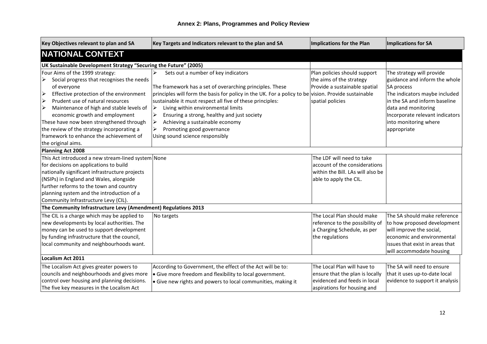<span id="page-12-0"></span>

| Key Objectives relevant to plan and SA                                                                                                                                                                                                                                                                                                                            | Key Targets and Indicators relevant to the plan and SA                                                                                                                                                                                                                                                                                                                                                                                                                                                        | Implications for the Plan                                                                                                     | Implications for SA                                                                                                                                                                                                                          |
|-------------------------------------------------------------------------------------------------------------------------------------------------------------------------------------------------------------------------------------------------------------------------------------------------------------------------------------------------------------------|---------------------------------------------------------------------------------------------------------------------------------------------------------------------------------------------------------------------------------------------------------------------------------------------------------------------------------------------------------------------------------------------------------------------------------------------------------------------------------------------------------------|-------------------------------------------------------------------------------------------------------------------------------|----------------------------------------------------------------------------------------------------------------------------------------------------------------------------------------------------------------------------------------------|
| <b>NATIONAL CONTEXT</b>                                                                                                                                                                                                                                                                                                                                           |                                                                                                                                                                                                                                                                                                                                                                                                                                                                                                               |                                                                                                                               |                                                                                                                                                                                                                                              |
| UK Sustainable Development Strategy "Securing the Future" (2005)                                                                                                                                                                                                                                                                                                  |                                                                                                                                                                                                                                                                                                                                                                                                                                                                                                               |                                                                                                                               |                                                                                                                                                                                                                                              |
| Four Aims of the 1999 strategy:<br>Social progress that recognises the needs<br>of everyone<br>Effective protection of the environment<br>⋗<br>Prudent use of natural resources<br>⋗<br>Maintenance of high and stable levels of<br>➤<br>economic growth and employment<br>These have now been strengthened through<br>the review of the strategy incorporating a | Sets out a number of key indicators<br>$\blacktriangleright$<br>The framework has a set of overarching principles. These<br>principles will form the basis for policy in the UK. For a policy to be vision. Provide sustainable<br>sustainable it must respect all five of these principles:<br>Living within environmental limits<br>▶<br>$\blacktriangleright$<br>Ensuring a strong, healthy and just society<br>Achieving a sustainable economy<br>$\blacktriangleright$<br>Promoting good governance<br>➤ | Plan policies should support<br>the aims of the strategy<br>Provide a sustainable spatial<br>spatial policies                 | The strategy will provide<br>guidance and inform the whole<br>SA process<br>The indicators maybe included<br>in the SA and inform baseline<br>data and monitoring<br>Incorporate relevant indicators<br>into monitoring where<br>appropriate |
| framework to enhance the achievement of<br>the original aims.                                                                                                                                                                                                                                                                                                     | Using sound science responsibly                                                                                                                                                                                                                                                                                                                                                                                                                                                                               |                                                                                                                               |                                                                                                                                                                                                                                              |
| <b>Planning Act 2008</b>                                                                                                                                                                                                                                                                                                                                          |                                                                                                                                                                                                                                                                                                                                                                                                                                                                                                               |                                                                                                                               |                                                                                                                                                                                                                                              |
| This Act introduced a new stream-lined system None<br>for decisions on applications to build<br>nationally significant infrastructure projects<br>(NSIPs) in England and Wales, alongside<br>further reforms to the town and country<br>planning system and the introduction of a<br>Community Infrastructure Levy (CIL).                                         |                                                                                                                                                                                                                                                                                                                                                                                                                                                                                                               | The LDF will need to take<br>account of the considerations<br>within the Bill. LAs will also be<br>able to apply the CIL.     |                                                                                                                                                                                                                                              |
| The Community Infrastructure Levy (Amendment) Regulations 2013                                                                                                                                                                                                                                                                                                    |                                                                                                                                                                                                                                                                                                                                                                                                                                                                                                               |                                                                                                                               |                                                                                                                                                                                                                                              |
| The CIL is a charge which may be applied to<br>new developments by local authorities. The<br>money can be used to support development<br>by funding infrastructure that the council,<br>local community and neighbourhoods want.                                                                                                                                  | No targets                                                                                                                                                                                                                                                                                                                                                                                                                                                                                                    | The Local Plan should make<br>reference to the possibility of<br>a Charging Schedule, as per<br>the regulations               | The SA should make reference<br>to how proposed development<br>will improve the social,<br>economic and environmental<br>lissues that exist in areas that<br>will accommodate housing                                                        |
| <b>Localism Act 2011</b>                                                                                                                                                                                                                                                                                                                                          |                                                                                                                                                                                                                                                                                                                                                                                                                                                                                                               |                                                                                                                               |                                                                                                                                                                                                                                              |
| The Localism Act gives greater powers to<br>councils and neighbourhoods and gives more<br>control over housing and planning decisions.<br>The five key measures in the Localism Act                                                                                                                                                                               | According to Government, the effect of the Act will be to:<br>• Give more freedom and flexibility to local government.<br>• Give new rights and powers to local communities, making it                                                                                                                                                                                                                                                                                                                        | The Local Plan will have to<br>ensure that the plan is locally<br>evidenced and feeds in local<br>aspirations for housing and | The SA will need to ensure<br>that it uses up-to-date local<br>evidence to support it analysis                                                                                                                                               |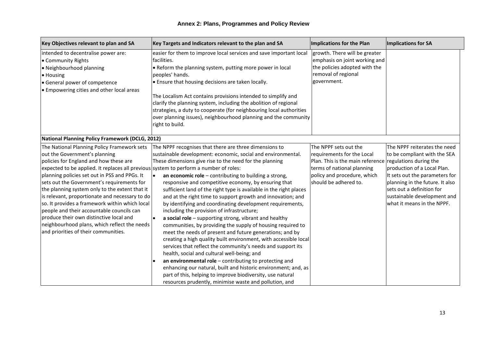| Key Objectives relevant to plan and SA                                                                                                                                                                                                                                                                                                                                                                                                                                                                                                                                                                                                                                                                  | Key Targets and Indicators relevant to the plan and SA                                                                                                                                                                                                                                                                                                                                                                                                                                                                                                                                                                                                                                                                                                                                                                                                                                                                                                                                                                                                                                                                              | Implications for the Plan                                                                                                                                                     | Implications for SA                                                                                                                                                                                                                                                                  |
|---------------------------------------------------------------------------------------------------------------------------------------------------------------------------------------------------------------------------------------------------------------------------------------------------------------------------------------------------------------------------------------------------------------------------------------------------------------------------------------------------------------------------------------------------------------------------------------------------------------------------------------------------------------------------------------------------------|-------------------------------------------------------------------------------------------------------------------------------------------------------------------------------------------------------------------------------------------------------------------------------------------------------------------------------------------------------------------------------------------------------------------------------------------------------------------------------------------------------------------------------------------------------------------------------------------------------------------------------------------------------------------------------------------------------------------------------------------------------------------------------------------------------------------------------------------------------------------------------------------------------------------------------------------------------------------------------------------------------------------------------------------------------------------------------------------------------------------------------------|-------------------------------------------------------------------------------------------------------------------------------------------------------------------------------|--------------------------------------------------------------------------------------------------------------------------------------------------------------------------------------------------------------------------------------------------------------------------------------|
| intended to decentralise power are:<br>• Community Rights<br>• Neighbourhood planning<br>• Housing<br>General power of competence<br><b>E</b> Empowering cities and other local areas                                                                                                                                                                                                                                                                                                                                                                                                                                                                                                                   | easier for them to improve local services and save important local<br>facilities.<br>. Reform the planning system, putting more power in local<br>peoples' hands.<br>$\bullet$ Ensure that housing decisions are taken locally.<br>The Localism Act contains provisions intended to simplify and<br>clarify the planning system, including the abolition of regional<br>strategies, a duty to cooperate (for neighbouring local authorities<br>over planning issues), neighbourhood planning and the community<br>right to build.                                                                                                                                                                                                                                                                                                                                                                                                                                                                                                                                                                                                   | growth. There will be greater<br>emphasis on joint working and<br>the policies adopted with the<br>removal of regional<br>government.                                         |                                                                                                                                                                                                                                                                                      |
| National Planning Policy Framework (DCLG, 2012)<br>The National Planning Policy Framework sets<br>out the Government's planning<br>policies for England and how these are<br>expected to be applied. It replaces all previous system to perform a number of roles:<br>planning policies set out in PSS and PPGs. It<br>sets out the Government's requirements for<br>the planning system only to the extent that it<br>is relevant, proportionate and necessary to do<br>so. It provides a framework within which local<br>people and their accountable councils can<br>produce their own distinctive local and<br>neighbourhood plans, which reflect the needs<br>and priorities of their communities. | The NPPF recognises that there are three dimensions to<br>sustainable development: economic, social and environmental.<br>These dimensions give rise to the need for the planning<br>an economic role $-$ contributing to building a strong,<br>I۰<br>responsive and competitive economy, by ensuring that<br>sufficient land of the right type is available in the right places<br>and at the right time to support growth and innovation; and<br>by identifying and coordinating development requirements,<br>including the provision of infrastructure;<br>a social role - supporting strong, vibrant and healthy<br>I۰<br>communities, by providing the supply of housing required to<br>meet the needs of present and future generations; and by<br>creating a high quality built environment, with accessible local<br>services that reflect the community's needs and support its<br>health, social and cultural well-being; and<br>an environmental role $-$ contributing to protecting and<br>enhancing our natural, built and historic environment; and, as<br>part of this, helping to improve biodiversity, use natural | The NPPF sets out the<br>requirements for the Local<br>Plan. This is the main reference<br>terms of national planning<br>policy and procedure, which<br>should be adhered to. | The NPPF reiterates the need<br>to be compliant with the SEA<br>regulations during the<br>production of a Local Plan.<br>It sets out the parameters for<br>planning in the future. It also<br>sets out a definition for<br>sustainable development and<br>what it means in the NPPF. |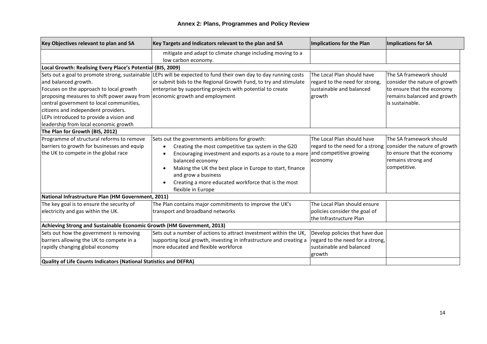| Key Objectives relevant to plan and SA                                     | Key Targets and Indicators relevant to the plan and SA                                                          | Implications for the Plan                                     | Implications for SA           |
|----------------------------------------------------------------------------|-----------------------------------------------------------------------------------------------------------------|---------------------------------------------------------------|-------------------------------|
|                                                                            | mitigate and adapt to climate change including moving to a                                                      |                                                               |                               |
|                                                                            | low carbon economy.                                                                                             |                                                               |                               |
| Local Growth: Realising Every Place's Potential (BIS, 2009)                |                                                                                                                 |                                                               |                               |
|                                                                            | Sets out a goal to promote strong, sustainable LEPs will be expected to fund their own day to day running costs | The Local Plan should have                                    | The SA framework should       |
| and balanced growth.                                                       | or submit bids to the Regional Growth Fund, to try and stimulate                                                | regard to the need for strong,                                | consider the nature of growth |
| Focuses on the approach to local growth                                    | enterprise by supporting projects with potential to create                                                      | sustainable and balanced                                      | to ensure that the economy    |
| proposing measures to shift power away from economic growth and employment |                                                                                                                 | growth                                                        | remains balanced and growth   |
| central government to local communities,                                   |                                                                                                                 |                                                               | is sustainable.               |
| citizens and independent providers.                                        |                                                                                                                 |                                                               |                               |
| LEPs introduced to provide a vision and                                    |                                                                                                                 |                                                               |                               |
| leadership from local economic growth                                      |                                                                                                                 |                                                               |                               |
| The Plan for Growth (BIS, 2012)                                            |                                                                                                                 |                                                               |                               |
| Programme of structural reforms to remove                                  | Sets out the governments ambitions for growth:                                                                  | The Local Plan should have                                    | The SA framework should       |
| barriers to growth for businesses and equip                                | Creating the most competitive tax system in the G20                                                             | regard to the need for a strong consider the nature of growth |                               |
| the UK to compete in the global race                                       | Encouraging investment and exports as a route to a more                                                         | and competitive growing                                       | to ensure that the economy    |
|                                                                            | balanced economy                                                                                                | economy                                                       | remains strong and            |
|                                                                            | Making the UK the best place in Europe to start, finance                                                        |                                                               | competitive.                  |
|                                                                            | and grow a business                                                                                             |                                                               |                               |
|                                                                            | Creating a more educated workforce that is the most                                                             |                                                               |                               |
|                                                                            | flexible in Europe                                                                                              |                                                               |                               |
| National Infrastructure Plan (HM Government, 2011)                         |                                                                                                                 |                                                               |                               |
| The key goal is to ensure the security of                                  | The Plan contains major commitments to improve the UK's                                                         | The Local Plan should ensure                                  |                               |
| electricity and gas within the UK.                                         | transport and broadband networks                                                                                | policies consider the goal of                                 |                               |
|                                                                            |                                                                                                                 | the Infrastructure Plan                                       |                               |
| Achieving Strong and Sustainable Economic Growth (HM Government, 2013)     |                                                                                                                 |                                                               |                               |
| Sets out how the government is removing                                    | Sets out a number of actions to attract investment within the UK,                                               | Develop policies that have due                                |                               |
| barriers allowing the UK to compete in a                                   | supporting local growth, investing in infrastructure and creating a                                             | regard to the need for a strong,                              |                               |
| rapidly changing global economy                                            | more educated and flexible workforce                                                                            | sustainable and balanced                                      |                               |
|                                                                            |                                                                                                                 | growth                                                        |                               |
| Quality of Life Counts Indicators (National Statistics and DEFRA)          |                                                                                                                 |                                                               |                               |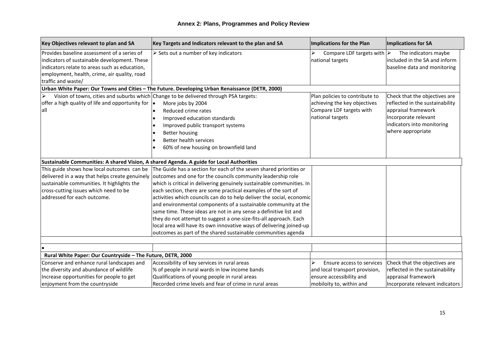| Key Objectives relevant to plan and SA                                                                                                                                                                             | Key Targets and Indicators relevant to the plan and SA                                                                                                                                                                                                                                                                                                                                                                                                                                                                                                                                                                                                                                                                                                    | Implications for the Plan                                                                                      | Implications for SA                                                                                                                                                |
|--------------------------------------------------------------------------------------------------------------------------------------------------------------------------------------------------------------------|-----------------------------------------------------------------------------------------------------------------------------------------------------------------------------------------------------------------------------------------------------------------------------------------------------------------------------------------------------------------------------------------------------------------------------------------------------------------------------------------------------------------------------------------------------------------------------------------------------------------------------------------------------------------------------------------------------------------------------------------------------------|----------------------------------------------------------------------------------------------------------------|--------------------------------------------------------------------------------------------------------------------------------------------------------------------|
| Provides baseline assessment of a series of<br>indicators of sustainable development. These<br>indicators relate to areas such as education,<br>employment, health, crime, air quality, road<br>traffic and waste/ | $\triangleright$ Sets out a number of key indicators                                                                                                                                                                                                                                                                                                                                                                                                                                                                                                                                                                                                                                                                                                      | ↘<br>Compare LDF targets with $\triangleright$<br>national targets                                             | The indicators maybe<br>included in the SA and inform<br>baseline data and monitoring                                                                              |
|                                                                                                                                                                                                                    | Urban White Paper: Our Towns and Cities - The Future. Developing Urban Renaissance (DETR, 2000)                                                                                                                                                                                                                                                                                                                                                                                                                                                                                                                                                                                                                                                           |                                                                                                                |                                                                                                                                                                    |
| offer a high quality of life and opportunity for $\vert \bullet \vert$<br>lall                                                                                                                                     | Vision of towns, cities and suburbs which Change to be delivered through PSA targets:<br>More jobs by 2004<br>Reduced crime rates<br>Improved education standards<br>Improved public transport systems<br><b>Better housing</b><br><b>Better health services</b><br>60% of new housing on brownfield land                                                                                                                                                                                                                                                                                                                                                                                                                                                 | Plan policies to contribute to<br>achieving the key objectives<br>Compare LDF targets with<br>national targets | Check that the objectives are<br>reflected in the sustainability<br>appraisal framework<br>Incorporate relevant<br>indicators into monitoring<br>where appropriate |
| Sustainable Communities: A shared Vision, A shared Agenda. A guide for Local Authorities                                                                                                                           |                                                                                                                                                                                                                                                                                                                                                                                                                                                                                                                                                                                                                                                                                                                                                           |                                                                                                                |                                                                                                                                                                    |
| This guide shows how local outcomes can be<br>sustainable communities. It highlights the<br>cross-cutting issues which need to be<br>addressed for each outcome.                                                   | The Guide has a section for each of the seven shared priorities or<br>delivered in a way that helps create genuinely outcomes and one for the councils community leadership role<br>which is critical in delivering genuinely sustainable communities. In<br>each section, there are some practical examples of the sort of<br>activities which councils can do to help deliver the social, economic<br>and environmental components of a sustainable community at the<br>same time. These ideas are not in any sense a definitive list and<br>they do not attempt to suggest a one-size-fits-all approach. Each<br>local area will have its own innovative ways of delivering joined-up<br>outcomes as part of the shared sustainable communities agenda |                                                                                                                |                                                                                                                                                                    |
|                                                                                                                                                                                                                    |                                                                                                                                                                                                                                                                                                                                                                                                                                                                                                                                                                                                                                                                                                                                                           |                                                                                                                |                                                                                                                                                                    |
| Rural White Paper: Our Countryside - The Future, DETR, 2000                                                                                                                                                        |                                                                                                                                                                                                                                                                                                                                                                                                                                                                                                                                                                                                                                                                                                                                                           |                                                                                                                |                                                                                                                                                                    |
| Conserve and enhance rural landscapes and<br>the diversity and abundance of wildlife<br>Increase opportunities for people to get                                                                                   | Accessibility of key services in rural areas<br>% of people in rural wards in low income bands<br>Qualifications of young people in rural areas                                                                                                                                                                                                                                                                                                                                                                                                                                                                                                                                                                                                           | ↘<br>Ensure access to services<br>and local transport provision,<br>ensure accessibility and                   | Check that the objectives are<br>reflected in the sustainability<br>appraisal framework                                                                            |
| enjoyment from the countryside                                                                                                                                                                                     | Recorded crime levels and fear of crime in rural areas                                                                                                                                                                                                                                                                                                                                                                                                                                                                                                                                                                                                                                                                                                    | mobiloity to, within and                                                                                       | Incorporate relevant indicators                                                                                                                                    |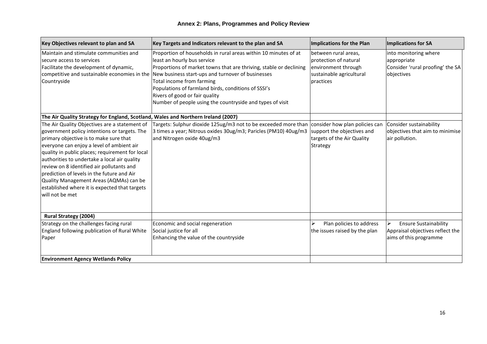| Key Objectives relevant to plan and SA                                                                                                                                                                                                                                                                                                                                                                                                                                                            | Key Targets and Indicators relevant to the plan and SA                                                                                                                                                                                                                                                                                                                                                       | <b>Implications for the Plan</b>                                                                              | Implications for SA                                                                             |
|---------------------------------------------------------------------------------------------------------------------------------------------------------------------------------------------------------------------------------------------------------------------------------------------------------------------------------------------------------------------------------------------------------------------------------------------------------------------------------------------------|--------------------------------------------------------------------------------------------------------------------------------------------------------------------------------------------------------------------------------------------------------------------------------------------------------------------------------------------------------------------------------------------------------------|---------------------------------------------------------------------------------------------------------------|-------------------------------------------------------------------------------------------------|
| Maintain and stimulate communities and<br>secure access to services<br>Facilitate the development of dynamic,<br>competitive and sustainable economies in the<br>Countryside                                                                                                                                                                                                                                                                                                                      | Proportion of households in rural areas within 10 minutes of at<br>least an hourly bus service<br>Proportions of market towns that are thriving, stable or declining<br>New business start-ups and turnover of businesses<br>Total income from farming<br>Populations of farmland birds, conditions of SSSI's<br>Rivers of good or fair quality<br>Number of people using the countryside and types of visit | between rural areas,<br>protection of natural<br>environment through<br>sustainable agricultural<br>practices | into monitoring where<br>appropriate<br>Consider 'rural proofing' the SA<br>objectives          |
| The Air Quality Strategy for England, Scotland, Wales and Northern Ireland (2007)                                                                                                                                                                                                                                                                                                                                                                                                                 |                                                                                                                                                                                                                                                                                                                                                                                                              |                                                                                                               |                                                                                                 |
| The Air Quality Objectives are a statement of<br>government policy intentions or targets. The<br>primary objective is to make sure that<br>everyone can enjoy a level of ambient air<br>quality in public places; requirement for local<br>authorities to undertake a local air quality<br>review on 8 identified air pollutants and<br>prediction of levels in the future and Air<br>Quality Management Areas (AQMAs) can be<br>established where it is expected that targets<br>will not be met | Targets: Sulphur dioxide 125ug/m3 not to be exceeded more than<br>3 times a year; Nitrous oxides 30ug/m3; Paricles (PM10) 40ug/m3<br>and Nitrogen oxide 40ug/m3                                                                                                                                                                                                                                              | consider how plan policies can<br>support the objectives and<br>targets of the Air Quality<br>Strategy        | Consider sustainability<br>objectives that aim to minimise<br>air pollution.                    |
| <b>Rural Strategy (2004)</b>                                                                                                                                                                                                                                                                                                                                                                                                                                                                      |                                                                                                                                                                                                                                                                                                                                                                                                              |                                                                                                               |                                                                                                 |
| Strategy on the challenges facing rural<br>England following publication of Rural White<br>Paper                                                                                                                                                                                                                                                                                                                                                                                                  | Economic and social regeneration<br>Social justice for all<br>Enhancing the value of the countryside                                                                                                                                                                                                                                                                                                         | Plan policies to address<br>⋗<br>the issues raised by the plan                                                | <b>Ensure Sustainability</b><br>⋗<br>Appraisal objectives reflect the<br>aims of this programme |
| <b>Environment Agency Wetlands Policy</b>                                                                                                                                                                                                                                                                                                                                                                                                                                                         |                                                                                                                                                                                                                                                                                                                                                                                                              |                                                                                                               |                                                                                                 |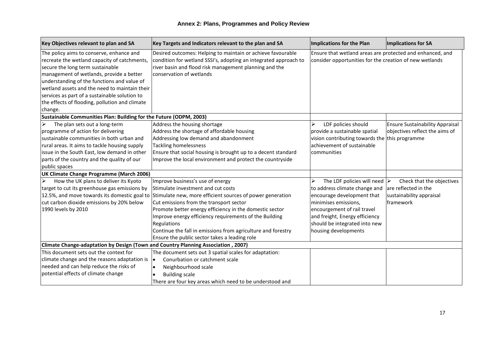| Key Objectives relevant to plan and SA                                                                                                                                                                                                                                                                                                                                                 | Key Targets and Indicators relevant to the plan and SA                                                                                                                                                                                                                                                                                                                                                                                                                           | Implications for the Plan                                                                                                                                                                                                                        | Implications for SA                                                                              |
|----------------------------------------------------------------------------------------------------------------------------------------------------------------------------------------------------------------------------------------------------------------------------------------------------------------------------------------------------------------------------------------|----------------------------------------------------------------------------------------------------------------------------------------------------------------------------------------------------------------------------------------------------------------------------------------------------------------------------------------------------------------------------------------------------------------------------------------------------------------------------------|--------------------------------------------------------------------------------------------------------------------------------------------------------------------------------------------------------------------------------------------------|--------------------------------------------------------------------------------------------------|
| The policy aims to conserve, enhance and<br>recreate the wetland capacity of catchments,<br>secure the long term sustainable<br>management of wetlands, provide a better<br>understanding of the functions and value of<br>wetland assets and the need to maintain their<br>services as part of a sustainable solution to<br>the effects of flooding, pollution and climate<br>change. | Desired outcomes: Helping to maintain or achieve favourable<br>condition for wetland SSSI's, adopting an integrated approach to<br>river basin and flood risk management planning and the<br>conservation of wetlands                                                                                                                                                                                                                                                            | Ensure that wetland areas are protected and enhanced, and<br>consider opportunities for the creation of new wetlands                                                                                                                             |                                                                                                  |
| Sustainable Communities Plan: Building for the Future (ODPM, 2003)                                                                                                                                                                                                                                                                                                                     |                                                                                                                                                                                                                                                                                                                                                                                                                                                                                  |                                                                                                                                                                                                                                                  |                                                                                                  |
| The plan sets out a long-term<br>programme of action for delivering<br>sustainable communities in both urban and<br>rural areas. It aims to tackle housing supply<br>issue in the South East, low demand in other<br>parts of the country and the quality of our<br>public spaces                                                                                                      | Address the housing shortage<br>Address the shortage of affordable housing<br>Addressing low demand and abandonment<br><b>Tackling homelessness</b><br>Ensure that social housing is brought up to a decent standard<br>Improve the local environment and protect the countryside                                                                                                                                                                                                | LDF policies should<br>⋗<br>provide a sustainable spatial<br>vision contributing towards the this programme<br>achievement of sustainable<br><i>communities</i>                                                                                  | <b>Ensure Sustainability Appraisal</b><br>objectives reflect the aims of                         |
| UK Climate Change Programme (March 2006)                                                                                                                                                                                                                                                                                                                                               |                                                                                                                                                                                                                                                                                                                                                                                                                                                                                  |                                                                                                                                                                                                                                                  |                                                                                                  |
| $\blacktriangleright$<br>How the UK plans to deliver its Kyoto<br>target to cut its greenhouse gas emissions by<br>cut carbon dioxide emissions by 20% below<br>1990 levels by 2010                                                                                                                                                                                                    | Improve business's use of energy<br>Stimulate investment and cut costs<br>12.5%, and move towards its domestic goal to Stimulate new, more efficient sources of power generation<br>Cut emissions from the transport sector<br>Promote better energy efficiency in the domestic sector<br>Improve energy efficiency requirements of the Building<br>Regulations<br>Continue the fall in emissions from agriculture and forestry<br>Ensure the public sector takes a leading role | The LDF policies will need<br>➤<br>to address climate change and<br>encourage development that<br>minimises emissions,<br>encourgement of rail travel<br>and freight, Energy efficiency<br>should be integrated into new<br>housing developments | Check that the objectives<br>➤<br>lare reflected in the<br>sustainability appraisal<br>framework |
| Climate Change-adaptation by Design (Town and Country Planning Association, 2007)                                                                                                                                                                                                                                                                                                      |                                                                                                                                                                                                                                                                                                                                                                                                                                                                                  |                                                                                                                                                                                                                                                  |                                                                                                  |
| This document sets out the context for<br>climate change and the reasons adaptation is<br>needed and can help reduce the risks of<br>potential effects of climate change                                                                                                                                                                                                               | The document sets out 3 spatial scales for adaptation:<br>Conurbation or catchment scale<br>١o<br>Neighbourhood scale<br>I۰<br><b>Building scale</b><br>There are four key areas which need to be understood and                                                                                                                                                                                                                                                                 |                                                                                                                                                                                                                                                  |                                                                                                  |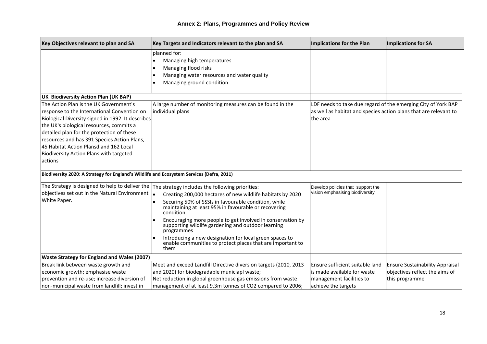| Key Objectives relevant to plan and SA                                                                                                                                                                                                                                                                                                                                             | Key Targets and Indicators relevant to the plan and SA                                                                                                                                                                                                                                                                                                                                                                                                     | Implications for the Plan                                                                                          | <b>Implications for SA</b>                                                                 |
|------------------------------------------------------------------------------------------------------------------------------------------------------------------------------------------------------------------------------------------------------------------------------------------------------------------------------------------------------------------------------------|------------------------------------------------------------------------------------------------------------------------------------------------------------------------------------------------------------------------------------------------------------------------------------------------------------------------------------------------------------------------------------------------------------------------------------------------------------|--------------------------------------------------------------------------------------------------------------------|--------------------------------------------------------------------------------------------|
|                                                                                                                                                                                                                                                                                                                                                                                    | planned for:<br>Managing high temperatures<br>Managing flood risks<br>Managing water resources and water quality<br>Managing ground condition.                                                                                                                                                                                                                                                                                                             |                                                                                                                    |                                                                                            |
| <b>UK Biodiversity Action Plan (UK BAP)</b>                                                                                                                                                                                                                                                                                                                                        |                                                                                                                                                                                                                                                                                                                                                                                                                                                            |                                                                                                                    |                                                                                            |
| The Action Plan is the UK Government's<br>response to the International Convention on<br>Biological Diversity signed in 1992. It describes<br>the UK's biological resources, commits a<br>detailed plan for the protection of these<br>resources and has 391 Species Action Plans,<br>45 Habitat Action Plansd and 162 Local<br>Biodiversity Action Plans with targeted<br>actions | A large number of monitoring measures can be found in the<br>individual plans                                                                                                                                                                                                                                                                                                                                                                              | as well as habitat and species action plans that are relevant to<br>the area                                       | LDF needs to take due regard of the emerging City of York BAP                              |
| Biodiversity 2020: A Strategy for England's Wildlife and Ecosystem Services (Defra, 2011)                                                                                                                                                                                                                                                                                          |                                                                                                                                                                                                                                                                                                                                                                                                                                                            |                                                                                                                    |                                                                                            |
| The Strategy is designed to help to deliver the The strategy includes the following priorities:<br>objectives set out in the Natural Environment $\vert_{\bullet}$<br>White Paper.                                                                                                                                                                                                 | Creating 200,000 hectares of new wildlife habitats by 2020<br>Securing 50% of SSSIs in favourable condition, while<br>maintaining at least 95% in favourable or recovering<br>condition<br>Encouraging more people to get involved in conservation by<br>supporting wildlife gardening and outdoor learning<br>programmes<br>Introducing a new designation for local green spaces to<br>enable communities to protect places that are important to<br>them | Develop policies that support the<br>vision emphasising biodiversity                                               |                                                                                            |
| Waste Strategy for England and Wales (2007)                                                                                                                                                                                                                                                                                                                                        |                                                                                                                                                                                                                                                                                                                                                                                                                                                            |                                                                                                                    |                                                                                            |
| Break link between waste growth and<br>economic growth; emphasise waste<br>prevention and re-use; increase diversion of<br>non-municipal waste from landfill; invest in                                                                                                                                                                                                            | Meet and exceed Landfill Directive diversion targets (2010, 2013<br>and 2020) for biodegradable municiapl waste;<br>Net reduction in global greenhouse gas emissions from waste<br>management of at least 9.3m tonnes of CO2 compared to 2006;                                                                                                                                                                                                             | Ensure sufficient suitable land<br>lis made available for waste<br>management facilities to<br>achieve the targets | <b>Ensure Sustainability Appraisal</b><br>objectives reflect the aims of<br>this programme |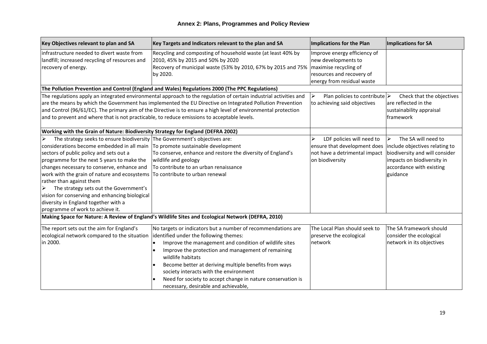| Key Objectives relevant to plan and SA                                                                                                                                                                                                                                                                                                                                                                                                                                                                                                                   | Key Targets and Indicators relevant to the plan and SA                                                                                                                                                                                                                                                                                                                                                      | <b>Implications for the Plan</b>                                                                                                                   | Implications for SA                                                                                                                             |
|----------------------------------------------------------------------------------------------------------------------------------------------------------------------------------------------------------------------------------------------------------------------------------------------------------------------------------------------------------------------------------------------------------------------------------------------------------------------------------------------------------------------------------------------------------|-------------------------------------------------------------------------------------------------------------------------------------------------------------------------------------------------------------------------------------------------------------------------------------------------------------------------------------------------------------------------------------------------------------|----------------------------------------------------------------------------------------------------------------------------------------------------|-------------------------------------------------------------------------------------------------------------------------------------------------|
| infrastructure needed to divert waste from<br>landfill; increased recycling of resources and<br>recovery of energy.                                                                                                                                                                                                                                                                                                                                                                                                                                      | Recycling and composting of household waste (at least 40% by<br>2010, 45% by 2015 and 50% by 2020<br>Recovery of municipal waste (53% by 2010, 67% by 2015 and 75% maximise recycling of<br>by 2020.                                                                                                                                                                                                        | Improve energy efficiency of<br>new developments to<br>resources and recovery of<br>energy from residual waste                                     |                                                                                                                                                 |
|                                                                                                                                                                                                                                                                                                                                                                                                                                                                                                                                                          | The Pollution Prevention and Control (England and Wales) Regulations 2000 (The PPC Regulations)                                                                                                                                                                                                                                                                                                             |                                                                                                                                                    |                                                                                                                                                 |
| and to prevent and where that is not practicable, to reduce emissions to acceptable levels.                                                                                                                                                                                                                                                                                                                                                                                                                                                              | The regulations apply an integrated environmental approach to the regulation of certain industrial activities and<br>are the means by which the Government has implemented the EU Directive on Integrated Pollution Prevention<br>and Control (96/61/EC). The primary aim of the Directive is to ensure a high level of environmental protection                                                            | Plan policies to contribute $\triangleright$<br>⋗<br>to achieving said objectives                                                                  | Check that the objectives<br>are reflected in the<br>sustainability appraisal<br>framework                                                      |
| Working with the Grain of Nature: Biodiversity Strategy for England (DEFRA 2002)                                                                                                                                                                                                                                                                                                                                                                                                                                                                         |                                                                                                                                                                                                                                                                                                                                                                                                             |                                                                                                                                                    |                                                                                                                                                 |
| The strategy seeks to ensure biodiversity The Government's objectives are:<br>considerations become embedded in all main   To promote sustainable development<br>sectors of public policy and sets out a<br>programme for the next 5 years to make the<br>changes necessary to conserve, enhance and<br>work with the grain of nature and ecosystems<br>rather than against them<br>The strategy sets out the Government's<br>vision for conserving and enhancing biological<br>diversity in England together with a<br>programme of work to achieve it. | To conserve, enhance and restore the diversity of England's<br>wildlife and geology<br>To contribute to an urban renaissance<br>To contribute to urban renewal                                                                                                                                                                                                                                              | LDF policies will need to<br>⋗<br>ensure that development does  include objectives relating to<br>not have a detrimental impact<br>on biodiversity | The SA will need to<br>$\triangleright$<br>biodiversity and will consider<br>impacts on biodiversity in<br>accordance with existing<br>guidance |
|                                                                                                                                                                                                                                                                                                                                                                                                                                                                                                                                                          | Making Space for Nature: A Review of England's Wildlife Sites and Ecological Network (DEFRA, 2010)                                                                                                                                                                                                                                                                                                          |                                                                                                                                                    |                                                                                                                                                 |
| The report sets out the aim for England's<br>ecological network compared to the situation identified under the following themes:<br>in 2000.                                                                                                                                                                                                                                                                                                                                                                                                             | No targets or indicators but a number of recommendations are<br>Improve the management and condition of wildlife sites<br>Improve the protection and management of remaining<br>wildlife habitats<br>Become better at deriving multiple benefits from ways<br>society interacts with the environment<br>Need for society to accept change in nature conservation is<br>necessary, desirable and achievable, | The Local Plan should seek to<br>preserve the ecological<br>network                                                                                | The SA framework should<br>consider the ecological<br>network in its objectives                                                                 |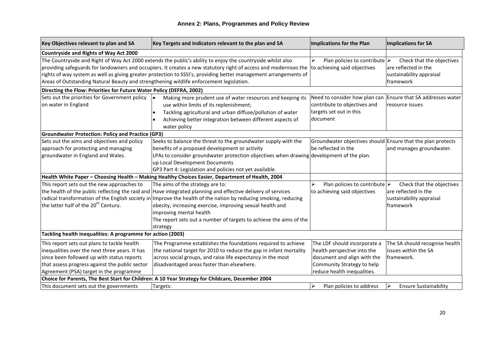| Key Objectives relevant to plan and SA                                                                                                                                                                                                   | Key Targets and Indicators relevant to the plan and SA                                                                                                                                                                                                                                                                                                                                                                                                                                                                                                                                                                                                                                                                                                                                                                                                         | Implications for the Plan                                                                                                                                          | <b>Implications for SA</b>                                                                                             |
|------------------------------------------------------------------------------------------------------------------------------------------------------------------------------------------------------------------------------------------|----------------------------------------------------------------------------------------------------------------------------------------------------------------------------------------------------------------------------------------------------------------------------------------------------------------------------------------------------------------------------------------------------------------------------------------------------------------------------------------------------------------------------------------------------------------------------------------------------------------------------------------------------------------------------------------------------------------------------------------------------------------------------------------------------------------------------------------------------------------|--------------------------------------------------------------------------------------------------------------------------------------------------------------------|------------------------------------------------------------------------------------------------------------------------|
| <b>Countryside and Rights of Way Act 2000</b>                                                                                                                                                                                            |                                                                                                                                                                                                                                                                                                                                                                                                                                                                                                                                                                                                                                                                                                                                                                                                                                                                |                                                                                                                                                                    |                                                                                                                        |
| Areas of Outstanding Natural Beauty and strengthening wildlife enforcement legislation.                                                                                                                                                  | The Countryside and Right of Way Act 2000 extends the public's ability to enjoy the countryside whilst also<br>providing safeguards for landowners and occupiers. It creates a new statutory right of access and modernises the<br>rights of way system as well as giving greater protection to SSSI's, providing better management arrangements of                                                                                                                                                                                                                                                                                                                                                                                                                                                                                                            | ➤<br>Plan policies to contribute $\triangleright$<br>to achieving said objectives                                                                                  | Check that the objectives<br>are reflected in the<br>sustainability appraisal<br>framework                             |
| Directing the Flow: Priorities for Future Water Policy (DEFRA, 2002)                                                                                                                                                                     |                                                                                                                                                                                                                                                                                                                                                                                                                                                                                                                                                                                                                                                                                                                                                                                                                                                                |                                                                                                                                                                    |                                                                                                                        |
| Sets out the priorities for Government policy<br>on water in England                                                                                                                                                                     | Making more prudent use of water resources and keeping its<br>l.<br>use within limits of its replenishment;<br>Tackling agricultural and urban diffuse/pollution of water<br>$\bullet$<br>Achieving better integration between different aspects of<br>water policy                                                                                                                                                                                                                                                                                                                                                                                                                                                                                                                                                                                            | Need to consider how plan can<br>contribute to objectives and<br>targets set out in this<br>document                                                               | Ensure that SA addresses water<br>resource issues                                                                      |
| <b>Groundwater Protection: Policy and Practice (GP3)</b>                                                                                                                                                                                 |                                                                                                                                                                                                                                                                                                                                                                                                                                                                                                                                                                                                                                                                                                                                                                                                                                                                |                                                                                                                                                                    |                                                                                                                        |
| Sets out the aims and objectives and policy<br>approach for protecting and managing<br>groundwater in England and Wales.<br>This report sets out the new approaches to<br>the latter half of the 20 <sup>th</sup> Century.               | Seeks to balance the threat to the groundwater supply with the<br>benefits of a proposed development or activity<br>LPAs to consider groundwater protection objectives when drawing development of the plan.<br>up Local Development Documents<br>GP3 Part 4: Legislation and policies not yet available.<br>Health White Paper - Choosing Health - Making Healthy Choices Easier, Department of Health, 2004<br>The aims of the strategy are to:<br>the health of the public reflecting the raid and Have integrated planning and effective delivery of services<br>radical transformation of the English society in Improve the health of the nation by reducing smoking, reducing<br>obesity, increasing exercise, improving sexual health and<br>improving mental health<br>The report sets out a number of targets to achieve the aims of the<br>strategy | Groundwater objectives should Ensure that the plan protects<br>be reflected in the<br>Plan policies to contribute $\triangleright$<br>to achieving said objectives | and manages groundwater.<br>Check that the objectives<br>are reflected in the<br>sustainability appraisal<br>framework |
| Tackling health inequalities: A programme for action (2003)                                                                                                                                                                              |                                                                                                                                                                                                                                                                                                                                                                                                                                                                                                                                                                                                                                                                                                                                                                                                                                                                |                                                                                                                                                                    |                                                                                                                        |
| This report sets out plans to tackle health<br>inequalities over the next three years. It has<br>since been followed up with status reports<br>that assess progress against the public sector<br>Agreement (PSA) target in the programme | The Programme establishes the foundations required to achieve<br>the national target for 2010 to reduce the gap in infant mortality<br>across social groups, and raise life expectancy in the most<br>disadvantaged areas faster than elsewhere.<br>Choice for Parents, The Best Start for Children: A 10 Year Strategy for Childcare, December 2004                                                                                                                                                                                                                                                                                                                                                                                                                                                                                                           | The LDF should incorporate a<br>health perspective into the<br>document and align with the<br>Community Strategy to help<br>reduce health inequalities.            | The SA should recognise health<br>issues within the SA<br>framework.                                                   |
| This document sets out the governments                                                                                                                                                                                                   | Targets:                                                                                                                                                                                                                                                                                                                                                                                                                                                                                                                                                                                                                                                                                                                                                                                                                                                       | Plan policies to address<br>➤                                                                                                                                      | <b>Ensure Sustainability</b>                                                                                           |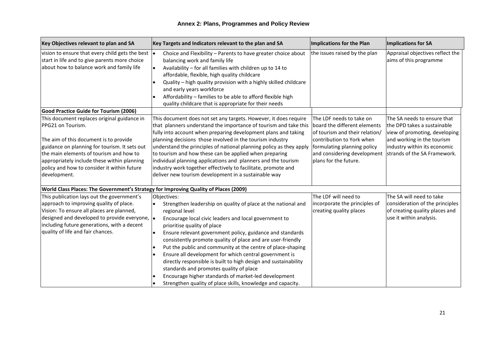| Key Objectives relevant to plan and SA                                                                                                                              | Key Targets and Indicators relevant to the plan and SA                                                                                                                                                                                                                                                                                                                                                                                             | <b>Implications for the Plan</b>                                                           | Implications for SA                                                                         |
|---------------------------------------------------------------------------------------------------------------------------------------------------------------------|----------------------------------------------------------------------------------------------------------------------------------------------------------------------------------------------------------------------------------------------------------------------------------------------------------------------------------------------------------------------------------------------------------------------------------------------------|--------------------------------------------------------------------------------------------|---------------------------------------------------------------------------------------------|
| vision to ensure that every child gets the best $\vert \bullet \vert$<br>start in life and to give parents more choice<br>about how to balance work and family life | Choice and Flexibility - Parents to have greater choice about<br>balancing work and family life<br>Availability - for all families with children up to 14 to<br>$\bullet$<br>affordable, flexible, high quality childcare<br>Quality - high quality provision with a highly skilled childcare<br>and early years workforce<br>Affordability - families to be able to afford flexible high<br>quality childcare that is appropriate for their needs | the issues raised by the plan                                                              | Appraisal objectives reflect the<br>aims of this programme                                  |
| <b>Good Practice Guide for Tourism (2006)</b>                                                                                                                       |                                                                                                                                                                                                                                                                                                                                                                                                                                                    |                                                                                            |                                                                                             |
| This document replaces original guidance in<br>PPG21 on Tourism.                                                                                                    | This document does not set any targets. However, it does require<br>that planners understand the importance of tourism and take this<br>fully into account when preparing development plans and taking                                                                                                                                                                                                                                             | The LDF needs to take on<br>board the different elements<br>of tourism and their relation/ | The SA needs to ensure that<br>the DPD takes a sustainable<br>view of promoting, developing |
| The aim of this document is to provide                                                                                                                              | planning decisions those involved in the tourism industry                                                                                                                                                                                                                                                                                                                                                                                          | contribution to York when                                                                  | and working in the tourism                                                                  |
| guidance on planning for tourism. It sets out                                                                                                                       | understand the principles of national planning policy as they apply                                                                                                                                                                                                                                                                                                                                                                                | formulating planning policy                                                                | industry within its economic                                                                |
| the main elements of tourism and how to                                                                                                                             | to tourism and how these can be applied when preparing                                                                                                                                                                                                                                                                                                                                                                                             | and considering development                                                                | strands of the SA Framework.                                                                |
| appropriately include these within planning                                                                                                                         | individual planning applications and planners and the tourism                                                                                                                                                                                                                                                                                                                                                                                      | plans for the future.                                                                      |                                                                                             |
| policy and how to consider it within future<br>development.                                                                                                         | industry work together effectively to facilitate, promote and<br>deliver new tourism development in a sustainable way                                                                                                                                                                                                                                                                                                                              |                                                                                            |                                                                                             |
| World Class Places: The Government's Strategy for Improving Quality of Places (2009)                                                                                |                                                                                                                                                                                                                                                                                                                                                                                                                                                    |                                                                                            |                                                                                             |
| This publication lays out the government's                                                                                                                          | Objectives:                                                                                                                                                                                                                                                                                                                                                                                                                                        | The LDF will need to                                                                       | The SA will need to take                                                                    |
| approach to improving quality of place.                                                                                                                             | Strengthen leadership on quality of place at the national and                                                                                                                                                                                                                                                                                                                                                                                      | incorporate the principles of                                                              | consideration of the principles                                                             |
| Vision: To ensure all places are planned,                                                                                                                           | regional level                                                                                                                                                                                                                                                                                                                                                                                                                                     | creating quality places                                                                    | of creating quality places and                                                              |
| designed and developed to provide everyone, $\bullet$                                                                                                               | Encourage local civic leaders and local government to                                                                                                                                                                                                                                                                                                                                                                                              |                                                                                            | use it within analysis.                                                                     |
| including future generations, with a decent                                                                                                                         | prioritise quality of place                                                                                                                                                                                                                                                                                                                                                                                                                        |                                                                                            |                                                                                             |
| quality of life and fair chances.                                                                                                                                   | Ensure relevant government policy, guidance and standards<br>l e<br>consistently promote quality of place and are user-friendly                                                                                                                                                                                                                                                                                                                    |                                                                                            |                                                                                             |
|                                                                                                                                                                     | Put the public and community at the centre of place-shaping                                                                                                                                                                                                                                                                                                                                                                                        |                                                                                            |                                                                                             |
|                                                                                                                                                                     | Ensure all development for which central government is                                                                                                                                                                                                                                                                                                                                                                                             |                                                                                            |                                                                                             |
|                                                                                                                                                                     | directly responsible is built to high design and sustainability                                                                                                                                                                                                                                                                                                                                                                                    |                                                                                            |                                                                                             |
|                                                                                                                                                                     | standards and promotes quality of place                                                                                                                                                                                                                                                                                                                                                                                                            |                                                                                            |                                                                                             |
|                                                                                                                                                                     | Encourage higher standards of market-led development                                                                                                                                                                                                                                                                                                                                                                                               |                                                                                            |                                                                                             |
|                                                                                                                                                                     | Strengthen quality of place skills, knowledge and capacity.                                                                                                                                                                                                                                                                                                                                                                                        |                                                                                            |                                                                                             |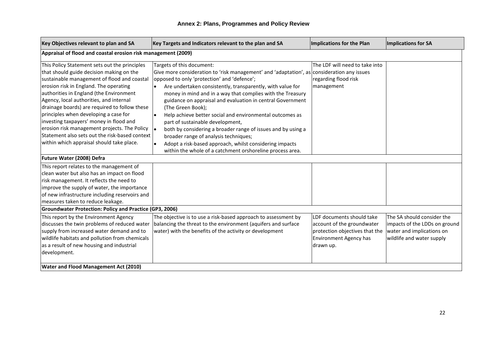| Key Objectives relevant to plan and SA                                                                                                                                                                                                                                                                                                                                                                                                                                                                                                                                             | Key Targets and Indicators relevant to the plan and SA                                                                                                                                                                                                                                                                                                                                                                                                                                                                                                                                                                                                                 | Implications for the Plan                                                                                                               | Implications for SA                                                                                                   |
|------------------------------------------------------------------------------------------------------------------------------------------------------------------------------------------------------------------------------------------------------------------------------------------------------------------------------------------------------------------------------------------------------------------------------------------------------------------------------------------------------------------------------------------------------------------------------------|------------------------------------------------------------------------------------------------------------------------------------------------------------------------------------------------------------------------------------------------------------------------------------------------------------------------------------------------------------------------------------------------------------------------------------------------------------------------------------------------------------------------------------------------------------------------------------------------------------------------------------------------------------------------|-----------------------------------------------------------------------------------------------------------------------------------------|-----------------------------------------------------------------------------------------------------------------------|
| Appraisal of flood and coastal erosion risk management (2009)                                                                                                                                                                                                                                                                                                                                                                                                                                                                                                                      |                                                                                                                                                                                                                                                                                                                                                                                                                                                                                                                                                                                                                                                                        |                                                                                                                                         |                                                                                                                       |
| This Policy Statement sets out the principles<br>that should guide decision making on the<br>sustainable management of flood and coastal<br>erosion risk in England. The operating<br>authorities in England (the Environment<br>Agency, local authorities, and internal<br>drainage boards) are required to follow these<br>principles when developing a case for<br>investing taxpayers' money in flood and<br>erosion risk management projects. The Policy $\vert \bullet \vert$<br>Statement also sets out the risk-based context<br>within which appraisal should take place. | Targets of this document:<br>Give more consideration to 'risk management' and 'adaptation', as consideration any issues<br>opposed to only 'protection' and 'defence';<br>Are undertaken consistently, transparently, with value for<br>money in mind and in a way that complies with the Treasury<br>guidance on appraisal and evaluation in central Government<br>(The Green Book);<br>Help achieve better social and environmental outcomes as<br>$\bullet$<br>part of sustainable development,<br>both by considering a broader range of issues and by using a<br>broader range of analysis techniques;<br>Adopt a risk-based approach, whilst considering impacts | The LDF will need to take into<br>regarding flood risk<br>management                                                                    |                                                                                                                       |
| Future Water (2008) Defra                                                                                                                                                                                                                                                                                                                                                                                                                                                                                                                                                          | within the whole of a catchment orshoreline process area.                                                                                                                                                                                                                                                                                                                                                                                                                                                                                                                                                                                                              |                                                                                                                                         |                                                                                                                       |
| This report relates to the management of<br>clean water but also has an impact on flood<br>risk management. It reflects the need to<br>improve the supply of water, the importance<br>of new infrastructure including reservoirs and<br>measures taken to reduce leakage.                                                                                                                                                                                                                                                                                                          |                                                                                                                                                                                                                                                                                                                                                                                                                                                                                                                                                                                                                                                                        |                                                                                                                                         |                                                                                                                       |
| Groundwater Protection: Policy and Practice (GP3, 2006)                                                                                                                                                                                                                                                                                                                                                                                                                                                                                                                            |                                                                                                                                                                                                                                                                                                                                                                                                                                                                                                                                                                                                                                                                        |                                                                                                                                         |                                                                                                                       |
| This report by the Environment Agency<br>discusses the twin problems of reduced water<br>supply from increased water demand and to<br>wildlife habitats and pollution from chemicals<br>as a result of new housing and industrial<br>development.                                                                                                                                                                                                                                                                                                                                  | The objective is to use a risk-based approach to assessment by<br>balancing the threat to the environment (aquifers and surface<br>water) with the benefits of the activity or development                                                                                                                                                                                                                                                                                                                                                                                                                                                                             | LDF documents should take<br>account of the groundwater<br>protection objectives that the<br><b>Environment Agency has</b><br>drawn up. | The SA should consider the<br>impacts of the LDDs on ground<br>water and implications on<br>wildlife and water supply |
| <b>Water and Flood Management Act (2010)</b>                                                                                                                                                                                                                                                                                                                                                                                                                                                                                                                                       |                                                                                                                                                                                                                                                                                                                                                                                                                                                                                                                                                                                                                                                                        |                                                                                                                                         |                                                                                                                       |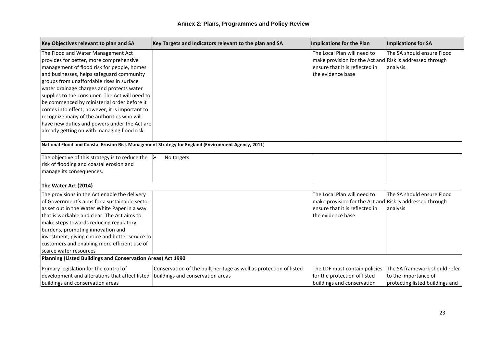| Key Objectives relevant to plan and SA                      | Key Targets and Indicators relevant to the plan and SA                                             | Implications for the Plan                                | Implications for SA             |
|-------------------------------------------------------------|----------------------------------------------------------------------------------------------------|----------------------------------------------------------|---------------------------------|
| The Flood and Water Management Act                          |                                                                                                    | The Local Plan will need to                              | The SA should ensure Flood      |
| provides for better, more comprehensive                     |                                                                                                    | make provision for the Act and Risk is addressed through |                                 |
| management of flood risk for people, homes                  |                                                                                                    | ensure that it is reflected in                           | analysis.                       |
| and businesses, helps safeguard community                   |                                                                                                    | the evidence base                                        |                                 |
| groups from unaffordable rises in surface                   |                                                                                                    |                                                          |                                 |
| water drainage charges and protects water                   |                                                                                                    |                                                          |                                 |
| supplies to the consumer. The Act will need to              |                                                                                                    |                                                          |                                 |
| be commenced by ministerial order before it                 |                                                                                                    |                                                          |                                 |
| comes into effect; however, it is important to              |                                                                                                    |                                                          |                                 |
| recognize many of the authorities who will                  |                                                                                                    |                                                          |                                 |
| have new duties and powers under the Act are                |                                                                                                    |                                                          |                                 |
| already getting on with managing flood risk.                |                                                                                                    |                                                          |                                 |
|                                                             | National Flood and Coastal Erosion Risk Management Strategy for England (Environment Agency, 2011) |                                                          |                                 |
| The objective of this strategy is to reduce the             | No targets                                                                                         |                                                          |                                 |
| risk of flooding and coastal erosion and                    |                                                                                                    |                                                          |                                 |
| manage its consequences.                                    |                                                                                                    |                                                          |                                 |
| The Water Act (2014)                                        |                                                                                                    |                                                          |                                 |
| The provisions in the Act enable the delivery               |                                                                                                    | The Local Plan will need to                              | The SA should ensure Flood      |
| of Government's aims for a sustainable sector               |                                                                                                    | make provision for the Act and Risk is addressed through |                                 |
| as set out in the Water White Paper in a way                |                                                                                                    | ensure that it is reflected in                           | analysis                        |
| that is workable and clear. The Act aims to                 |                                                                                                    | the evidence base                                        |                                 |
| make steps towards reducing regulatory                      |                                                                                                    |                                                          |                                 |
| burdens, promoting innovation and                           |                                                                                                    |                                                          |                                 |
| investment, giving choice and better service to             |                                                                                                    |                                                          |                                 |
| customers and enabling more efficient use of                |                                                                                                    |                                                          |                                 |
| scarce water resources                                      |                                                                                                    |                                                          |                                 |
| Planning (Listed Buildings and Conservation Areas) Act 1990 |                                                                                                    |                                                          |                                 |
| Primary legislation for the control of                      | Conservation of the built heritage as well as protection of listed                                 | The LDF must contain policies                            | The SA framework should refer   |
| development and alterations that affect listed              | buildings and conservation areas                                                                   | for the protection of listed                             | to the importance of            |
| buildings and conservation areas                            |                                                                                                    | buildings and conservation                               | protecting listed buildings and |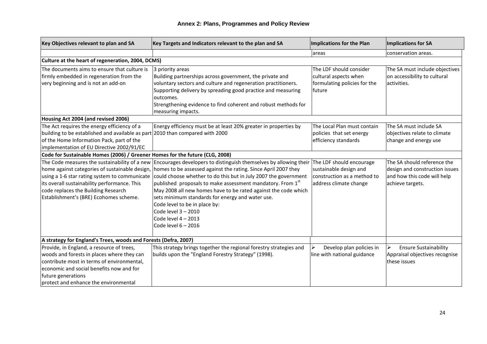| Key Objectives relevant to plan and SA                                                                                                                                                                                                           | Key Targets and Indicators relevant to the plan and SA                                                                                                                                                                                                                                                                                                                                                                                                                                                                                                                                                                                                  | Implications for the Plan                                                                                   | <b>Implications for SA</b>                                                                                       |
|--------------------------------------------------------------------------------------------------------------------------------------------------------------------------------------------------------------------------------------------------|---------------------------------------------------------------------------------------------------------------------------------------------------------------------------------------------------------------------------------------------------------------------------------------------------------------------------------------------------------------------------------------------------------------------------------------------------------------------------------------------------------------------------------------------------------------------------------------------------------------------------------------------------------|-------------------------------------------------------------------------------------------------------------|------------------------------------------------------------------------------------------------------------------|
|                                                                                                                                                                                                                                                  |                                                                                                                                                                                                                                                                                                                                                                                                                                                                                                                                                                                                                                                         | areas                                                                                                       | conservation areas.                                                                                              |
| Culture at the heart of regeneration, 2004, DCMS)                                                                                                                                                                                                |                                                                                                                                                                                                                                                                                                                                                                                                                                                                                                                                                                                                                                                         |                                                                                                             |                                                                                                                  |
| The documents aims to ensure that culture is<br>firmly embedded in regeneration from the<br>very beginning and is not an add-on                                                                                                                  | 3 priority areas<br>Building partnerships across government, the private and<br>voluntary sectors and culture and regeneration practitioners.<br>Supporting delivery by spreading good practice and measuring<br>loutcomes.<br>Strengthening evidence to find coherent and robust methods for<br>measuring impacts.                                                                                                                                                                                                                                                                                                                                     | The LDF should consider<br>cultural aspects when<br>formulating policies for the<br>future                  | The SA must include objectives<br>on accessibility to cultural<br>activities.                                    |
| Housing Act 2004 (and revised 2006)                                                                                                                                                                                                              |                                                                                                                                                                                                                                                                                                                                                                                                                                                                                                                                                                                                                                                         |                                                                                                             |                                                                                                                  |
| The Act requires the energy efficiency of a<br>building to be established and available as part 2010 than compared with 2000<br>of the Home Information Pack, part of the<br>implementation of EU Directive 2002/91/EC                           | Energy efficiency must be at least 20% greater in properties by                                                                                                                                                                                                                                                                                                                                                                                                                                                                                                                                                                                         | The Local Plan must contain<br>policies that set energy<br>efficiency standards                             | The SA must include SA<br>objectives relate to climate<br>change and energy use                                  |
| Code for Sustainable Homes (2006) / Greener Homes for the future (CLG, 2008)                                                                                                                                                                     |                                                                                                                                                                                                                                                                                                                                                                                                                                                                                                                                                                                                                                                         |                                                                                                             |                                                                                                                  |
| its overall sustainability performance. This<br>code replaces the Building Research<br>Establishment's (BRE) Ecohomes scheme.                                                                                                                    | The Code measures the sustainability of a new $\vert$ Encourages developers to distinguish themselves by allowing their<br>home against categories of sustainable design, homes to be assessed against the rating. Since April 2007 they<br>using a 1-6 star rating system to communicate could choose whether to do this but in July 2007 the government<br>published proposals to make assessment mandatory. From $1st$<br>May 2008 all new homes have to be rated against the code which<br>sets minimum standards for energy and water use.<br>Code level to be in place by:<br>Code level $3 - 2010$<br>Code level 4 - 2013<br>Code level 6 - 2016 | The LDF should encourage<br>sustainable design and<br>construction as a method to<br>address climate change | The SA should reference the<br>design and construction issues<br>and how this code will help<br>achieve targets. |
| A strategy for England's Trees, woods and Forests (Defra, 2007)                                                                                                                                                                                  |                                                                                                                                                                                                                                                                                                                                                                                                                                                                                                                                                                                                                                                         |                                                                                                             |                                                                                                                  |
| Provide, in England, a resource of trees,<br>woods and forests in places where they can<br>contribute most in terms of environmental,<br>economic and social benefits now and for<br>future generations<br>protect and enhance the environmental | This strategy brings together the regional forestry strategies and<br>builds upon the "England Forestry Strategy" (1998).                                                                                                                                                                                                                                                                                                                                                                                                                                                                                                                               | Develop plan policies in<br>⋗<br>line with national guidance                                                | <b>Ensure Sustainability</b><br>Appraisal objectives recognise<br>these issues                                   |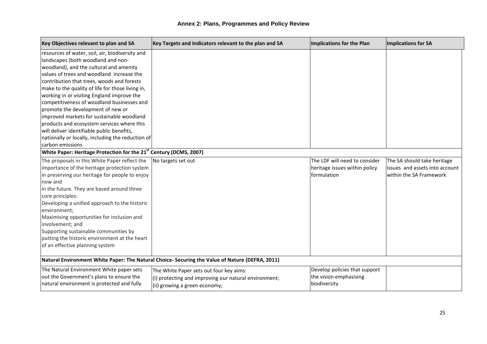| Key Objectives relevant to plan and SA                                                                                                                                                                                                                                                                                                                                                                                                                                                                                                                                                                                             | Key Targets and Indicators relevant to the plan and SA                                                                              | <b>Implications for the Plan</b>                                              | Implications for SA                                                                      |
|------------------------------------------------------------------------------------------------------------------------------------------------------------------------------------------------------------------------------------------------------------------------------------------------------------------------------------------------------------------------------------------------------------------------------------------------------------------------------------------------------------------------------------------------------------------------------------------------------------------------------------|-------------------------------------------------------------------------------------------------------------------------------------|-------------------------------------------------------------------------------|------------------------------------------------------------------------------------------|
| resources of water, soil, air, biodiversity and<br>landscapes (both woodland and non-<br>woodland), and the cultural and amenity<br>values of trees and woodland increase the<br>contribution that trees, woods and forests<br>make to the quality of life for those living in,<br>working in or visiting England improve the<br>competitiveness of woodland businesses and<br>promote the development of new or<br>improved markets for sustainable woodland<br>products and ecosystem services where this<br>will deliver identifiable public benefits,<br>nationally or locally, including the reduction of<br>carbon emissions |                                                                                                                                     |                                                                               |                                                                                          |
| White Paper: Heritage Protection for the 21 <sup>st</sup> Century (DCMS, 2007)                                                                                                                                                                                                                                                                                                                                                                                                                                                                                                                                                     |                                                                                                                                     |                                                                               |                                                                                          |
| The proposals in this White Paper reflect the<br>importance of the heritage protection system<br>in preserving our heritage for people to enjoy<br>now and<br>in the future. They are based around three<br>core principles:<br>Developing a unified approach to the historic<br>environment;<br>Maximising opportunities for inclusion and<br>involvement; and<br>Supporting sustainable communities by<br>putting the historic environment at the heart<br>of an effective planning system                                                                                                                                       | No targets set out                                                                                                                  | The LDF will need to consider<br>heritage issues within policy<br>formulation | The SA should take heritage<br>issues and assets into account<br>within the SA Framework |
|                                                                                                                                                                                                                                                                                                                                                                                                                                                                                                                                                                                                                                    | Natural Environment White Paper: The Natural Choice- Securing the Value of Nature (DEFRA, 2011)                                     |                                                                               |                                                                                          |
| The Natural Environment White paper sets<br>out the Government's plans to ensure the<br>natural environment is protected and fully                                                                                                                                                                                                                                                                                                                                                                                                                                                                                                 | The White Paper sets out four key aims:<br>$(i)$ protecting and improving our natural environment;<br>(ii) growing a green economy; | Develop policies that support<br>the vision emphasising<br>biodiversity       |                                                                                          |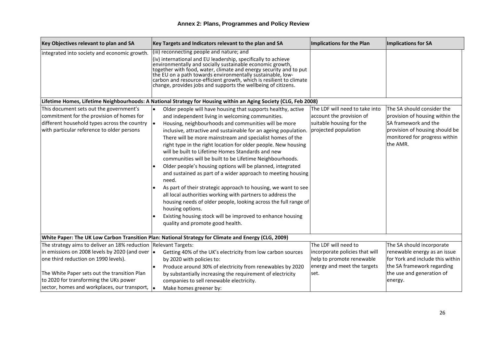## **Annex 2: Plans, Programmes and Policy Review**

| Key Objectives relevant to plan and SA                                                                                                                                                                                                                                                                                           | Key Targets and Indicators relevant to the plan and SA                                                                                                                                                                                                                                                                                                                                                                                                                                                                                                                                                                                                                                                                                                                                                                                                                                                                                                             | Implications for the Plan                                                                                                  | <b>Implications for SA</b>                                                                                                                                           |
|----------------------------------------------------------------------------------------------------------------------------------------------------------------------------------------------------------------------------------------------------------------------------------------------------------------------------------|--------------------------------------------------------------------------------------------------------------------------------------------------------------------------------------------------------------------------------------------------------------------------------------------------------------------------------------------------------------------------------------------------------------------------------------------------------------------------------------------------------------------------------------------------------------------------------------------------------------------------------------------------------------------------------------------------------------------------------------------------------------------------------------------------------------------------------------------------------------------------------------------------------------------------------------------------------------------|----------------------------------------------------------------------------------------------------------------------------|----------------------------------------------------------------------------------------------------------------------------------------------------------------------|
| integrated into society and economic growth.                                                                                                                                                                                                                                                                                     | (iii) reconnecting people and nature; and<br>(iv) international and EU leadership, specifically to achieve<br>environmentally and socially sustainable economic growth,<br>together with food, water, climate and energy security and to put<br>the EU on a path towards environmentally sustainable, low-<br>carbon and resource-efficient growth, which is resilient to climate<br>change, provides jobs and supports the wellbeing of citizens.                                                                                                                                                                                                                                                                                                                                                                                                                                                                                                                 |                                                                                                                            |                                                                                                                                                                      |
|                                                                                                                                                                                                                                                                                                                                  | Lifetime Homes, Lifetime Neighbourhoods: A National Strategy for Housing within an Aging Society (CLG, Feb 2008)                                                                                                                                                                                                                                                                                                                                                                                                                                                                                                                                                                                                                                                                                                                                                                                                                                                   |                                                                                                                            |                                                                                                                                                                      |
| This document sets out the government's<br>commitment for the provision of homes for<br>different household types across the country<br>with particular reference to older persons                                                                                                                                               | Older people will have housing that supports healthy, active<br>and independent living in welcoming communities.<br>le.<br>Housing, neighbourhoods and communities will be more<br>inclusive, attractive and sustainable for an ageing population.<br>There will be more mainstream and specialist homes of the<br>right type in the right location for older people. New housing<br>will be built to Lifetime Homes Standards and new<br>communities will be built to be Lifetime Neighbourhoods.<br>Older people's housing options will be planned, integrated<br>and sustained as part of a wider approach to meeting housing<br>need.<br>As part of their strategic approach to housing, we want to see<br>all local authorities working with partners to address the<br>housing needs of older people, looking across the full range of<br>housing options.<br>Existing housing stock will be improved to enhance housing<br>quality and promote good health. | The LDF will need to take into<br>account the provision of<br>suitable housing for the<br>projected population             | The SA should consider the<br>provision of housing within the<br>SA framework and the<br>provision of housing should be<br>monitored for progress within<br>the AMR. |
|                                                                                                                                                                                                                                                                                                                                  | White Paper: The UK Low Carbon Transition Plan: National Strategy for Climate and Energy (CLG, 2009)                                                                                                                                                                                                                                                                                                                                                                                                                                                                                                                                                                                                                                                                                                                                                                                                                                                               |                                                                                                                            |                                                                                                                                                                      |
| The strategy aims to deliver an 18% reduction Relevant Targets:<br>in emissions on 2008 levels by 2020 (and over $\cdot$<br>one third reduction on 1990 levels).<br>The White Paper sets out the transition Plan<br>to 2020 for transforming the UKs power<br>sector, homes and workplaces, our transport, $\vert \bullet \vert$ | Getting 40% of the UK's electricity from low carbon sources<br>by 2020 with policies to:<br>Produce around 30% of electricity from renewables by 2020<br>l.<br>by substantially increasing the requirement of electricity<br>companies to sell renewable electricity.<br>Make homes greener by:                                                                                                                                                                                                                                                                                                                                                                                                                                                                                                                                                                                                                                                                    | The LDF will need to<br>incorporate policies that will<br>help to promote renewable<br>energy and meet the targets<br>set. | The SA should incorporate<br>renewable energy as an issue<br>for York and include this within<br>the SA framework regarding<br>the use and generation of<br>energy.  |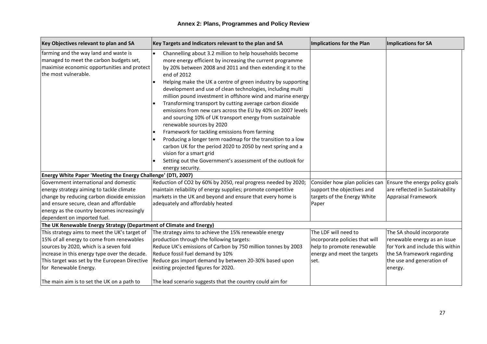| Key Objectives relevant to plan and SA                                                                                                                                                                                                                                                                        | Key Targets and Indicators relevant to the plan and SA                                                                                                                                                                                                                                                                                                                                                                                                                                                                                                                                                                                                                                                                                                                                                                                                                                                                           | Implications for the Plan                                                                                                  | Implications for SA                                                                                                                                                 |
|---------------------------------------------------------------------------------------------------------------------------------------------------------------------------------------------------------------------------------------------------------------------------------------------------------------|----------------------------------------------------------------------------------------------------------------------------------------------------------------------------------------------------------------------------------------------------------------------------------------------------------------------------------------------------------------------------------------------------------------------------------------------------------------------------------------------------------------------------------------------------------------------------------------------------------------------------------------------------------------------------------------------------------------------------------------------------------------------------------------------------------------------------------------------------------------------------------------------------------------------------------|----------------------------------------------------------------------------------------------------------------------------|---------------------------------------------------------------------------------------------------------------------------------------------------------------------|
| farming and the way land and waste is<br>managed to meet the carbon budgets set,<br>maximise economic opportunities and protect<br>the most vulnerable.                                                                                                                                                       | Channelling about 3.2 million to help households become<br>$\bullet$<br>more energy efficient by increasing the current programme<br>by 20% between 2008 and 2011 and then extending it to the<br>end of 2012<br>Helping make the UK a centre of green industry by supporting<br>l e<br>development and use of clean technologies, including multi<br>million pound investment in offshore wind and marine energy<br>Transforming transport by cutting average carbon dioxide<br>emissions from new cars across the EU by 40% on 2007 levels<br>and sourcing 10% of UK transport energy from sustainable<br>renewable sources by 2020<br>Framework for tackling emissions from farming<br>Producing a longer term roadmap for the transition to a low<br>carbon UK for the period 2020 to 2050 by next spring and a<br>vision for a smart grid<br>Setting out the Government's assessment of the outlook for<br>energy security. |                                                                                                                            |                                                                                                                                                                     |
| Energy White Paper 'Meeting the Energy Challenge' (DTI, 2007)                                                                                                                                                                                                                                                 |                                                                                                                                                                                                                                                                                                                                                                                                                                                                                                                                                                                                                                                                                                                                                                                                                                                                                                                                  |                                                                                                                            |                                                                                                                                                                     |
| Government international and domestic<br>energy strategy aiming to tackle climate<br>change by reducing carbon dioxide emission<br>and ensure secure, clean and affordable<br>energy as the country becomes increasingly<br>dependent on imported fuel.                                                       | Reduction of CO2 by 60% by 2050, real progress needed by 2020;<br>maintain reliability of energy supplies; promote competitive<br>markets in the UK and beyond and ensure that every home is<br>adequately and affordably heated                                                                                                                                                                                                                                                                                                                                                                                                                                                                                                                                                                                                                                                                                                 | Consider how plan policies can<br>support the objectives and<br>targets of the Energy White<br>Paper                       | Ensure the energy policy goals<br>are reflected in Sustainability<br><b>Appraisal Framework</b>                                                                     |
| The UK Renewable Energy Strategy (Department of Climate and Energy)                                                                                                                                                                                                                                           |                                                                                                                                                                                                                                                                                                                                                                                                                                                                                                                                                                                                                                                                                                                                                                                                                                                                                                                                  |                                                                                                                            |                                                                                                                                                                     |
| This strategy aims to meet the UK's target of<br>15% of all energy to come from renewables<br>sources by 2020, which is a seven fold<br>increase in this energy type over the decade.<br>This target was set by the European Directive<br>for Renewable Energy.<br>The main aim is to set the UK on a path to | The strategy aims to achieve the 15% renewable energy<br>production through the following targets:<br>Reduce UK's emissions of Carbon by 750 million tonnes by 2003<br>Reduce fossil fuel demand by 10%<br>Reduce gas import demand by between 20-30% based upon<br>existing projected figures for 2020.<br>The lead scenario suggests that the country could aim for                                                                                                                                                                                                                                                                                                                                                                                                                                                                                                                                                            | The LDF will need to<br>incorporate policies that will<br>help to promote renewable<br>energy and meet the targets<br>set. | The SA should incorporate<br>renewable energy as an issue<br>for York and include this within<br>the SA framework regarding<br>the use and generation of<br>energy. |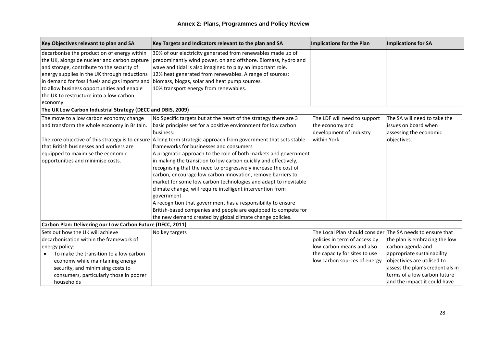| Key Objectives relevant to plan and SA                      | Key Targets and Indicators relevant to the plan and SA                                                           | <b>Implications for the Plan</b>                           | Implications for SA              |
|-------------------------------------------------------------|------------------------------------------------------------------------------------------------------------------|------------------------------------------------------------|----------------------------------|
| decarbonise the production of energy within                 | 30% of our electricity generated from renewables made up of                                                      |                                                            |                                  |
|                                                             | the UK, alongside nuclear and carbon capture predominantly wind power, on and offshore. Biomass, hydro and       |                                                            |                                  |
| and storage, contribute to the security of                  | wave and tidal is also imagined to play an important role.                                                       |                                                            |                                  |
| energy supplies in the UK through reductions                | 12% heat generated from renewables. A range of sources:                                                          |                                                            |                                  |
| in demand for fossil fuels and gas imports and              | biomass, biogas, solar and heat pump sources.                                                                    |                                                            |                                  |
| to allow business opportunities and enable                  | 10% transport energy from renewables.                                                                            |                                                            |                                  |
| the UK to restructure into a low-carbon                     |                                                                                                                  |                                                            |                                  |
| economy.                                                    |                                                                                                                  |                                                            |                                  |
| The UK Low Carbon Industrial Strategy (DECC and DBIS, 2009) |                                                                                                                  |                                                            |                                  |
| The move to a low carbon economy change                     | No Specific targets but at the heart of the strategy there are 3                                                 | The LDF will need to support                               | The SA will need to take the     |
| and transform the whole economy in Britain.                 | basic principles set for a positive environment for low carbon                                                   | the economy and                                            | issues on board when             |
|                                                             | business:                                                                                                        | development of industry                                    | assessing the economic           |
|                                                             | The core objective of this strategy is to ensure A long term strategic approach from government that sets stable | within York                                                | objectives.                      |
| that British businesses and workers are                     | frameworks for businesses and consumers                                                                          |                                                            |                                  |
| equipped to maximise the economic                           | A pragmatic approach to the role of both markets and government                                                  |                                                            |                                  |
| opportunities and minimise costs.                           | in making the transition to low carbon quickly and effectively,                                                  |                                                            |                                  |
|                                                             | recognising that the need to progressively increase the cost of                                                  |                                                            |                                  |
|                                                             | carbon, encourage low carbon innovation, remove barriers to                                                      |                                                            |                                  |
|                                                             | market for some low carbon technologies and adapt to inevitable                                                  |                                                            |                                  |
|                                                             | climate change, will require intelligent intervention from                                                       |                                                            |                                  |
|                                                             | government                                                                                                       |                                                            |                                  |
|                                                             | A recognition that government has a responsibility to ensure                                                     |                                                            |                                  |
|                                                             | British-based companies and people are equipped to compete for                                                   |                                                            |                                  |
|                                                             | the new demand created by global climate change policies.                                                        |                                                            |                                  |
| Carbon Plan: Delivering our Low Carbon Future (DECC, 2011)  |                                                                                                                  |                                                            |                                  |
| Sets out how the UK will achieve                            | No key targets                                                                                                   | The Local Plan should consider The SA needs to ensure that |                                  |
| decarbonisation within the framework of                     |                                                                                                                  | policies in term of access by                              | the plan is embracing the low    |
| energy policy:                                              |                                                                                                                  | low-carbon means and also                                  | carbon agenda and                |
| To make the transition to a low carbon                      |                                                                                                                  | the capacity for sites to use                              | appropriate sustainability       |
| economy while maintaining energy                            |                                                                                                                  | low carbon sources of energy                               | objectivies are utilised to      |
| security, and minimising costs to                           |                                                                                                                  |                                                            | assess the plan's credentials in |
| consumers, particularly those in poorer                     |                                                                                                                  |                                                            | terms of a low carbon future     |
| households                                                  |                                                                                                                  |                                                            | and the impact it could have     |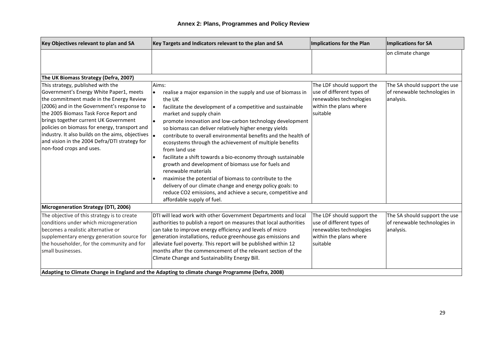| Key Objectives relevant to plan and SA                                                                                                                                                                                                                                                                                                                                                                                                                        | Key Targets and Indicators relevant to the plan and SA                                                                                                                                                                                                                                                                                                                                                                                                                                                                                                                                                                                                                                                                                                                                                                                           | <b>Implications for the Plan</b>                                                                                         | Implications for SA                                                        |
|---------------------------------------------------------------------------------------------------------------------------------------------------------------------------------------------------------------------------------------------------------------------------------------------------------------------------------------------------------------------------------------------------------------------------------------------------------------|--------------------------------------------------------------------------------------------------------------------------------------------------------------------------------------------------------------------------------------------------------------------------------------------------------------------------------------------------------------------------------------------------------------------------------------------------------------------------------------------------------------------------------------------------------------------------------------------------------------------------------------------------------------------------------------------------------------------------------------------------------------------------------------------------------------------------------------------------|--------------------------------------------------------------------------------------------------------------------------|----------------------------------------------------------------------------|
|                                                                                                                                                                                                                                                                                                                                                                                                                                                               |                                                                                                                                                                                                                                                                                                                                                                                                                                                                                                                                                                                                                                                                                                                                                                                                                                                  |                                                                                                                          | on climate change                                                          |
| The UK Biomass Strategy (Defra, 2007)                                                                                                                                                                                                                                                                                                                                                                                                                         |                                                                                                                                                                                                                                                                                                                                                                                                                                                                                                                                                                                                                                                                                                                                                                                                                                                  |                                                                                                                          |                                                                            |
| This strategy, published with the<br>Government's Energy White Paper1, meets<br>the commitment made in the Energy Review<br>(2006) and in the Government's response to<br>the 2005 Biomass Task Force Report and<br>brings together current UK Government<br>policies on biomass for energy, transport and<br>industry. It also builds on the aims, objectives $\vert_{\bullet}$<br>and vision in the 2004 Defra/DTI strategy for<br>non-food crops and uses. | Aims:<br>realise a major expansion in the supply and use of biomass in<br>$\bullet$<br>the UK<br>facilitate the development of a competitive and sustainable<br>I۰<br>market and supply chain<br>promote innovation and low-carbon technology development<br>I۰<br>so biomass can deliver relatively higher energy yields<br>contribute to overall environmental benefits and the health of<br>ecosystems through the achievement of multiple benefits<br>from land use<br>facilitate a shift towards a bio-economy through sustainable<br>growth and development of biomass use for fuels and<br>renewable materials<br>maximise the potential of biomass to contribute to the<br>lo<br>delivery of our climate change and energy policy goals: to<br>reduce CO2 emissions, and achieve a secure, competitive and<br>affordable supply of fuel. | The LDF should support the<br>use of different types of<br>renewables technologies<br>within the plans where<br>suitable | The SA should support the use<br>of renewable technologies in<br>analysis. |
| Microgeneration Strategy (DTI, 2006)                                                                                                                                                                                                                                                                                                                                                                                                                          |                                                                                                                                                                                                                                                                                                                                                                                                                                                                                                                                                                                                                                                                                                                                                                                                                                                  |                                                                                                                          |                                                                            |
| The objective of this strategy is to create<br>conditions under which microgeneration<br>becomes a realistic alternative or<br>supplementary energy generation source for<br>the householder, for the community and for<br>small businesses.                                                                                                                                                                                                                  | DTI will lead work with other Government Departments and local<br>authorities to publish a report on measures that local authorities<br>can take to improve energy efficiency and levels of micro<br>generation installations, reduce greenhouse gas emissions and<br>alleviate fuel poverty. This report will be published within 12<br>months after the commencement of the relevant section of the<br>Climate Change and Sustainability Energy Bill.                                                                                                                                                                                                                                                                                                                                                                                          | The LDF should support the<br>use of different types of<br>renewables technologies<br>within the plans where<br>suitable | The SA should support the use<br>of renewable technologies in<br>analysis. |
|                                                                                                                                                                                                                                                                                                                                                                                                                                                               | Adapting to Climate Change in England and the Adapting to climate change Programme (Defra, 2008)                                                                                                                                                                                                                                                                                                                                                                                                                                                                                                                                                                                                                                                                                                                                                 |                                                                                                                          |                                                                            |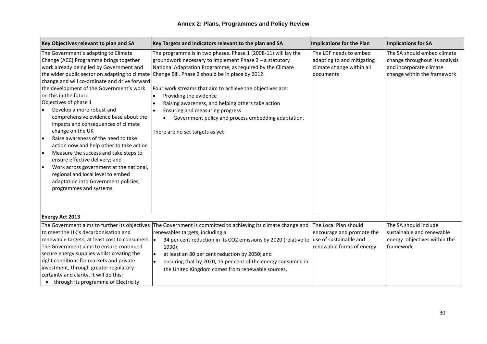| Key Objectives relevant to plan and SA                                                                                                                                                                                                                                                                                                                                                                                                                                                                                                                                                                                                                                                                                             | Key Targets and Indicators relevant to the plan and SA                                                                                                                                                                                                                                                                                                                                                                                                                                                                                                             | <b>Implications for the Plan</b>                                                               | Implications for SA                                                                                                     |
|------------------------------------------------------------------------------------------------------------------------------------------------------------------------------------------------------------------------------------------------------------------------------------------------------------------------------------------------------------------------------------------------------------------------------------------------------------------------------------------------------------------------------------------------------------------------------------------------------------------------------------------------------------------------------------------------------------------------------------|--------------------------------------------------------------------------------------------------------------------------------------------------------------------------------------------------------------------------------------------------------------------------------------------------------------------------------------------------------------------------------------------------------------------------------------------------------------------------------------------------------------------------------------------------------------------|------------------------------------------------------------------------------------------------|-------------------------------------------------------------------------------------------------------------------------|
| The Government's adapting to Climate<br>Change (ACC) Programme brings together<br>work already being led by Government and<br>change and will co-ordinate and drive forward<br>the development of the Government's work<br>on this in the future.<br>Objectives of phase 1<br>Develop a more robust and<br>comprehensive evidence base about the<br>impacts and consequences of climate<br>change on the UK<br>Raise awareness of the need to take<br>action now and help other to take action<br>Measure the success and take steps to<br>ensure effective delivery; and<br>Work across government at the national,<br>lo<br>regional and local level to embed<br>adaptation into Government policies,<br>programmes and systems. | The programme is in two phases. Phase 1 (2008-11) will lay the<br>groundwork necessary to implement Phase 2 – a statutory<br>National Adaptation Programme, as required by the Climate<br>the wider public sector on adapting to climate Change Bill. Phase 2 should be in place by 2012.<br>Four work streams that aim to achieve the objectives are:<br>Providing the evidence<br>Raising awareness, and helping others take action<br>Ensuring and measuring progress<br>Government policy and process embedding adaptation.<br>There are no set targets as yet | The LDF needs to embed<br>adapting to and mitigating<br>climate change within all<br>documents | The SA should embed climate<br>change throughout its analysis<br>and incorporate climate<br>change within the framework |
| <b>Energy Act 2013</b>                                                                                                                                                                                                                                                                                                                                                                                                                                                                                                                                                                                                                                                                                                             |                                                                                                                                                                                                                                                                                                                                                                                                                                                                                                                                                                    |                                                                                                |                                                                                                                         |
| to meet the UK's decarbonisation and<br>renewable targets, at least cost to consumers. $\left  \bullet \right $<br>The Government aims to ensure continued<br>secure energy supplies whilst creating the<br>right conditions for markets and private<br>investment, through greater regulatory<br>certainty and clarity. It will do this:<br>• through its programme of Electricity                                                                                                                                                                                                                                                                                                                                                | The Government aims to further its objectives The Government is committed to achieving its climate change and<br>renewables targets, including a<br>34 per cent reduction in its CO2 emissions by 2020 (relative to use of sustainable and<br>1990);<br>at least an 80 per cent reduction by 2050; and<br>$\bullet$<br>ensuring that by 2020, 15 per cent of the energy consumed in<br>l.<br>the United Kingdom comes from renewable sources.                                                                                                                      | The Local Plan should<br>encourage and promote the<br>renewable forms of energy                | The SA should include<br>sustainable and renewable<br>energy objectives within the<br>framework                         |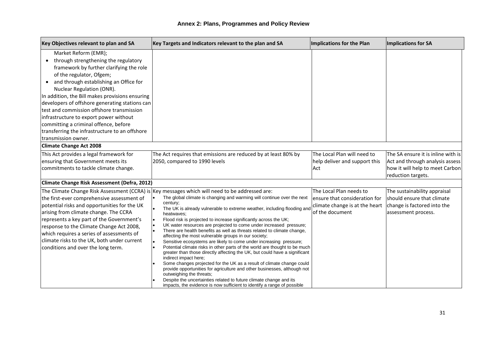| Key Objectives relevant to plan and SA                                                                                                                                                                                                                                                                                                                                                                                                                                                                                                 | Key Targets and Indicators relevant to the plan and SA                                                                                                                                                                                                                                                                                                                                                                                                                                                                                                                                                                                                                                                                                                                                                                                                                                                                                                                                                                                                                                                                                                                     | Implications for the Plan                                                                                      | Implications for SA                                                                                                            |
|----------------------------------------------------------------------------------------------------------------------------------------------------------------------------------------------------------------------------------------------------------------------------------------------------------------------------------------------------------------------------------------------------------------------------------------------------------------------------------------------------------------------------------------|----------------------------------------------------------------------------------------------------------------------------------------------------------------------------------------------------------------------------------------------------------------------------------------------------------------------------------------------------------------------------------------------------------------------------------------------------------------------------------------------------------------------------------------------------------------------------------------------------------------------------------------------------------------------------------------------------------------------------------------------------------------------------------------------------------------------------------------------------------------------------------------------------------------------------------------------------------------------------------------------------------------------------------------------------------------------------------------------------------------------------------------------------------------------------|----------------------------------------------------------------------------------------------------------------|--------------------------------------------------------------------------------------------------------------------------------|
| Market Reform (EMR);<br>through strengthening the regulatory<br>framework by further clarifying the role<br>of the regulator, Ofgem;<br>and through establishing an Office for<br>$\bullet$<br>Nuclear Regulation (ONR).<br>In addition, the Bill makes provisions ensuring<br>developers of offshore generating stations can<br>test and commission offshore transmission<br>infrastructure to export power without<br>committing a criminal offence, before<br>transferring the infrastructure to an offshore<br>transmission owner. |                                                                                                                                                                                                                                                                                                                                                                                                                                                                                                                                                                                                                                                                                                                                                                                                                                                                                                                                                                                                                                                                                                                                                                            |                                                                                                                |                                                                                                                                |
| <b>Climate Change Act 2008</b>                                                                                                                                                                                                                                                                                                                                                                                                                                                                                                         |                                                                                                                                                                                                                                                                                                                                                                                                                                                                                                                                                                                                                                                                                                                                                                                                                                                                                                                                                                                                                                                                                                                                                                            |                                                                                                                |                                                                                                                                |
| This Act provides a legal framework for<br>ensuring that Government meets its<br>commitments to tackle climate change.                                                                                                                                                                                                                                                                                                                                                                                                                 | The Act requires that emissions are reduced by at least 80% by<br>2050, compared to 1990 levels                                                                                                                                                                                                                                                                                                                                                                                                                                                                                                                                                                                                                                                                                                                                                                                                                                                                                                                                                                                                                                                                            | The Local Plan will need to<br>help deliver and support this<br>Act                                            | The SA ensure it is inline with is<br>Act and through analysis assess<br>how it will help to meet Carbon<br>reduction targets. |
| Climate Change Risk Assessment (Defra, 2012)                                                                                                                                                                                                                                                                                                                                                                                                                                                                                           |                                                                                                                                                                                                                                                                                                                                                                                                                                                                                                                                                                                                                                                                                                                                                                                                                                                                                                                                                                                                                                                                                                                                                                            |                                                                                                                |                                                                                                                                |
| the first-ever comprehensive assessment of<br>potential risks and opportunities for the UK<br>arising from climate change. The CCRA<br>represents a key part of the Government's<br>response to the Climate Change Act 2008,<br>which requires a series of assessments of<br>climate risks to the UK, both under current<br>conditions and over the long term.                                                                                                                                                                         | The Climate Change Risk Assessment (CCRA) is Key messages which will need to be addressed are:<br>The global climate is changing and warming will continue over the next<br>century;<br>The UK is already vulnerable to extreme weather, including flooding and<br>heatwaves;<br>Flood risk is projected to increase significantly across the UK;<br>$\bullet$<br>UK water resources are projected to come under increased pressure;<br>l.<br>There are health benefits as well as threats related to climate change,<br>affecting the most vulnerable groups in our society;<br>Sensitive ecosystems are likely to come under increasing pressure;<br>Potential climate risks in other parts of the world are thought to be much<br>greater than those directly affecting the UK, but could have a significant<br>indirect impact here;<br>Some changes projected for the UK as a result of climate change could<br>provide opportunities for agriculture and other businesses, although not<br>outweighing the threats;<br>Despite the uncertainties related to future climate change and its<br>impacts, the evidence is now sufficient to identify a range of possible | The Local Plan needs to<br>lensure that consideration for<br>climate change is at the heart<br>of the document | The sustainability appraisal<br>should ensure that climate<br>change is factored into the<br>assessment process.               |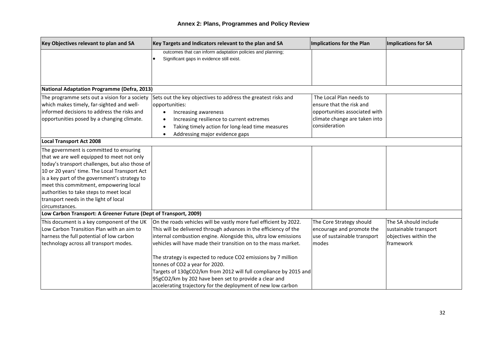| Key Objectives relevant to plan and SA                           | Key Targets and Indicators relevant to the plan and SA            | Implications for the Plan     | Implications for SA   |
|------------------------------------------------------------------|-------------------------------------------------------------------|-------------------------------|-----------------------|
|                                                                  | outcomes that can inform adaptation policies and planning;        |                               |                       |
|                                                                  | Significant gaps in evidence still exist.                         |                               |                       |
|                                                                  |                                                                   |                               |                       |
|                                                                  |                                                                   |                               |                       |
|                                                                  |                                                                   |                               |                       |
| <b>National Adaptation Programme (Defra, 2013)</b>               |                                                                   |                               |                       |
| The programme sets out a vision for a society                    | Sets out the key objectives to address the greatest risks and     | The Local Plan needs to       |                       |
| which makes timely, far-sighted and well-                        | opportunities:                                                    | ensure that the risk and      |                       |
| informed decisions to address the risks and                      | Increasing awareness                                              | opportunities associated with |                       |
| opportunities posed by a changing climate.                       | Increasing resilience to current extremes                         | climate change are taken into |                       |
|                                                                  | Taking timely action for long-lead time measures                  | consideration                 |                       |
|                                                                  | Addressing major evidence gaps                                    |                               |                       |
| <b>Local Transport Act 2008</b>                                  |                                                                   |                               |                       |
| The government is committed to ensuring                          |                                                                   |                               |                       |
| that we are well equipped to meet not only                       |                                                                   |                               |                       |
| today's transport challenges, but also those of                  |                                                                   |                               |                       |
| 10 or 20 years' time. The Local Transport Act                    |                                                                   |                               |                       |
| is a key part of the government's strategy to                    |                                                                   |                               |                       |
| meet this commitment, empowering local                           |                                                                   |                               |                       |
| authorities to take steps to meet local                          |                                                                   |                               |                       |
| transport needs in the light of local                            |                                                                   |                               |                       |
| circumstances.                                                   |                                                                   |                               |                       |
| Low Carbon Transport: A Greener Future (Dept of Transport, 2009) |                                                                   |                               |                       |
| This document is a key component of the UK                       | On the roads vehicles will be vastly more fuel efficient by 2022. | The Core Strategy should      | The SA should include |
| Low Carbon Transition Plan with an aim to                        | This will be delivered through advances in the efficiency of the  | encourage and promote the     | sustainable transport |
| harness the full potential of low carbon                         | internal combustion engine. Alongside this, ultra low emissions   | use of sustainable transport  | objectives within the |
| technology across all transport modes.                           | vehicles will have made their transition on to the mass market.   | modes                         | framework             |
|                                                                  |                                                                   |                               |                       |
|                                                                  | The strategy is expected to reduce CO2 emissions by 7 million     |                               |                       |
|                                                                  | tonnes of CO2 a year for 2020.                                    |                               |                       |
|                                                                  | Targets of 130gCO2/km from 2012 will full compliance by 2015 and  |                               |                       |
|                                                                  | 95gCO2/km by 202 have been set to provide a clear and             |                               |                       |
|                                                                  | accelerating trajectory for the deployment of new low carbon      |                               |                       |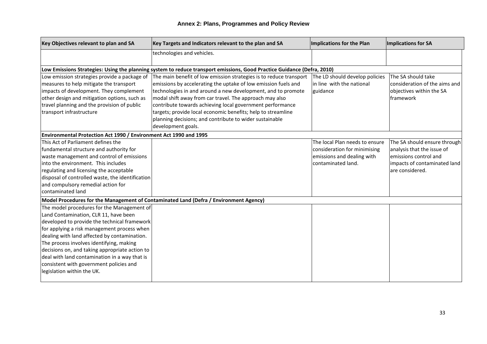| Key Objectives relevant to plan and SA                            | Key Targets and Indicators relevant to the plan and SA                                                                  | Implications for the Plan      | Implications for SA            |
|-------------------------------------------------------------------|-------------------------------------------------------------------------------------------------------------------------|--------------------------------|--------------------------------|
|                                                                   | technologies and vehicles.                                                                                              |                                |                                |
|                                                                   |                                                                                                                         |                                |                                |
|                                                                   | Low Emissions Strategies: Using the planning system to reduce transport emissions, Good Practice Guidance (Defra, 2010) |                                |                                |
| Low emission strategies provide a package of                      | The main benefit of low emission strategies is to reduce transport                                                      | The LD should develop policies | The SA should take             |
| measures to help mitigate the transport                           | emissions by accelerating the uptake of low emission fuels and                                                          | in line with the national      | lconsideration of the aims and |
| impacts of development. They complement                           | technologies in and around a new development, and to promote                                                            | guidance                       | objectives within the SA       |
| other design and mitigation options, such as                      | modal shift away from car travel. The approach may also                                                                 |                                | framework                      |
| travel planning and the provision of public                       | contribute towards achieving local government performance                                                               |                                |                                |
| transport infrastructure                                          | targets; provide local economic benefits; help to streamline                                                            |                                |                                |
|                                                                   | planning decisions; and contribute to wider sustainable                                                                 |                                |                                |
|                                                                   | development goals.                                                                                                      |                                |                                |
| Environmental Protection Act 1990 / Environment Act 1990 and 1995 |                                                                                                                         |                                |                                |
| This Act of Parliament defines the                                |                                                                                                                         | The local Plan needs to ensure | The SA should ensure through   |
| fundamental structure and authority for                           |                                                                                                                         | consideration for minimising   | analysis that the issue of     |
| waste management and control of emissions                         |                                                                                                                         | emissions and dealing with     | lemissions control and         |
| into the environment. This includes                               |                                                                                                                         | contaminated land.             | impacts of contaminated land   |
| regulating and licensing the acceptable                           |                                                                                                                         |                                | are considered.                |
| disposal of controlled waste, the identification                  |                                                                                                                         |                                |                                |
| and compulsory remedial action for                                |                                                                                                                         |                                |                                |
| contaminated land                                                 |                                                                                                                         |                                |                                |
|                                                                   | Model Procedures for the Management of Contaminated Land (Defra / Environment Agency)                                   |                                |                                |
| The model procedures for the Management of                        |                                                                                                                         |                                |                                |
| Land Contamination, CLR 11, have been                             |                                                                                                                         |                                |                                |
| developed to provide the technical framework                      |                                                                                                                         |                                |                                |
| for applying a risk management process when                       |                                                                                                                         |                                |                                |
| dealing with land affected by contamination.                      |                                                                                                                         |                                |                                |
| The process involves identifying, making                          |                                                                                                                         |                                |                                |
| decisions on, and taking appropriate action to                    |                                                                                                                         |                                |                                |
| deal with land contamination in a way that is                     |                                                                                                                         |                                |                                |
| consistent with government policies and                           |                                                                                                                         |                                |                                |
| legislation within the UK.                                        |                                                                                                                         |                                |                                |
|                                                                   |                                                                                                                         |                                |                                |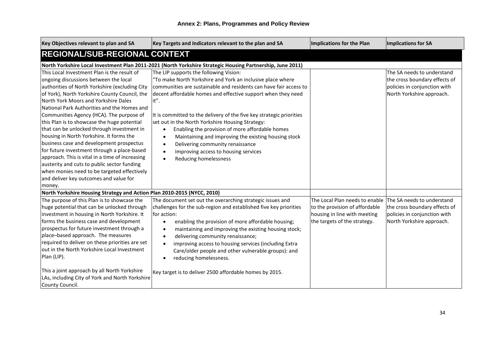<span id="page-34-0"></span>

| Key Objectives relevant to plan and SA                                                                                                                                                                                                                                                                                                                                                                                                                                                                                                                                                                                                                                                                                                                               | Key Targets and Indicators relevant to the plan and SA                                                                                                                                                                                                                                                                                                                                                                                                                                                                                                                                                                                                         | Implications for the Plan                                                                                                        | Implications for SA                                                                                                      |
|----------------------------------------------------------------------------------------------------------------------------------------------------------------------------------------------------------------------------------------------------------------------------------------------------------------------------------------------------------------------------------------------------------------------------------------------------------------------------------------------------------------------------------------------------------------------------------------------------------------------------------------------------------------------------------------------------------------------------------------------------------------------|----------------------------------------------------------------------------------------------------------------------------------------------------------------------------------------------------------------------------------------------------------------------------------------------------------------------------------------------------------------------------------------------------------------------------------------------------------------------------------------------------------------------------------------------------------------------------------------------------------------------------------------------------------------|----------------------------------------------------------------------------------------------------------------------------------|--------------------------------------------------------------------------------------------------------------------------|
| <b>REGIONAL/SUB-REGIONAL CONTEXT</b>                                                                                                                                                                                                                                                                                                                                                                                                                                                                                                                                                                                                                                                                                                                                 |                                                                                                                                                                                                                                                                                                                                                                                                                                                                                                                                                                                                                                                                |                                                                                                                                  |                                                                                                                          |
|                                                                                                                                                                                                                                                                                                                                                                                                                                                                                                                                                                                                                                                                                                                                                                      | North Yorkshire Local Investment Plan 2011-2021 (North Yorkshire Strategic Housing Partnership, June 2011)                                                                                                                                                                                                                                                                                                                                                                                                                                                                                                                                                     |                                                                                                                                  |                                                                                                                          |
| lThis Local Investment Plan is the result of<br>ongoing discussions between the local<br>authorities of North Yorkshire (excluding City<br>of York), North Yorkshire County Council, the<br>North York Moors and Yorkshire Dales<br>National Park Authorities and the Homes and<br>Communities Agency (HCA). The purpose of<br>this Plan is to showcase the huge potential<br>that can be unlocked through investment in<br>housing in North Yorkshire. It forms the<br>business case and development prospectus<br>for future investment through a place-based<br>approach. This is vital in a time of increasing<br>austerity and cuts to public sector funding<br>when monies need to be targeted effectively<br>and deliver key outcomes and value for<br>money. | The LIP supports the following Vision:<br>'To make North Yorkshire and York an inclusive place where<br>communities are sustainable and residents can have fair access to<br>decent affordable homes and effective support when they need<br>it".<br>It is committed to the delivery of the five key strategic priorities<br>set out in the North Yorkshire Housing Strategy:<br>Enabling the provision of more affordable homes<br>$\bullet$<br>Maintaining and improving the existing housing stock<br>$\bullet$<br>Delivering community renaissance<br>$\bullet$<br>Improving access to housing services<br>$\bullet$<br>Reducing homelessness<br>$\bullet$ |                                                                                                                                  | The SA needs to understand<br>the cross boundary effects of<br>policies in conjunction with<br>North Yorkshire approach. |
| North Yorkshire Housing Strategy and Action Plan 2010-2015 (NYCC, 2010)                                                                                                                                                                                                                                                                                                                                                                                                                                                                                                                                                                                                                                                                                              |                                                                                                                                                                                                                                                                                                                                                                                                                                                                                                                                                                                                                                                                |                                                                                                                                  |                                                                                                                          |
| The purpose of this Plan is to showcase the<br>huge potential that can be unlocked through<br>investment in housing in North Yorkshire. It<br>forms the business case and development<br>prospectus for future investment through a<br>place-based approach. The measures<br>required to deliver on these priorities are set<br>out in the North Yorkshire Local Investment<br>Plan (LIP).                                                                                                                                                                                                                                                                                                                                                                           | The document set out the overarching strategic issues and<br>challenges for the sub-region and established five key priorities<br>for action:<br>enabling the provision of more affordable housing;<br>$\bullet$<br>maintaining and improving the existing housing stock;<br>$\bullet$<br>delivering community renaissance;<br>improving access to housing services (including Extra<br>$\bullet$<br>Care/older people and other vulnerable groups): and<br>reducing homelessness.                                                                                                                                                                             | The Local Plan needs to enable<br>to the provision of affordable<br>housing in line with meeting<br>the targets of the strategy. | The SA needs to understand<br>the cross boundary effects of<br>policies in conjunction with<br>North Yorkshire approach. |
| This a joint approach by all North Yorkshire<br>LAs, including City of York and North Yorkshire<br>County Council.                                                                                                                                                                                                                                                                                                                                                                                                                                                                                                                                                                                                                                                   | Key target is to deliver 2500 affordable homes by 2015.                                                                                                                                                                                                                                                                                                                                                                                                                                                                                                                                                                                                        |                                                                                                                                  |                                                                                                                          |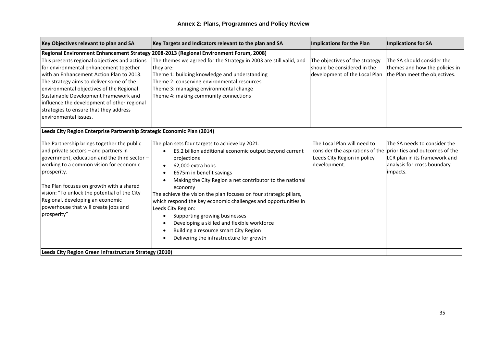| Key Objectives relevant to plan and SA                                                                                                                                                                                                                                                                                                                                                 | Key Targets and Indicators relevant to the plan and SA                                                                                                                                                                                                                                                                                                                                                                                                                                                                                                                             | Implications for the Plan                                                                      | Implications for SA                                                                                                                                                        |
|----------------------------------------------------------------------------------------------------------------------------------------------------------------------------------------------------------------------------------------------------------------------------------------------------------------------------------------------------------------------------------------|------------------------------------------------------------------------------------------------------------------------------------------------------------------------------------------------------------------------------------------------------------------------------------------------------------------------------------------------------------------------------------------------------------------------------------------------------------------------------------------------------------------------------------------------------------------------------------|------------------------------------------------------------------------------------------------|----------------------------------------------------------------------------------------------------------------------------------------------------------------------------|
|                                                                                                                                                                                                                                                                                                                                                                                        | Regional Environment Enhancement Strategy 2008-2013 (Regional Environment Forum, 2008)                                                                                                                                                                                                                                                                                                                                                                                                                                                                                             |                                                                                                |                                                                                                                                                                            |
| This presents regional objectives and actions<br>for environmental enhancement together<br>with an Enhancement Action Plan to 2013.<br>The strategy aims to deliver some of the<br>environmental objectives of the Regional<br>Sustainable Development Framework and<br>influence the development of other regional<br>strategies to ensure that they address<br>environmental issues. | The themes we agreed for the Strategy in 2003 are still valid, and<br>they are:<br>Theme 1: building knowledge and understanding<br>Theme 2: conserving environmental resources<br>Theme 3: managing environmental change<br>Theme 4: making community connections                                                                                                                                                                                                                                                                                                                 | The objectives of the strategy<br>should be considered in the<br>development of the Local Plan | The SA should consider the<br>themes and how the policies in<br>the Plan meet the objectives.                                                                              |
| Leeds City Region Enterprise Partnership Strategic Economic Plan (2014)                                                                                                                                                                                                                                                                                                                |                                                                                                                                                                                                                                                                                                                                                                                                                                                                                                                                                                                    |                                                                                                |                                                                                                                                                                            |
| The Partnership brings together the public<br>and private sectors - and partners in<br>government, education and the third sector -<br>working to a common vision for economic<br>prosperity.<br>The Plan focuses on growth with a shared<br>vision: "To unlock the potential of the City<br>Regional, developing an economic<br>powerhouse that will create jobs and<br>prosperity"   | The plan sets four targets to achieve by 2021:<br>£5.2 billion additional economic output beyond current<br>projections<br>62,000 extra hobs<br>£675m in benefit savings<br>Making the City Region a net contributor to the national<br>economy<br>The achieve the vision the plan focuses on four strategic pillars,<br>which respond the key economic challenges and opportunities in<br>Leeds City Region:<br>Supporting growing businesses<br>Developing a skilled and flexible workforce<br>Building a resource smart City Region<br>Delivering the infrastructure for growth | The Local Plan will need to<br>Leeds City Region in policy<br>development.                     | The SA needs to consider the<br>consider the aspirations of the priorities and outcomes of the<br>LCR plan in its framework and<br>analysis for cross boundary<br>impacts. |
| Leeds City Region Green Infrastructure Strategy (2010)                                                                                                                                                                                                                                                                                                                                 |                                                                                                                                                                                                                                                                                                                                                                                                                                                                                                                                                                                    |                                                                                                |                                                                                                                                                                            |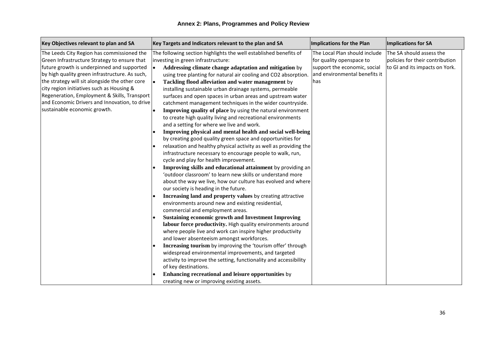| Key Objectives relevant to plan and SA         | Key Targets and Indicators relevant to the plan and SA            | <b>Implications for the Plan</b> | Implications for SA             |
|------------------------------------------------|-------------------------------------------------------------------|----------------------------------|---------------------------------|
| The Leeds City Region has commissioned the     | The following section highlights the well established benefits of | The Local Plan should include    | The SA should assess the        |
| Green Infrastructure Strategy to ensure that   | investing in green infrastructure:                                | for quality openspace to         | policies for their contribution |
| future growth is underpinned and supported     | Addressing climate change adaptation and mitigation by            | support the economic, social     | to GI and its impacts on York.  |
| by high quality green infrastructure. As such, | using tree planting for natural air cooling and CO2 absorption.   | and environmental benefits it    |                                 |
| the strategy will sit alongside the other core | Tackling flood alleviation and water management by<br>l.          | has                              |                                 |
| city region initiatives such as Housing &      | installing sustainable urban drainage systems, permeable          |                                  |                                 |
| Regeneration, Employment & Skills, Transport   | surfaces and open spaces in urban areas and upstream water        |                                  |                                 |
| and Economic Drivers and Innovation, to drive  | catchment management techniques in the wider countryside.         |                                  |                                 |
| sustainable economic growth.                   | Improving quality of place by using the natural environment       |                                  |                                 |
|                                                | to create high quality living and recreational environments       |                                  |                                 |
|                                                | and a setting for where we live and work.                         |                                  |                                 |
|                                                | Improving physical and mental health and social well-being        |                                  |                                 |
|                                                | by creating good quality green space and opportunities for        |                                  |                                 |
|                                                | relaxation and healthy physical activity as well as providing the |                                  |                                 |
|                                                | infrastructure necessary to encourage people to walk, run,        |                                  |                                 |
|                                                | cycle and play for health improvement.                            |                                  |                                 |
|                                                | Improving skills and educational attainment by providing an       |                                  |                                 |
|                                                | 'outdoor classroom' to learn new skills or understand more        |                                  |                                 |
|                                                | about the way we live, how our culture has evolved and where      |                                  |                                 |
|                                                | our society is heading in the future.                             |                                  |                                 |
|                                                | Increasing land and property values by creating attractive        |                                  |                                 |
|                                                | environments around new and existing residential,                 |                                  |                                 |
|                                                | commercial and employment areas.                                  |                                  |                                 |
|                                                | <b>Sustaining economic growth and Investment Improving</b>        |                                  |                                 |
|                                                | labour force productivity. High quality environments around       |                                  |                                 |
|                                                | where people live and work can inspire higher productivity        |                                  |                                 |
|                                                | and lower absenteeism amongst workforces.                         |                                  |                                 |
|                                                | Increasing tourism by improving the 'tourism offer' through       |                                  |                                 |
|                                                | widespread environmental improvements, and targeted               |                                  |                                 |
|                                                | activity to improve the setting, functionality and accessibility  |                                  |                                 |
|                                                | of key destinations.                                              |                                  |                                 |
|                                                | Enhancing recreational and leisure opportunities by               |                                  |                                 |
|                                                | creating new or improving existing assets.                        |                                  |                                 |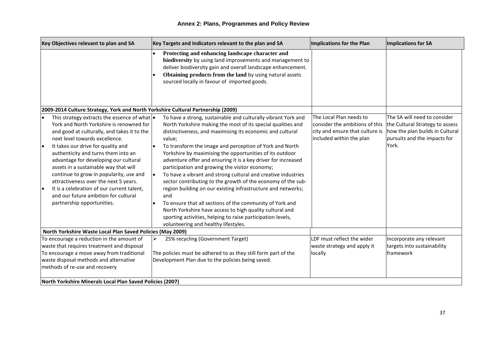| Key Objectives relevant to plan and SA                                                                                                                                                                                                                                                                                                                                                                                                                                                                                                           | Key Targets and Indicators relevant to the plan and SA                                                                                                                                                                                                                                                                                                                                                                                                                                                                                                                                                                                                                                                                                                                                                                                                                                      | <b>Implications for the Plan</b>                                                                                         | Implications for SA                                                                                                                         |
|--------------------------------------------------------------------------------------------------------------------------------------------------------------------------------------------------------------------------------------------------------------------------------------------------------------------------------------------------------------------------------------------------------------------------------------------------------------------------------------------------------------------------------------------------|---------------------------------------------------------------------------------------------------------------------------------------------------------------------------------------------------------------------------------------------------------------------------------------------------------------------------------------------------------------------------------------------------------------------------------------------------------------------------------------------------------------------------------------------------------------------------------------------------------------------------------------------------------------------------------------------------------------------------------------------------------------------------------------------------------------------------------------------------------------------------------------------|--------------------------------------------------------------------------------------------------------------------------|---------------------------------------------------------------------------------------------------------------------------------------------|
|                                                                                                                                                                                                                                                                                                                                                                                                                                                                                                                                                  | Protecting and enhancing landscape character and<br>biodiversity by using land improvements and management to<br>deliver biodiversity gain and overall landscape enhancement.<br>Obtaining products from the land by using natural assets<br>sourced locally in favour of imported goods.                                                                                                                                                                                                                                                                                                                                                                                                                                                                                                                                                                                                   |                                                                                                                          |                                                                                                                                             |
| 2009-2014 Culture Strategy, York and North Yorkshire Cultural Partnership (2009)                                                                                                                                                                                                                                                                                                                                                                                                                                                                 |                                                                                                                                                                                                                                                                                                                                                                                                                                                                                                                                                                                                                                                                                                                                                                                                                                                                                             |                                                                                                                          |                                                                                                                                             |
| This strategy extracts the essence of what .<br>York and North Yorkshire is renowned for<br>and good at culturally, and takes it to the<br>next level towards excellence.<br>It takes our drive for quality and<br>authenticity and turns them into an<br>advantage for developing our cultural<br>assets in a sustainable way that will<br>continue to grow in popularity, use and<br>attractiveness over the next 5 years.<br>It is a celebration of our current talent,<br>and our future ambition for cultural<br>partnership opportunities. | To have a strong, sustainable and culturally vibrant York and<br>North Yorkshire making the most of its special qualities and<br>distinctiveness, and maximising its economic and cultural<br>value;<br>To transform the image and perception of York and North<br>Yorkshire by maximising the opportunities of its outdoor<br>adventure offer and ensuring it is a key driver for increased<br>participation and growing the visitor economy;<br>To have a vibrant and strong cultural and creative industries<br>I۰<br>sector contributing to the growth of the economy of the sub-<br>region building on our existing infrastructure and networks;<br>and<br>To ensure that all sections of the community of York and<br>North Yorkshire have access to high quality cultural and<br>sporting activities, helping to raise participation levels,<br>volunteering and healthy lifestyles. | The Local Plan needs to<br>consider the ambitions of this<br>city and ensure that culture is<br>included within the plan | The SA will need to consider<br>the Cultural Strategy to assess<br>how the plan builds in Cultural<br>pursuits and the impacts for<br>York. |
| North Yorkshire Waste Local Plan Saved Policies (May 2009)                                                                                                                                                                                                                                                                                                                                                                                                                                                                                       |                                                                                                                                                                                                                                                                                                                                                                                                                                                                                                                                                                                                                                                                                                                                                                                                                                                                                             |                                                                                                                          |                                                                                                                                             |
| To encourage a reduction in the amount of<br>waste that requires treatment and disposal<br>To encourage a move away from traditional<br>waste disposal methods and alternative<br>methods of re-use and recovery                                                                                                                                                                                                                                                                                                                                 | 25% recycling (Government Target)<br>The policies must be adhered to as they still form part of the<br>Development Plan due to the policies being saved.                                                                                                                                                                                                                                                                                                                                                                                                                                                                                                                                                                                                                                                                                                                                    | LDF must reflect the wider<br>waste strategy and apply it<br>locally                                                     | Incorporate any relevant<br>targets into sustainability<br>framework                                                                        |
| North Yorkshire Minerals Local Plan Saved Policies (2007)                                                                                                                                                                                                                                                                                                                                                                                                                                                                                        |                                                                                                                                                                                                                                                                                                                                                                                                                                                                                                                                                                                                                                                                                                                                                                                                                                                                                             |                                                                                                                          |                                                                                                                                             |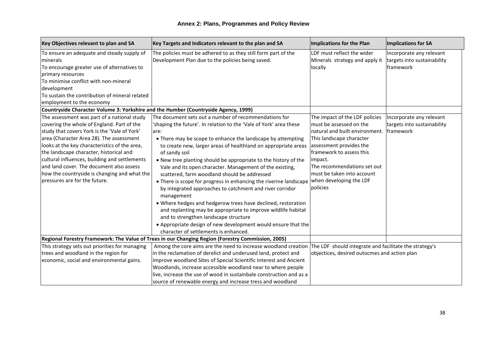| Key Objectives relevant to plan and SA                                                                                                                                                                                                                                                                                                                                                                                                                          | Key Targets and Indicators relevant to the plan and SA                                                                                                                                                                                                                                                                                                                                                                                                                                                                                                                                                                                                                                                                                                                                                                                                                                                  | Implications for the Plan                                                                                                                                                                                                                                                                     | <b>Implications for SA</b>                                           |
|-----------------------------------------------------------------------------------------------------------------------------------------------------------------------------------------------------------------------------------------------------------------------------------------------------------------------------------------------------------------------------------------------------------------------------------------------------------------|---------------------------------------------------------------------------------------------------------------------------------------------------------------------------------------------------------------------------------------------------------------------------------------------------------------------------------------------------------------------------------------------------------------------------------------------------------------------------------------------------------------------------------------------------------------------------------------------------------------------------------------------------------------------------------------------------------------------------------------------------------------------------------------------------------------------------------------------------------------------------------------------------------|-----------------------------------------------------------------------------------------------------------------------------------------------------------------------------------------------------------------------------------------------------------------------------------------------|----------------------------------------------------------------------|
| To ensure an adequate and steady supply of<br>minerals<br>To encourage greater use of alternatives to<br>primary resources<br>To minimise conflict with non-mineral<br>development<br>To sustain the contribution of mineral related<br>employment to the economy                                                                                                                                                                                               | The policies must be adhered to as they still form part of the<br>Development Plan due to the policies being saved.                                                                                                                                                                                                                                                                                                                                                                                                                                                                                                                                                                                                                                                                                                                                                                                     | LDF must reflect the wider<br>Minerals strategy and apply it<br>locally                                                                                                                                                                                                                       | Incorporate any relevant<br>targets into sustainability<br>framework |
| Countryside Character Volume 3: Yorkshire and the Humber (Countryside Agency, 1999)                                                                                                                                                                                                                                                                                                                                                                             |                                                                                                                                                                                                                                                                                                                                                                                                                                                                                                                                                                                                                                                                                                                                                                                                                                                                                                         |                                                                                                                                                                                                                                                                                               |                                                                      |
| The assessment was part of a national study<br>covering the whole of England. Part of the<br>study that covers York is the 'Vale of York'<br>area (Character Area 28). The assessment<br>looks at the key characteristics of the area,<br>the landscape character, historical and<br>cultural influences, building and settlements<br>and land cover. The document also assess<br>how the countryside is changing and what the<br>pressures are for the future. | The document sets out a number of recommendations for<br>'shaping the future'. In relation to the 'Vale of York' area these<br>are:<br>• There may be scope to enhance the landscape by attempting<br>to create new, larger areas of healthland on appropriate areas<br>of sandy soil<br>. New tree planting should be appropriate to the history of the<br>Vale and its open character. Management of the existing,<br>scattered, farm woodland should be addressed<br>• There is scope for progress in enhancing the riverine landscape<br>by integrated approaches to catchment and river corridor<br>management<br>. Where hedges and hedgerow trees have declined, restoration<br>and replanting may be appropriate to improve wildlife habitat<br>and to strengthen landscape structure<br>• Appropriate design of new development would ensure that the<br>character of settlements is enhanced. | The impact of the LDF policies<br>must be assessed on the<br>natural and built environment.<br>This landscape character<br>assessment provides the<br>framework to assess this<br>impact.<br>The recommendations set out<br>must be taken into account<br>when developing the LDF<br>policies | Incorporate any relevant<br>targets into sustainability<br>framework |
|                                                                                                                                                                                                                                                                                                                                                                                                                                                                 | Regional Forestry Framework: The Value of Trees in our Changing Region (Forestry Commission, 2005)                                                                                                                                                                                                                                                                                                                                                                                                                                                                                                                                                                                                                                                                                                                                                                                                      |                                                                                                                                                                                                                                                                                               |                                                                      |
| This strategy sets out priorities for managing<br>trees and woodland in the region for<br>economic, social and environmental gains.                                                                                                                                                                                                                                                                                                                             | Among the core aims are the need to increase woodland creation The LDF should integrate and facilitate the strategy's<br>in the reclamation of derelict and underused land, protect and<br>improve woodland Sites of Special Scientific Interest and Ancient<br>Woodlands, increase accessible woodland near to where people<br>live, increase the use of wood in sustainbale construction and as a<br>source of renewable energy and increase tress and woodland                                                                                                                                                                                                                                                                                                                                                                                                                                       | objectices, desired outocmes and action plan                                                                                                                                                                                                                                                  |                                                                      |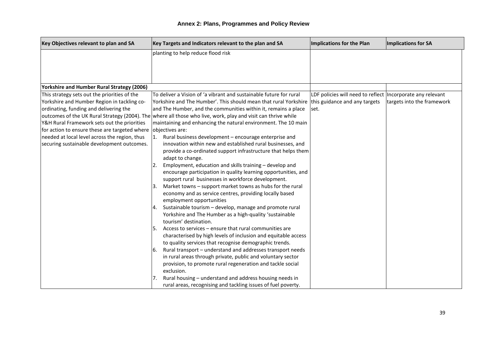| Key Objectives relevant to plan and SA                        | Key Targets and Indicators relevant to the plan and SA                                                        | Implications for the Plan                                   | Implications for SA        |
|---------------------------------------------------------------|---------------------------------------------------------------------------------------------------------------|-------------------------------------------------------------|----------------------------|
|                                                               | planting to help reduce flood risk                                                                            |                                                             |                            |
|                                                               |                                                                                                               |                                                             |                            |
|                                                               |                                                                                                               |                                                             |                            |
|                                                               |                                                                                                               |                                                             |                            |
| Yorkshire and Humber Rural Strategy (2006)                    |                                                                                                               |                                                             |                            |
| This strategy sets out the priorities of the                  | To deliver a Vision of 'a vibrant and sustainable future for rural                                            | LDF policies will need to reflect  Incorporate any relevant |                            |
| Yorkshire and Humber Region in tackling co-                   | Yorkshire and The Humber'. This should mean that rural Yorkshire   this guidance and any targets              |                                                             | targets into the framework |
| ordinating, funding and delivering the                        | and The Humber, and the communities within it, remains a place                                                | set.                                                        |                            |
|                                                               | outcomes of the UK Rural Strategy (2004). The where all those who live, work, play and visit can thrive while |                                                             |                            |
| Y&H Rural Framework sets out the priorities                   | maintaining and enhancing the natural environment. The 10 main                                                |                                                             |                            |
| for action to ensure these are targeted where objectives are: |                                                                                                               |                                                             |                            |
| needed at local level across the region, thus                 | Rural business development - encourage enterprise and<br>$\mathbf{1}$ .                                       |                                                             |                            |
| securing sustainable development outcomes.                    | innovation within new and established rural businesses, and                                                   |                                                             |                            |
|                                                               | provide a co-ordinated support infrastructure that helps them                                                 |                                                             |                            |
|                                                               | adapt to change.                                                                                              |                                                             |                            |
|                                                               | Employment, education and skills training - develop and<br>2.                                                 |                                                             |                            |
|                                                               | encourage participation in quality learning opportunities, and                                                |                                                             |                            |
|                                                               | support rural businesses in workforce development.                                                            |                                                             |                            |
|                                                               | Market towns - support market towns as hubs for the rural<br>Β.                                               |                                                             |                            |
|                                                               | economy and as service centres, providing locally based                                                       |                                                             |                            |
|                                                               | employment opportunities                                                                                      |                                                             |                            |
|                                                               | Sustainable tourism - develop, manage and promote rural<br>4.                                                 |                                                             |                            |
|                                                               | Yorkshire and The Humber as a high-quality 'sustainable                                                       |                                                             |                            |
|                                                               | tourism' destination.<br>Access to services - ensure that rural communities are                               |                                                             |                            |
|                                                               | l5.<br>characterised by high levels of inclusion and equitable access                                         |                                                             |                            |
|                                                               | to quality services that recognise demographic trends.                                                        |                                                             |                            |
|                                                               | Rural transport - understand and addresses transport needs<br>-6.                                             |                                                             |                            |
|                                                               | in rural areas through private, public and voluntary sector                                                   |                                                             |                            |
|                                                               | provision, to promote rural regeneration and tackle social                                                    |                                                             |                            |
|                                                               | exclusion.                                                                                                    |                                                             |                            |
|                                                               | Rural housing - understand and address housing needs in<br>7.                                                 |                                                             |                            |
|                                                               | rural areas, recognising and tackling issues of fuel poverty.                                                 |                                                             |                            |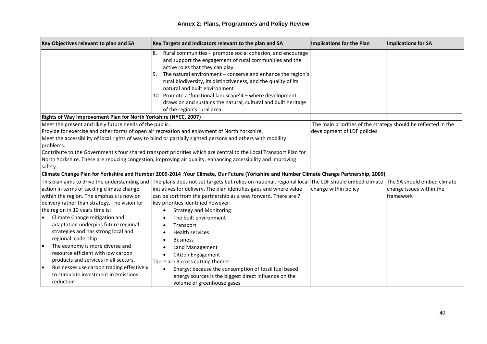| Key Objectives relevant to plan and SA                                                                                                                                                                                                                                                                                                                                                                                                                                                                                                                                                                    | Key Targets and Indicators relevant to the plan and SA                                                                                                                                                                                                                                                                                                                                                                                                                                                                                                                                                                                   | Implications for the Plan | Implications for SA                                                          |
|-----------------------------------------------------------------------------------------------------------------------------------------------------------------------------------------------------------------------------------------------------------------------------------------------------------------------------------------------------------------------------------------------------------------------------------------------------------------------------------------------------------------------------------------------------------------------------------------------------------|------------------------------------------------------------------------------------------------------------------------------------------------------------------------------------------------------------------------------------------------------------------------------------------------------------------------------------------------------------------------------------------------------------------------------------------------------------------------------------------------------------------------------------------------------------------------------------------------------------------------------------------|---------------------------|------------------------------------------------------------------------------|
|                                                                                                                                                                                                                                                                                                                                                                                                                                                                                                                                                                                                           | 8.<br>Rural communities - promote social cohesion, and encourage<br>and support the engagement of rural communities and the<br>active roles that they can play.<br>The natural environment – conserve and enhance the region's<br>9.<br>rural biodiversity, its distinctiveness, and the quality of its<br>natural and built environment<br>10. Promote a 'functional landscape'4 - where development<br>draws on and sustains the natural, cultural and built heritage<br>of the region's rural area.                                                                                                                                   |                           |                                                                              |
| Rights of Way Improvement Plan for North Yorkshire (NYCC, 2007)                                                                                                                                                                                                                                                                                                                                                                                                                                                                                                                                           |                                                                                                                                                                                                                                                                                                                                                                                                                                                                                                                                                                                                                                          |                           |                                                                              |
| Meet the present and likely future needs of the public.<br>Provide for exercise and other forms of open air recreation and enjoyment of North Yorkshire.<br>Meet the accessibility of local rights of way to blind or partially sighted persons and others with mobility<br>problems.<br>Contribute to the Government's four shared transport priorities which are central to the Local Transport Plan for<br>North Yorkshire. These are reducing congestion, improving air quality, enhancing accessibility and improving<br>safety.                                                                     | The main priorities of the strategy should be reflected in the<br>development of LDF policies                                                                                                                                                                                                                                                                                                                                                                                                                                                                                                                                            |                           |                                                                              |
|                                                                                                                                                                                                                                                                                                                                                                                                                                                                                                                                                                                                           | Climate Change Plan for Yorkshire and Humber 2009-2014 :Your Climate, Our Future (Yorkshire and Humber Climate Change Partnership, 2009)                                                                                                                                                                                                                                                                                                                                                                                                                                                                                                 |                           |                                                                              |
| This plan aims to drive the understanding and<br>action in terms of tackling climate change<br>within the region. The emphasis is now on<br>delivery rather than strategy. The vision for<br>the region in 10 years time is:<br>Climate Change mitigation and<br>lo<br>adaptation underpins future regional<br>strategies and has strong local and<br>regional leadership<br>The economy is more diverse and<br>١o<br>resource efficient with low carbon<br>products and services in all sectors.<br>Businesses use carbon trading effectively<br>I۰<br>to stimulate investment in emissions<br>reduction | The plans does not set targets but relies on national, regional local The LDF should embed climate<br>initiatives for delivery. The plan identifies gaps and where value<br>can be sort from the partnership as a way forward. There are 7<br>key priorities identified however:<br><b>Strategy and Monitoring</b><br>The built environment<br>Transport<br>Health services<br><b>Business</b><br>Land Management<br>Citizen Engagement<br>There are 3 cross cutting themes:<br>Energy: because the consumption of fossil fuel based<br>$\bullet$<br>energy sources is the biggest direct influence on the<br>volume of greenhouse gases | change within policy      | The SA should embed climate<br>change issues within the<br><b>Iframework</b> |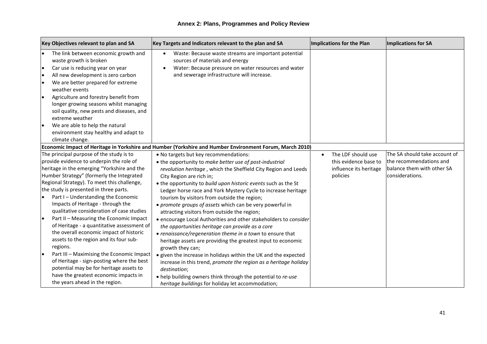|                                                                                                           | Key Objectives relevant to plan and SA                                                                                                                                                                                                                                                                                                                                                                                                                                                                                                                                                                                                                                                                                |              | Key Targets and Indicators relevant to the plan and SA                                                                                                                                                                                                                                                                                                                                                                                                                                                                                                                                                                                                                                                                                                                                                                                                                                                        | <b>Implications for the Plan</b>                                                  | Implications for SA                                                                                       |
|-----------------------------------------------------------------------------------------------------------|-----------------------------------------------------------------------------------------------------------------------------------------------------------------------------------------------------------------------------------------------------------------------------------------------------------------------------------------------------------------------------------------------------------------------------------------------------------------------------------------------------------------------------------------------------------------------------------------------------------------------------------------------------------------------------------------------------------------------|--------------|---------------------------------------------------------------------------------------------------------------------------------------------------------------------------------------------------------------------------------------------------------------------------------------------------------------------------------------------------------------------------------------------------------------------------------------------------------------------------------------------------------------------------------------------------------------------------------------------------------------------------------------------------------------------------------------------------------------------------------------------------------------------------------------------------------------------------------------------------------------------------------------------------------------|-----------------------------------------------------------------------------------|-----------------------------------------------------------------------------------------------------------|
| l e<br>waste growth is broken<br>$\bullet$<br>le<br>l e<br>weather events<br>l e<br>extreme weather<br>lo | The link between economic growth and<br>Car use is reducing year on year<br>All new development is zero carbon<br>We are better prepared for extreme<br>Agriculture and forestry benefit from<br>longer growing seasons whilst managing<br>soil quality, new pests and diseases, and<br>We are able to help the natural                                                                                                                                                                                                                                                                                                                                                                                               | $\bullet$    | Waste: Because waste streams are important potential<br>sources of materials and energy<br>Water: Because pressure on water resources and water<br>and sewerage infrastructure will increase.                                                                                                                                                                                                                                                                                                                                                                                                                                                                                                                                                                                                                                                                                                                 |                                                                                   |                                                                                                           |
| climate change.                                                                                           | environment stay healthy and adapt to                                                                                                                                                                                                                                                                                                                                                                                                                                                                                                                                                                                                                                                                                 |              |                                                                                                                                                                                                                                                                                                                                                                                                                                                                                                                                                                                                                                                                                                                                                                                                                                                                                                               |                                                                                   |                                                                                                           |
|                                                                                                           |                                                                                                                                                                                                                                                                                                                                                                                                                                                                                                                                                                                                                                                                                                                       |              | Economic Impact of Heritage in Yorkshire and Humber (Yorkshire and Humber Environment Forum, March 2010)                                                                                                                                                                                                                                                                                                                                                                                                                                                                                                                                                                                                                                                                                                                                                                                                      |                                                                                   |                                                                                                           |
| $\bullet$<br>lo<br>regions.                                                                               | The principal purpose of the study is to<br>provide evidence to underpin the role of<br>heritage in the emerging "Yorkshire and the<br>Humber Strategy" (formerly the Integrated<br>Regional Strategy). To meet this challenge,<br>the study is presented in three parts.<br>Part I - Understanding the Economic<br>Impacts of Heritage - through the<br>qualitative consideration of case studies<br>Part II - Measuring the Economic Impact<br>of Heritage - a quantitative assessment of<br>the overall economic impact of historic<br>assets to the region and its four sub-<br>Part III - Maximising the Economic Impact<br>of Heritage - sign-posting where the best<br>potential may be for heritage assets to | destination; | . No targets but key recommendations:<br>• the opportunity to make better use of post-industrial<br>revolution heritage, which the Sheffield City Region and Leeds<br>City Region are rich in;<br>• the opportunity to build upon historic events such as the St<br>Ledger horse race and York Mystery Cycle to increase heritage<br>tourism by visitors from outside the region;<br>• promote groups of assets which can be very powerful in<br>attracting visitors from outside the region;<br>· encourage Local Authorities and other stakeholders to consider<br>the opportunities heritage can provide as a core<br>• renaissance/regeneration theme in a town to ensure that<br>heritage assets are providing the greatest input to economic<br>growth they can;<br>• given the increase in holidays within the UK and the expected<br>increase in this trend, promote the region as a heritage holiday | The LDF should use<br>this evidence base to<br>influence its heritage<br>policies | The SA should take account of<br>the recommendations and<br>balance them with other SA<br>considerations. |
|                                                                                                           | have the greatest economic impacts in<br>the years ahead in the region.                                                                                                                                                                                                                                                                                                                                                                                                                                                                                                                                                                                                                                               |              | . help building owners think through the potential to re-use<br>heritage buildings for holiday let accommodation;                                                                                                                                                                                                                                                                                                                                                                                                                                                                                                                                                                                                                                                                                                                                                                                             |                                                                                   |                                                                                                           |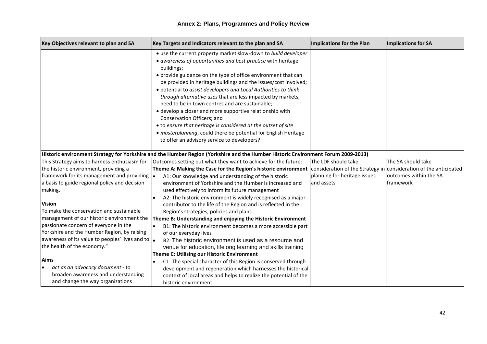| Key Objectives relevant to plan and SA                              | Key Targets and Indicators relevant to the plan and SA                                                                                                                                                                                                                                                                                                                                                                                                                                                                                                                                                                                                                                                                                             | Implications for the Plan                                         | Implications for SA    |
|---------------------------------------------------------------------|----------------------------------------------------------------------------------------------------------------------------------------------------------------------------------------------------------------------------------------------------------------------------------------------------------------------------------------------------------------------------------------------------------------------------------------------------------------------------------------------------------------------------------------------------------------------------------------------------------------------------------------------------------------------------------------------------------------------------------------------------|-------------------------------------------------------------------|------------------------|
|                                                                     | • use the current property market slow-down to build developer<br>• awareness of opportunities and best practice with heritage<br>buildings;<br>• provide guidance on the type of office environment that can<br>be provided in heritage buildings and the issues/cost involved;<br>· potential to assist developers and Local Authorities to think<br>through alternative uses that are less impacted by markets,<br>need to be in town centres and are sustainable;<br>• develop a closer and more supportive relationship with<br>Conservation Officers; and<br>• to ensure that heritage is considered at the outset of site<br>· masterplanning, could there be potential for English Heritage<br>to offer an advisory service to developers? |                                                                   |                        |
|                                                                     | Historic environment Strategy for Yorkshire and the Humber Region (Yorkshire and the Humber Historic Environment Forum 2009-2013)                                                                                                                                                                                                                                                                                                                                                                                                                                                                                                                                                                                                                  |                                                                   |                        |
| This Strategy aims to harness enthusiasm for                        | Outcomes setting out what they want to achieve for the future:                                                                                                                                                                                                                                                                                                                                                                                                                                                                                                                                                                                                                                                                                     | The LDF should take                                               | The SA should take     |
| the historic environment, providing a                               | Theme A: Making the Case for the Region's historic environment                                                                                                                                                                                                                                                                                                                                                                                                                                                                                                                                                                                                                                                                                     | consideration of the Strategy in consideration of the anticipated |                        |
| framework for its management and providing $\left  \bullet \right $ | A1: Our knowledge and understanding of the historic                                                                                                                                                                                                                                                                                                                                                                                                                                                                                                                                                                                                                                                                                                | planning for heritage issues                                      | outcomes within the SA |
| a basis to guide regional policy and decision                       | environment of Yorkshire and the Humber is increased and                                                                                                                                                                                                                                                                                                                                                                                                                                                                                                                                                                                                                                                                                           | land assets                                                       | <b>Iframework</b>      |
| making.                                                             | used effectively to inform its future management                                                                                                                                                                                                                                                                                                                                                                                                                                                                                                                                                                                                                                                                                                   |                                                                   |                        |
|                                                                     | A2: The historic environment is widely recognised as a major                                                                                                                                                                                                                                                                                                                                                                                                                                                                                                                                                                                                                                                                                       |                                                                   |                        |
| <b>Vision</b>                                                       | contributor to the life of the Region and is reflected in the                                                                                                                                                                                                                                                                                                                                                                                                                                                                                                                                                                                                                                                                                      |                                                                   |                        |
| To make the conservation and sustainable                            | Region's strategies, policies and plans                                                                                                                                                                                                                                                                                                                                                                                                                                                                                                                                                                                                                                                                                                            |                                                                   |                        |
| management of our historic environment the                          | Theme B: Understanding and enjoying the Historic Environment                                                                                                                                                                                                                                                                                                                                                                                                                                                                                                                                                                                                                                                                                       |                                                                   |                        |
| passionate concern of everyone in the                               | B1: The historic environment becomes a more accessible part<br>l.                                                                                                                                                                                                                                                                                                                                                                                                                                                                                                                                                                                                                                                                                  |                                                                   |                        |
| Yorkshire and the Humber Region, by raising                         | of our everyday lives                                                                                                                                                                                                                                                                                                                                                                                                                                                                                                                                                                                                                                                                                                                              |                                                                   |                        |
| awareness of its value to peoples' lives and to $\vert_{\bullet}$   | B2: The historic environment is used as a resource and                                                                                                                                                                                                                                                                                                                                                                                                                                                                                                                                                                                                                                                                                             |                                                                   |                        |
| the health of the economy."                                         | venue for education, lifelong learning and skills training                                                                                                                                                                                                                                                                                                                                                                                                                                                                                                                                                                                                                                                                                         |                                                                   |                        |
|                                                                     | Theme C: Utilising our Historic Environment                                                                                                                                                                                                                                                                                                                                                                                                                                                                                                                                                                                                                                                                                                        |                                                                   |                        |
| <b>Aims</b>                                                         | C1: The special character of this Region is conserved through                                                                                                                                                                                                                                                                                                                                                                                                                                                                                                                                                                                                                                                                                      |                                                                   |                        |
| act as an advocacy document - to                                    | development and regeneration which harnesses the historical                                                                                                                                                                                                                                                                                                                                                                                                                                                                                                                                                                                                                                                                                        |                                                                   |                        |
| broaden awareness and understanding                                 | context of local areas and helps to realize the potential of the                                                                                                                                                                                                                                                                                                                                                                                                                                                                                                                                                                                                                                                                                   |                                                                   |                        |
| and change the way organizations                                    | historic environment                                                                                                                                                                                                                                                                                                                                                                                                                                                                                                                                                                                                                                                                                                                               |                                                                   |                        |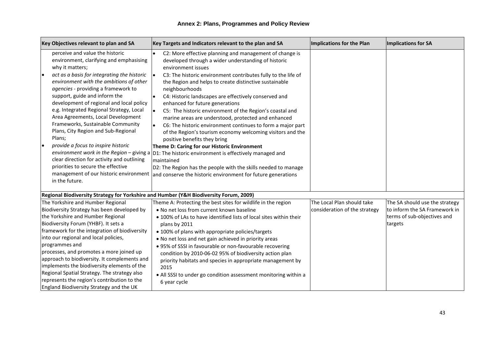|          | Key Objectives relevant to plan and SA                                                                                                                                                                                                                                                                                                                                                                                                                                                                                                                                                                                           | Key Targets and Indicators relevant to the plan and SA                                                                                                                                                                                                                                                                                                                                                                                                                                                                                                                                                                                                                                                                                                                                                                                                                                                                                                                                                                                          | Implications for the Plan                                   | <b>Implications for SA</b>                                                                                |
|----------|----------------------------------------------------------------------------------------------------------------------------------------------------------------------------------------------------------------------------------------------------------------------------------------------------------------------------------------------------------------------------------------------------------------------------------------------------------------------------------------------------------------------------------------------------------------------------------------------------------------------------------|-------------------------------------------------------------------------------------------------------------------------------------------------------------------------------------------------------------------------------------------------------------------------------------------------------------------------------------------------------------------------------------------------------------------------------------------------------------------------------------------------------------------------------------------------------------------------------------------------------------------------------------------------------------------------------------------------------------------------------------------------------------------------------------------------------------------------------------------------------------------------------------------------------------------------------------------------------------------------------------------------------------------------------------------------|-------------------------------------------------------------|-----------------------------------------------------------------------------------------------------------|
| le<br>I٠ | perceive and value the historic<br>environment, clarifying and emphasising<br>why it matters;<br>act as a basis for integrating the historic<br>environment with the ambitions of other<br>agencies - providing a framework to<br>support, guide and inform the<br>development of regional and local policy<br>e.g. Integrated Regional Strategy, Local<br>Area Agreements, Local Development<br>Frameworks, Sustainable Community<br>Plans, City Region and Sub-Regional<br>Plans;<br>provide a focus to inspire historic<br>clear direction for activity and outlining<br>priorities to secure the effective<br>in the future. | C2: More effective planning and management of change is<br>developed through a wider understanding of historic<br>environment issues<br>C3: The historic environment contributes fully to the life of<br>l.<br>the Region and helps to create distinctive sustainable<br>neighbourhoods<br>C4: Historic landscapes are effectively conserved and<br>l e i<br>enhanced for future generations<br>C5: The historic environment of the Region's coastal and<br>l.<br>marine areas are understood, protected and enhanced<br>C6: The historic environment continues to form a major part<br>$\bullet$<br>of the Region's tourism economy welcoming visitors and the<br>positive benefits they bring<br>Theme D: Caring for our Historic Environment<br>environment work in the Region - giving a $ D1$ : The historic environment is effectively managed and<br>maintained<br>D2: The Region has the people with the skills needed to manage<br>management of our historic environment and conserve the historic environment for future generations |                                                             |                                                                                                           |
|          | Regional Biodiversity Strategy for Yorkshire and Humber (Y&H Biodiversity Forum, 2009)                                                                                                                                                                                                                                                                                                                                                                                                                                                                                                                                           |                                                                                                                                                                                                                                                                                                                                                                                                                                                                                                                                                                                                                                                                                                                                                                                                                                                                                                                                                                                                                                                 |                                                             |                                                                                                           |
|          | The Yorkshire and Humber Regional<br>Biodiversity Strategy has been developed by<br>the Yorkshire and Humber Regional<br>Biodiversity Forum (YHBF). It sets a<br>framework for the integration of biodiversity<br>into our regional and local policies,<br>programmes and<br>processes, and promotes a more joined up<br>approach to biodiversity. It complements and<br>implements the biodiversity elements of the<br>Regional Spatial Strategy. The strategy also<br>represents the region's contribution to the<br>England Biodiversity Strategy and the UK                                                                  | Theme A: Protecting the best sites for wildlife in the region<br>. No net loss from current known baseline<br>• 100% of LAs to have identified lists of local sites within their<br>plans by 2011<br>• 100% of plans with appropriate policies/targets<br>. No net loss and net gain achieved in priority areas<br>• 95% of SSSI in favourable or non-favourable recovering<br>condition by 2010-06-02 95% of biodiversity action plan<br>priority habitats and species in appropriate management by<br>2015<br>• All SSSI to under go condition assessment monitoring within a<br>6 year cycle                                                                                                                                                                                                                                                                                                                                                                                                                                                 | The Local Plan should take<br>consideration of the strategy | The SA should use the strategy<br>to inform the SA Framework in<br>terms of sub-objectives and<br>targets |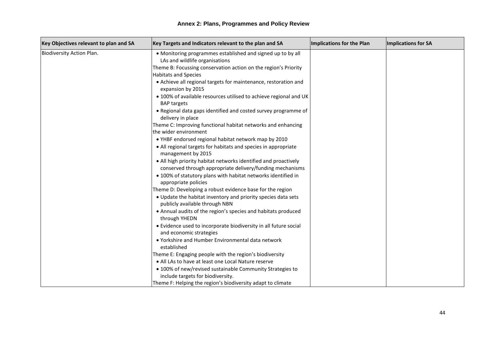| Key Objectives relevant to plan and SA | Key Targets and Indicators relevant to the plan and SA                                                                       | Implications for the Plan | Implications for SA |
|----------------------------------------|------------------------------------------------------------------------------------------------------------------------------|---------------------------|---------------------|
| Biodiversity Action Plan.              | • Monitoring programmes established and signed up to by all<br>LAs and wildlife organisations                                |                           |                     |
|                                        | Theme B: Focussing conservation action on the region's Priority                                                              |                           |                     |
|                                        | <b>Habitats and Species</b>                                                                                                  |                           |                     |
|                                        | • Achieve all regional targets for maintenance, restoration and<br>expansion by 2015                                         |                           |                     |
|                                        | . 100% of available resources utilised to achieve regional and UK<br><b>BAP targets</b>                                      |                           |                     |
|                                        | • Regional data gaps identified and costed survey programme of<br>delivery in place                                          |                           |                     |
|                                        | Theme C: Improving functional habitat networks and enhancing<br>the wider environment                                        |                           |                     |
|                                        | . YHBF endorsed regional habitat network map by 2010                                                                         |                           |                     |
|                                        | • All regional targets for habitats and species in appropriate<br>management by 2015                                         |                           |                     |
|                                        | • All high priority habitat networks identified and proactively<br>conserved through appropriate delivery/funding mechanisms |                           |                     |
|                                        | • 100% of statutory plans with habitat networks identified in<br>appropriate policies                                        |                           |                     |
|                                        | Theme D: Developing a robust evidence base for the region                                                                    |                           |                     |
|                                        | • Update the habitat inventory and priority species data sets<br>publicly available through NBN                              |                           |                     |
|                                        | • Annual audits of the region's species and habitats produced<br>through YHEDN                                               |                           |                     |
|                                        | • Evidence used to incorporate biodiversity in all future social<br>and economic strategies                                  |                           |                     |
|                                        | • Yorkshire and Humber Environmental data network<br>established                                                             |                           |                     |
|                                        | Theme E: Engaging people with the region's biodiversity                                                                      |                           |                     |
|                                        | • All LAs to have at least one Local Nature reserve                                                                          |                           |                     |
|                                        | • 100% of new/revised sustainable Community Strategies to                                                                    |                           |                     |
|                                        | include targets for biodiversity.                                                                                            |                           |                     |
|                                        | Theme F: Helping the region's biodiversity adapt to climate                                                                  |                           |                     |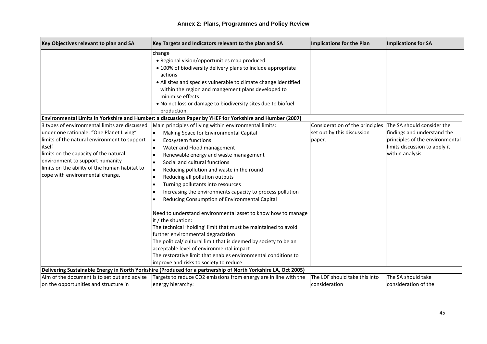| Key Objectives relevant to plan and SA                                                                                                                                                                                                                                                                              | Key Targets and Indicators relevant to the plan and SA                                                                                                                                                                                                                                                                                                                                                                                                                                                                                                                                                                                                                                                                                                                                                                                                                                                                                                              | Implications for the Plan                                                                          | Implications for SA                                                                                                 |
|---------------------------------------------------------------------------------------------------------------------------------------------------------------------------------------------------------------------------------------------------------------------------------------------------------------------|---------------------------------------------------------------------------------------------------------------------------------------------------------------------------------------------------------------------------------------------------------------------------------------------------------------------------------------------------------------------------------------------------------------------------------------------------------------------------------------------------------------------------------------------------------------------------------------------------------------------------------------------------------------------------------------------------------------------------------------------------------------------------------------------------------------------------------------------------------------------------------------------------------------------------------------------------------------------|----------------------------------------------------------------------------------------------------|---------------------------------------------------------------------------------------------------------------------|
|                                                                                                                                                                                                                                                                                                                     | change<br>• Regional vision/opportunities map produced<br>• 100% of biodiversity delivery plans to include appropriate<br>actions<br>• All sites and species vulnerable to climate change identified<br>within the region and mangement plans developed to<br>minimise effects<br>. No net loss or damage to biodiversity sites due to biofuel<br>production.                                                                                                                                                                                                                                                                                                                                                                                                                                                                                                                                                                                                       |                                                                                                    |                                                                                                                     |
|                                                                                                                                                                                                                                                                                                                     | Environmental Limits in Yorkshire and Humber: a discussion Paper by YHEF for Yorkshire and Humber (2007)                                                                                                                                                                                                                                                                                                                                                                                                                                                                                                                                                                                                                                                                                                                                                                                                                                                            |                                                                                                    |                                                                                                                     |
| 3 types of environmental limits are discussed<br>under one rationale: "One Planet Living"<br>limits of the natural environment to support<br>itself<br>limits on the capacity of the natural<br>environment to support humanity<br>limits on the ability of the human habitat to<br>cope with environmental change. | Main principles of living within environmental limits:<br>Making Space for Environmental Capital<br>$\bullet$<br><b>Ecosystem functions</b><br>$\bullet$<br>Water and Flood management<br>$\bullet$<br>Renewable energy and waste management<br>Social and cultural functions<br>$\bullet$<br>Reducing pollution and waste in the round<br>$\bullet$<br>Reducing all pollution outputs<br>Turning pollutants into resources<br>Increasing the environments capacity to process pollution<br>Reducing Consumption of Environmental Capital<br>Need to understand environmental asset to know how to manage<br>it / the situation:<br>The technical 'holding' limit that must be maintained to avoid<br>further environmental degradation<br>The political/ cultural limit that is deemed by society to be an<br>acceptable level of environmental impact<br>The restorative limit that enables environmental conditions to<br>improve and risks to society to reduce | Consideration of the principles The SA should consider the<br>set out by this discussion<br>paper. | findings and understand the<br>principles of the environmental<br>limits discussion to apply it<br>within analysis. |
|                                                                                                                                                                                                                                                                                                                     | Delivering Sustainable Energy in North Yorkshire (Produced for a partnership of North Yorkshire LA, Oct 2005)                                                                                                                                                                                                                                                                                                                                                                                                                                                                                                                                                                                                                                                                                                                                                                                                                                                       |                                                                                                    |                                                                                                                     |
| Aim of the document is to set out and advise                                                                                                                                                                                                                                                                        | Targets to reduce CO2 emissions from energy are in line with the                                                                                                                                                                                                                                                                                                                                                                                                                                                                                                                                                                                                                                                                                                                                                                                                                                                                                                    | The LDF should take this into                                                                      | The SA should take                                                                                                  |
| on the opportunities and structure in                                                                                                                                                                                                                                                                               | energy hierarchy:                                                                                                                                                                                                                                                                                                                                                                                                                                                                                                                                                                                                                                                                                                                                                                                                                                                                                                                                                   | consideration                                                                                      | consideration of the                                                                                                |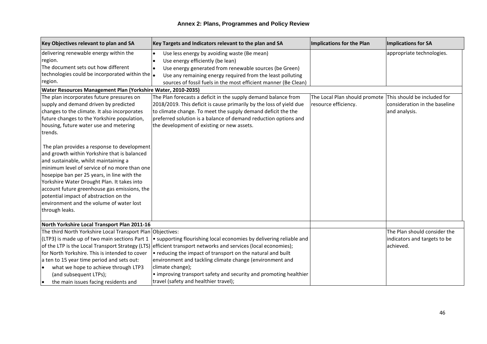| Key Objectives relevant to plan and SA                                                                                                                                                                                                                                                                                                                                                                                                                                                                                                                                                                                                                                                                                                                                                                                                                                                                          | Key Targets and Indicators relevant to the plan and SA                                                                                                                                                                                                                                                                                                                                                                                                                                                                                                                                                                   | <b>Implications for the Plan</b>                                                  | Implications for SA                                                         |
|-----------------------------------------------------------------------------------------------------------------------------------------------------------------------------------------------------------------------------------------------------------------------------------------------------------------------------------------------------------------------------------------------------------------------------------------------------------------------------------------------------------------------------------------------------------------------------------------------------------------------------------------------------------------------------------------------------------------------------------------------------------------------------------------------------------------------------------------------------------------------------------------------------------------|--------------------------------------------------------------------------------------------------------------------------------------------------------------------------------------------------------------------------------------------------------------------------------------------------------------------------------------------------------------------------------------------------------------------------------------------------------------------------------------------------------------------------------------------------------------------------------------------------------------------------|-----------------------------------------------------------------------------------|-----------------------------------------------------------------------------|
| delivering renewable energy within the<br>region.<br>The document sets out how different<br>technologies could be incorporated within the  .<br>region.<br>Water Resources Management Plan (Yorkshire Water, 2010-2035)<br>The plan incorporates future pressures on<br>supply and demand driven by predicted<br>changes to the climate. It also incorporates<br>future changes to the Yorkshire population,<br>housing, future water use and metering<br>trends.<br>The plan provides a response to development<br>and growth within Yorkshire that is balanced<br>and sustainable, whilst maintaining a<br>minimum level of service of no more than one<br>hosepipe ban per 25 years, in line with the<br>Yorkshire Water Drought Plan. It takes into<br>account future greenhouse gas emissions, the<br>potential impact of abstraction on the<br>environment and the volume of water lost<br>through leaks. | Use less energy by avoiding waste (Be mean)<br>$\bullet$<br>Use energy efficiently (be lean)<br>Use energy generated from renewable sources (be Green)<br>l e<br>Use any remaining energy required from the least polluting<br>sources of fossil fuels in the most efficient manner (Be Clean)<br>The Plan forecasts a deficit in the supply demand balance from<br>2018/2019. This deficit is cause primarily by the loss of yield due<br>to climate change. To meet the supply demand deficit the the<br>preferred solution is a balance of demand reduction options and<br>the development of existing or new assets. | The Local Plan should promote This should be included for<br>resource efficiency. | appropriate technologies.<br>consideration in the baseline<br>and analysis. |
| North Yorkshire Local Transport Plan 2011-16                                                                                                                                                                                                                                                                                                                                                                                                                                                                                                                                                                                                                                                                                                                                                                                                                                                                    |                                                                                                                                                                                                                                                                                                                                                                                                                                                                                                                                                                                                                          |                                                                                   |                                                                             |
| The third North Yorkshire Local Transport Plan Objectives:<br>(LTP3) is made up of two main sections Part 1<br>for North Yorkshire. This is intended to cover<br>a ten to 15 year time period and sets out:<br>what we hope to achieve through LTP3<br>(and subsequent LTPs);<br>the main issues facing residents and<br>l                                                                                                                                                                                                                                                                                                                                                                                                                                                                                                                                                                                      | • supporting flourishing local economies by delivering reliable and<br>of the LTP is the Local Transport Strategy (LTS) efficient transport networks and services (local economies);<br>• reducing the impact of transport on the natural and built<br>environment and tackling climate change (environment and<br>climate change);<br>• improving transport safety and security and promoting healthier<br>travel (safety and healthier travel);                                                                                                                                                                        |                                                                                   | The Plan should consider the<br>indicators and targets to be<br>achieved.   |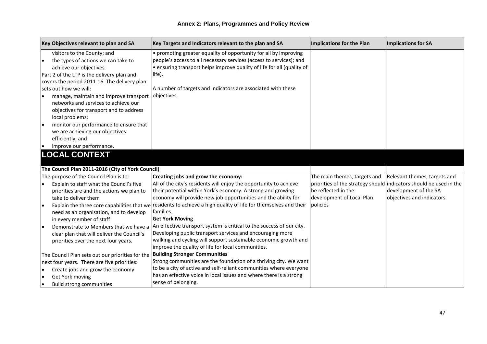| Key Objectives relevant to plan and SA                                                                                                                                                  | Key Targets and Indicators relevant to the plan and SA                                                                                                                                                                                                                                                                 | Implications for the Plan                                    | Implications for SA                                                                                                       |
|-----------------------------------------------------------------------------------------------------------------------------------------------------------------------------------------|------------------------------------------------------------------------------------------------------------------------------------------------------------------------------------------------------------------------------------------------------------------------------------------------------------------------|--------------------------------------------------------------|---------------------------------------------------------------------------------------------------------------------------|
| visitors to the County; and<br>the types of actions we can take to<br>I۰<br>achieve our objectives.<br>Part 2 of the LTP is the delivery plan and                                       | • promoting greater equality of opportunity for all by improving<br>people's access to all necessary services (access to services); and<br>• ensuring transport helps improve quality of life for all (quality of<br>life).                                                                                            |                                                              |                                                                                                                           |
| covers the period 2011-16. The delivery plan                                                                                                                                            |                                                                                                                                                                                                                                                                                                                        |                                                              |                                                                                                                           |
| sets out how we will:<br>manage, maintain and improve transport objectives.<br>I۰<br>networks and services to achieve our<br>objectives for transport and to address<br>local problems; | A number of targets and indicators are associated with these                                                                                                                                                                                                                                                           |                                                              |                                                                                                                           |
| monitor our performance to ensure that<br>١e<br>we are achieving our objectives<br>efficiently; and                                                                                     |                                                                                                                                                                                                                                                                                                                        |                                                              |                                                                                                                           |
| improve our performance.                                                                                                                                                                |                                                                                                                                                                                                                                                                                                                        |                                                              |                                                                                                                           |
| <b>LOCAL CONTEXT</b>                                                                                                                                                                    |                                                                                                                                                                                                                                                                                                                        |                                                              |                                                                                                                           |
| The Council Plan 2011-2016 (City of York Council)                                                                                                                                       |                                                                                                                                                                                                                                                                                                                        |                                                              |                                                                                                                           |
| The purpose of the Council Plan is to:                                                                                                                                                  | Creating jobs and grow the economy:                                                                                                                                                                                                                                                                                    | The main themes, targets and                                 | Relevant themes, targets and                                                                                              |
| Explain to staff what the Council's five<br>priorities are and the actions we plan to<br>take to deliver them<br>١o                                                                     | All of the city's residents will enjoy the opportunity to achieve<br>their potential within York's economy. A strong and growing<br>economy will provide new job opportunities and the ability for<br>Explain the three core capabilities that we residents to achieve a high quality of life for themselves and their | be reflected in the<br>development of Local Plan<br>policies | priorities of the strategy should indicators should be used in the<br>development of the SA<br>objectives and indicators. |
| need as an organisation, and to develop                                                                                                                                                 | families.                                                                                                                                                                                                                                                                                                              |                                                              |                                                                                                                           |
| in every member of staff                                                                                                                                                                | <b>Get York Moving</b>                                                                                                                                                                                                                                                                                                 |                                                              |                                                                                                                           |
| Demonstrate to Members that we have a<br>l e<br>clear plan that will deliver the Council's<br>priorities over the next four years.                                                      | An effective transport system is critical to the success of our city.<br>Developing public transport services and encouraging more<br>walking and cycling will support sustainable economic growth and<br>improve the quality of life for local communities.                                                           |                                                              |                                                                                                                           |
| The Council Plan sets out our priorities for the                                                                                                                                        | <b>Building Stronger Communities</b>                                                                                                                                                                                                                                                                                   |                                                              |                                                                                                                           |
| next four years. There are five priorities:                                                                                                                                             | Strong communities are the foundation of a thriving city. We want                                                                                                                                                                                                                                                      |                                                              |                                                                                                                           |
| Create jobs and grow the economy<br>l e                                                                                                                                                 | to be a city of active and self-reliant communities where everyone                                                                                                                                                                                                                                                     |                                                              |                                                                                                                           |
| Get York moving<br>I۰<br><b>Build strong communities</b><br>I۰                                                                                                                          | has an effective voice in local issues and where there is a strong<br>sense of belonging.                                                                                                                                                                                                                              |                                                              |                                                                                                                           |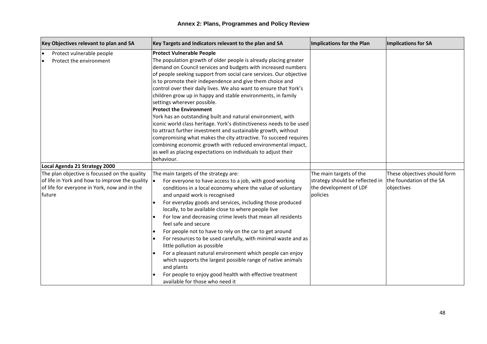| Key Objectives relevant to plan and SA                                                                                                                    | Key Targets and Indicators relevant to the plan and SA                                                                                                                                                                                                                                                                                                                                                                                                                                                                                                                                                                                                                                                                                                                                                                                                                                                                                      | <b>Implications for the Plan</b>                                                                 | Implications for SA                                                    |
|-----------------------------------------------------------------------------------------------------------------------------------------------------------|---------------------------------------------------------------------------------------------------------------------------------------------------------------------------------------------------------------------------------------------------------------------------------------------------------------------------------------------------------------------------------------------------------------------------------------------------------------------------------------------------------------------------------------------------------------------------------------------------------------------------------------------------------------------------------------------------------------------------------------------------------------------------------------------------------------------------------------------------------------------------------------------------------------------------------------------|--------------------------------------------------------------------------------------------------|------------------------------------------------------------------------|
| Protect vulnerable people<br>$\bullet$<br>Protect the environment<br>$\bullet$                                                                            | <b>Protect Vulnerable People</b><br>The population growth of older people is already placing greater<br>demand on Council services and budgets with increased numbers<br>of people seeking support from social care services. Our objective<br>is to promote their independence and give them choice and<br>control over their daily lives. We also want to ensure that York's<br>children grow up in happy and stable environments, in family<br>settings wherever possible.<br><b>Protect the Environment</b><br>York has an outstanding built and natural environment, with<br>iconic world class heritage. York's distinctiveness needs to be used<br>to attract further investment and sustainable growth, without<br>compromising what makes the city attractive. To succeed requires<br>combining economic growth with reduced environmental impact,<br>as well as placing expectations on individuals to adjust their<br>behaviour. |                                                                                                  |                                                                        |
| Local Agenda 21 Strategy 2000                                                                                                                             |                                                                                                                                                                                                                                                                                                                                                                                                                                                                                                                                                                                                                                                                                                                                                                                                                                                                                                                                             |                                                                                                  |                                                                        |
| The plan objective is focussed on the quality<br>of life in York and how to improve the quality<br>of life for everyone in York, now and in the<br>future | The main targets of the strategy are:<br>For everyone to have access to a job, with good working<br>l.<br>conditions in a local economy where the value of voluntary<br>and unpaid work is recognised<br>For everyday goods and services, including those produced<br>locally, to be available close to where people live<br>For low and decreasing crime levels that mean all residents<br>feel safe and secure<br>For people not to have to rely on the car to get around<br>For resources to be used carefully, with minimal waste and as<br>little pollution as possible<br>For a pleasant natural environment which people can enjoy<br>which supports the largest possible range of native animals<br>and plants<br>For people to enjoy good health with effective treatment<br>available for those who need it                                                                                                                       | The main targets of the<br>strategy should be reflected in<br>the development of LDF<br>policies | These objectives should form<br>the foundation of the SA<br>objectives |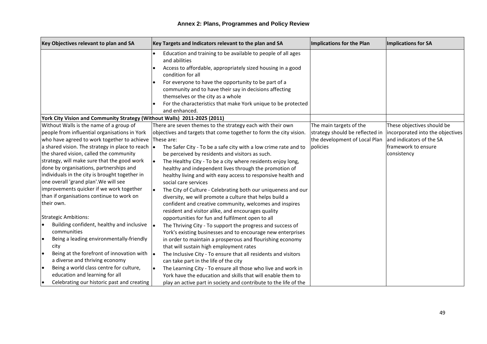| Key Objectives relevant to plan and SA                                                                                                                                                                                                                                                                                                                                                                                                                                                                                                                             | Key Targets and Indicators relevant to the plan and SA                                                                                                                                                                                                                                                                                                                                                                                                                                                                                                                                                                                                                            | Implications for the Plan                                                                               | <b>Implications for SA</b>                                                                                                       |
|--------------------------------------------------------------------------------------------------------------------------------------------------------------------------------------------------------------------------------------------------------------------------------------------------------------------------------------------------------------------------------------------------------------------------------------------------------------------------------------------------------------------------------------------------------------------|-----------------------------------------------------------------------------------------------------------------------------------------------------------------------------------------------------------------------------------------------------------------------------------------------------------------------------------------------------------------------------------------------------------------------------------------------------------------------------------------------------------------------------------------------------------------------------------------------------------------------------------------------------------------------------------|---------------------------------------------------------------------------------------------------------|----------------------------------------------------------------------------------------------------------------------------------|
|                                                                                                                                                                                                                                                                                                                                                                                                                                                                                                                                                                    | Education and training to be available to people of all ages<br>and abilities<br>Access to affordable, appropriately sized housing in a good<br>condition for all                                                                                                                                                                                                                                                                                                                                                                                                                                                                                                                 |                                                                                                         |                                                                                                                                  |
|                                                                                                                                                                                                                                                                                                                                                                                                                                                                                                                                                                    | For everyone to have the opportunity to be part of a<br>community and to have their say in decisions affecting<br>themselves or the city as a whole<br>For the characteristics that make York unique to be protected<br>and enhanced.                                                                                                                                                                                                                                                                                                                                                                                                                                             |                                                                                                         |                                                                                                                                  |
| York City Vision and Community Strategy (Without Walls) 2011-2025 (2011)                                                                                                                                                                                                                                                                                                                                                                                                                                                                                           |                                                                                                                                                                                                                                                                                                                                                                                                                                                                                                                                                                                                                                                                                   |                                                                                                         |                                                                                                                                  |
| Without Walls is the name of a group of<br>people from influential organisations in York<br>who have agreed to work together to achieve These are:<br>a shared vision. The strategy in place to reach $\vert \bullet \vert$<br>the shared vision, called the community<br>strategy, will make sure that the good work<br>done by organisations, partnerships and<br>individuals in the city is brought together in<br>one overall 'grand plan'. We will see<br>improvements quicker if we work together<br>than if organisations continue to work on<br>their own. | There are seven themes to the strategy each with their own<br>objectives and targets that come together to form the city vision.<br>The Safer City - To be a safe city with a low crime rate and to<br>be perceived by residents and visitors as such.<br>The Healthy City - To be a city where residents enjoy long,<br>$\bullet$<br>healthy and independent lives through the promotion of<br>healthy living and with easy access to responsive health and<br>social care services<br>The City of Culture - Celebrating both our uniqueness and our<br>l.<br>diversity, we will promote a culture that helps build a<br>confident and creative community, welcomes and inspires | The main targets of the<br>strategy should be reflected in<br>the development of Local Plan<br>policies | These objectives should be<br>incorporated into the objectives<br>and indicators of the SA<br>framework to ensure<br>consistency |
| <b>Strategic Ambitions:</b><br>Building confident, healthy and inclusive<br>communities<br>Being a leading environmentally-friendly<br>$\bullet$<br>city<br>Being at the forefront of innovation with $\vert \bullet \vert$<br>l e<br>a diverse and thriving economy<br>Being a world class centre for culture,<br>$\bullet$<br>education and learning for all<br>Celebrating our historic past and creating<br>$\bullet$                                                                                                                                          | resident and visitor alike, and encourages quality<br>opportunities for fun and fulfilment open to all<br>The Thriving City - To support the progress and success of<br>l.<br>York's existing businesses and to encourage new enterprises<br>in order to maintain a prosperous and flourishing economy<br>that will sustain high employment rates<br>The Inclusive City - To ensure that all residents and visitors<br>can take part in the life of the city<br>The Learning City - To ensure all those who live and work in<br>York have the education and skills that will enable them to<br>play an active part in society and contribute to the life of the                   |                                                                                                         |                                                                                                                                  |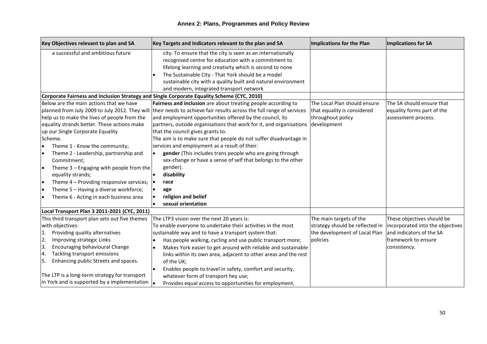| Key Objectives relevant to plan and SA              | Key Targets and Indicators relevant to the plan and SA                                                               | Implications for the Plan       | Implications for SA              |
|-----------------------------------------------------|----------------------------------------------------------------------------------------------------------------------|---------------------------------|----------------------------------|
| a successful and ambitious future                   | city. To ensure that the city is seen as an internationally                                                          |                                 |                                  |
|                                                     | recognised centre for education with a commitment to                                                                 |                                 |                                  |
|                                                     | lifelong learning and creativity which is second to none                                                             |                                 |                                  |
|                                                     | The Sustainable City - That York should be a model                                                                   |                                 |                                  |
|                                                     | sustainable city with a quality built and natural environment                                                        |                                 |                                  |
|                                                     | and modern, integrated transport network                                                                             |                                 |                                  |
|                                                     | Corporate Fairness and Inclusion Strategy and Single Corporate Equality Scheme (CYC, 2010)                           |                                 |                                  |
| Below are the main actions that we have             | Fairness and inclusion are about treating people according to                                                        | The Local Plan should ensure    | The SA should ensure that        |
|                                                     | planned from July 2009 to July 2012. They will their needs to achieve fair results across the full range of services | that equality is considered     | equality forms part of the       |
| help us to make the lives of people from the        | and employment opportunities offered by the council, its                                                             | throughout policy               | assessment process.              |
| equality strands better. These actions make         | partners, outside organisations that work for it, and organisations                                                  | development                     |                                  |
| up our Single Corporate Equality                    | that the council gives grants to.                                                                                    |                                 |                                  |
| Scheme.                                             | The aim is to make sure that people do not suffer disadvantage in                                                    |                                 |                                  |
| Theme 1 - Know the community;<br>$\bullet$          | services and employment as a result of their:                                                                        |                                 |                                  |
| Theme 2 - Leadership, partnership and<br>$\bullet$  | gender (This includes trans people who are going through<br>$\bullet$                                                |                                 |                                  |
| Commitment;                                         | sex-change or have a sense of self that belongs to the other                                                         |                                 |                                  |
| Theme $3$ – Engaging with people from the<br>١.     | gender).                                                                                                             |                                 |                                  |
| equality strands;                                   | disability                                                                                                           |                                 |                                  |
| Theme 4 - Providing responsive services;<br>I۰      | race                                                                                                                 |                                 |                                  |
| Theme 5 - Having a diverse workforce;<br>I۰         | age                                                                                                                  |                                 |                                  |
| Theme 6 - Acting in each business area<br>$\bullet$ | religion and belief                                                                                                  |                                 |                                  |
|                                                     | sexual orientation                                                                                                   |                                 |                                  |
| Local Transport Plan 3 2011-2021 (CYC, 2011)        |                                                                                                                      |                                 |                                  |
| This third transport plan sets out five themes      | The LTP3 vision over the next 20 years is:                                                                           | The main targets of the         | These objectives should be       |
| with objectives:                                    | To enable everyone to undertake their activities in the most                                                         | strategy should be reflected in | incorporated into the objectives |
| Providing quality alternatives<br>۱1.               | sustainable way and to have a transport system that:                                                                 | the development of Local Plan   | and indicators of the SA         |
| 2.<br>Improving strategic Links                     | Has people walking, cycling and use public transport more;                                                           | policies                        | framework to ensure              |
| 3.<br>Encouraging behavioural Change                | Makes York easier to get around with reliable and sustainable                                                        |                                 | consistency.                     |
| 4.<br>Tackling transport emissions                  | links within its own area, adjacent to other areas and the rest                                                      |                                 |                                  |
| 5.<br>Enhancing public Streets and spaces.          | of the UK;                                                                                                           |                                 |                                  |
|                                                     | Enables people to travel in safety, comfort and security,                                                            |                                 |                                  |
| The LTP is a long-term strategy for transport       | whatever form of transport hey use;                                                                                  |                                 |                                  |
| in York and is supported by a implementation        | Provides equal access to opportunities for employment,                                                               |                                 |                                  |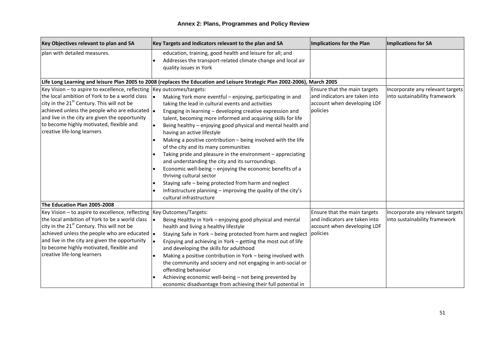| Key Objectives relevant to plan and SA                                    | Key Targets and Indicators relevant to the plan and SA                                                                                              | Implications for the Plan     | Implications for SA              |
|---------------------------------------------------------------------------|-----------------------------------------------------------------------------------------------------------------------------------------------------|-------------------------------|----------------------------------|
| plan with detailed measures.                                              | education, training, good health and leisure for all; and<br>Addresses the transport-related climate change and local air<br>quality issues in York |                               |                                  |
|                                                                           | Life Long Learning and leisure Plan 2005 to 2008 (replaces the Education and Leisure Strategic Plan 2002-2006), March 2005                          |                               |                                  |
| Key Vision $-$ to aspire to excellence, reflecting Key outcomes/targets:  |                                                                                                                                                     | Ensure that the main targets  | Incorporate any relevant targets |
| the local ambition of York to be a world class                            | Making York more eventful - enjoying, participating in and<br>$\bullet$                                                                             | and indicators are taken into | into sustainability framework    |
| city in the 21 <sup>st</sup> Century. This will not be                    | taking the lead in cultural events and activities                                                                                                   | account when developing LDF   |                                  |
| achieved unless the people who are educated $\left  \bullet \right $      | Engaging in learning - developing creative expression and                                                                                           | policies                      |                                  |
| and live in the city are given the opportunity                            | talent, becoming more informed and acquiring skills for life                                                                                        |                               |                                  |
| to become highly motivated, flexible and                                  | Being healthy - enjoying good physical and mental health and<br>$\bullet$                                                                           |                               |                                  |
| creative life-long learners                                               | having an active lifestyle                                                                                                                          |                               |                                  |
|                                                                           | Making a positive contribution - being involved with the life                                                                                       |                               |                                  |
|                                                                           | of the city and its many communities                                                                                                                |                               |                                  |
|                                                                           | Taking pride and pleasure in the environment - appreciating<br>and understanding the city and its surroundings                                      |                               |                                  |
|                                                                           | Economic well-being - enjoying the economic benefits of a                                                                                           |                               |                                  |
|                                                                           | thriving cultural sector                                                                                                                            |                               |                                  |
|                                                                           | Staying safe - being protected from harm and neglect                                                                                                |                               |                                  |
|                                                                           | Infrastructure planning - improving the quality of the city's                                                                                       |                               |                                  |
|                                                                           | cultural infrastructure                                                                                                                             |                               |                                  |
| The Education Plan 2005-2008                                              |                                                                                                                                                     |                               |                                  |
| Key Vision $-$ to aspire to excellence, reflecting  Key Outcomes/Targets: |                                                                                                                                                     | Ensure that the main targets  | Incorporate any relevant targets |
| the local ambition of York to be a world class                            | $\bullet$<br>Being Healthy in York - enjoying good physical and mental                                                                              | and indicators are taken into | into sustainability framework    |
| city in the 21 <sup>st</sup> Century. This will not be                    | health and living a healthy lifestyle                                                                                                               | account when developing LDF   |                                  |
| achieved unless the people who are educated $\left  \bullet \right $      | Staying Safe in York - being protected from harm and neglect                                                                                        | policies                      |                                  |
| and live in the city are given the opportunity                            | Enjoying and achieving in York - getting the most out of life<br>$\bullet$                                                                          |                               |                                  |
| to become highly motivated, flexible and                                  | and developing the skills for adulthood                                                                                                             |                               |                                  |
| creative life-long learners                                               | Making a positive contribution in York - being involved with                                                                                        |                               |                                  |
|                                                                           | the community and sociery and not engaging in anti-social or                                                                                        |                               |                                  |
|                                                                           | offending behaviour                                                                                                                                 |                               |                                  |
|                                                                           | Achieving economic well-being - not being prevented by                                                                                              |                               |                                  |
|                                                                           | economic disadvantage from achieving their full potential in                                                                                        |                               |                                  |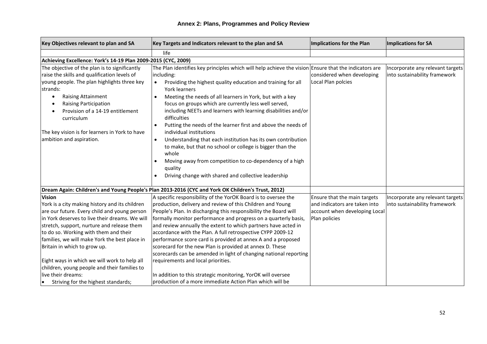| Key Objectives relevant to plan and SA                                                                                                                                                                                                                                                                                                                                                                                                                          | Key Targets and Indicators relevant to the plan and SA                                                                                                                                                                                                                                                                                                                                                                                                                                                                                                                                                                                                                                                                                                                                   | Implications for the Plan<br>Implications for SA                                                                |                                                                   |
|-----------------------------------------------------------------------------------------------------------------------------------------------------------------------------------------------------------------------------------------------------------------------------------------------------------------------------------------------------------------------------------------------------------------------------------------------------------------|------------------------------------------------------------------------------------------------------------------------------------------------------------------------------------------------------------------------------------------------------------------------------------------------------------------------------------------------------------------------------------------------------------------------------------------------------------------------------------------------------------------------------------------------------------------------------------------------------------------------------------------------------------------------------------------------------------------------------------------------------------------------------------------|-----------------------------------------------------------------------------------------------------------------|-------------------------------------------------------------------|
|                                                                                                                                                                                                                                                                                                                                                                                                                                                                 | life                                                                                                                                                                                                                                                                                                                                                                                                                                                                                                                                                                                                                                                                                                                                                                                     |                                                                                                                 |                                                                   |
| Achieving Excellence: York's 14-19 Plan 2009-2015 (CYC, 2009)                                                                                                                                                                                                                                                                                                                                                                                                   |                                                                                                                                                                                                                                                                                                                                                                                                                                                                                                                                                                                                                                                                                                                                                                                          |                                                                                                                 |                                                                   |
| The objective of the plan is to significantly<br>raise the skills and qualification levels of<br>young people. The plan highlights three key<br>strands:<br><b>Raising Attainment</b><br>$\bullet$<br><b>Raising Participation</b><br>$\bullet$<br>Provision of a 14-19 entitlement<br>curriculum<br>The key vision is for learners in York to have<br>ambition and aspiration.                                                                                 | The Plan identifies key principles which will help achieve the vision Ensure that the indicators are<br>including:<br>Providing the highest quality education and training for all<br>$\bullet$<br>York learners<br>Meeting the needs of all learners in York, but with a key<br>focus on groups which are currently less well served,<br>including NEETs and learners with learning disabilities and/or<br>difficulties<br>Putting the needs of the learner first and above the needs of<br>individual institutions<br>Understanding that each institution has its own contribution<br>to make, but that no school or college is bigger than the<br>whole<br>Moving away from competition to co-dependency of a high<br>quality<br>Driving change with shared and collective leadership | considered when developing<br>Local Plan polcies                                                                | Incorporate any relevant targets<br>into sustainability framework |
|                                                                                                                                                                                                                                                                                                                                                                                                                                                                 | Dream Again: Children's and Young People's Plan 2013-2016 (CYC and York OK Children's Trust, 2012)                                                                                                                                                                                                                                                                                                                                                                                                                                                                                                                                                                                                                                                                                       |                                                                                                                 |                                                                   |
| <b>Vision</b><br>York is a city making history and its children<br>are our future. Every child and young person<br>in York deserves to live their dreams. We will<br>stretch, support, nurture and release them<br>to do so. Working with them and their<br>families, we will make York the best place in<br>Britain in which to grow up.<br>Eight ways in which we will work to help all<br>children, young people and their families to<br>live their dreams: | A specific responsibility of the YorOK Board is to oversee the<br>production, delivery and review of this Children and Young<br>People's Plan. In discharging this responsibility the Board will<br>formally monitor performance and progress on a quarterly basis,<br>and review annually the extent to which partners have acted in<br>accordance with the Plan. A full retrospective CYPP 2009-12<br>performance score card is provided at annex A and a proposed<br>scorecard for the new Plan is provided at annex D. These<br>scorecards can be amended in light of changing national reporting<br>requirements and local priorities.<br>In addition to this strategic monitoring, YorOK will oversee                                                                              | Ensure that the main targets<br>and indicators are taken into<br>account when developing Local<br>Plan policies | Incorporate any relevant targets<br>into sustainability framework |
| Striving for the highest standards;                                                                                                                                                                                                                                                                                                                                                                                                                             | production of a more immediate Action Plan which will be                                                                                                                                                                                                                                                                                                                                                                                                                                                                                                                                                                                                                                                                                                                                 |                                                                                                                 |                                                                   |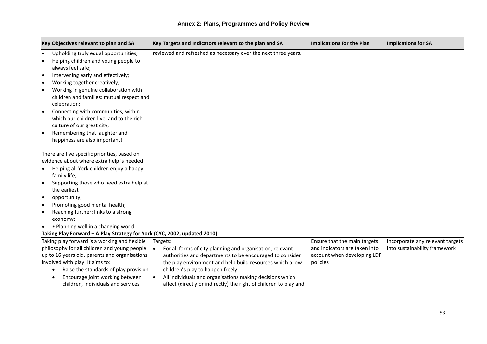| Key Objectives relevant to plan and SA                                   | Key Targets and Indicators relevant to the plan and SA            | <b>Implications for the Plan</b> | <b>Implications for SA</b>       |
|--------------------------------------------------------------------------|-------------------------------------------------------------------|----------------------------------|----------------------------------|
| Upholding truly equal opportunities;                                     | reviewed and refreshed as necessary over the next three years.    |                                  |                                  |
| Helping children and young people to                                     |                                                                   |                                  |                                  |
| always feel safe;                                                        |                                                                   |                                  |                                  |
| Intervening early and effectively;                                       |                                                                   |                                  |                                  |
| Working together creatively;                                             |                                                                   |                                  |                                  |
| Working in genuine collaboration with                                    |                                                                   |                                  |                                  |
| children and families: mutual respect and                                |                                                                   |                                  |                                  |
| celebration;                                                             |                                                                   |                                  |                                  |
| Connecting with communities, within                                      |                                                                   |                                  |                                  |
| which our children live, and to the rich                                 |                                                                   |                                  |                                  |
| culture of our great city;                                               |                                                                   |                                  |                                  |
| Remembering that laughter and                                            |                                                                   |                                  |                                  |
| happiness are also important!                                            |                                                                   |                                  |                                  |
|                                                                          |                                                                   |                                  |                                  |
| There are five specific priorities, based on                             |                                                                   |                                  |                                  |
| evidence about where extra help is needed:                               |                                                                   |                                  |                                  |
| Helping all York children enjoy a happy<br>family life;                  |                                                                   |                                  |                                  |
| Supporting those who need extra help at                                  |                                                                   |                                  |                                  |
| the earliest                                                             |                                                                   |                                  |                                  |
| opportunity;                                                             |                                                                   |                                  |                                  |
| Promoting good mental health;                                            |                                                                   |                                  |                                  |
| Reaching further: links to a strong                                      |                                                                   |                                  |                                  |
| economy;                                                                 |                                                                   |                                  |                                  |
| • Planning well in a changing world.                                     |                                                                   |                                  |                                  |
| Taking Play Forward - A Play Strategy for York (CYC, 2002, updated 2010) |                                                                   |                                  |                                  |
| Taking play forward is a working and flexible                            | Targets:                                                          | Ensure that the main targets     | Incorporate any relevant targets |
| philosophy for all children and young people                             | For all forms of city planning and organisation, relevant         | and indicators are taken into    | into sustainability framework    |
| up to 16 years old, parents and organisations                            | authorities and departments to be encouraged to consider          | account when developing LDF      |                                  |
| involved with play. It aims to:                                          | the play environment and help build resources which allow         | policies                         |                                  |
| Raise the standards of play provision<br>$\bullet$                       | children's play to happen freely                                  |                                  |                                  |
| Encourage joint working between<br>$\bullet$                             | All individuals and organisations making decisions which          |                                  |                                  |
| children, individuals and services                                       | affect (directly or indirectly) the right of children to play and |                                  |                                  |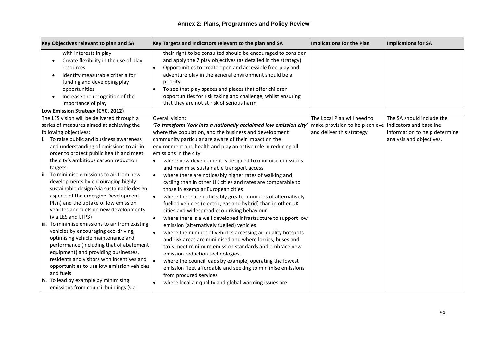| Key Objectives relevant to plan and SA                                                                                                                                                                                                                                                                                                                                                                                                                                                                                                                                                                                                                                                                                                                                                                                                                                                                                                                                                            | Key Targets and Indicators relevant to the plan and SA                                                                                                                                                                                                                                                                                                                                                                                                                                                                                                                                                                                                                                                                                                                                                                                                                                                                                                                                                                                                                                                                                                                                                                                                                                                                                    | <b>Implications for the Plan</b>                                                                                   | Implications for SA                                                                    |
|---------------------------------------------------------------------------------------------------------------------------------------------------------------------------------------------------------------------------------------------------------------------------------------------------------------------------------------------------------------------------------------------------------------------------------------------------------------------------------------------------------------------------------------------------------------------------------------------------------------------------------------------------------------------------------------------------------------------------------------------------------------------------------------------------------------------------------------------------------------------------------------------------------------------------------------------------------------------------------------------------|-------------------------------------------------------------------------------------------------------------------------------------------------------------------------------------------------------------------------------------------------------------------------------------------------------------------------------------------------------------------------------------------------------------------------------------------------------------------------------------------------------------------------------------------------------------------------------------------------------------------------------------------------------------------------------------------------------------------------------------------------------------------------------------------------------------------------------------------------------------------------------------------------------------------------------------------------------------------------------------------------------------------------------------------------------------------------------------------------------------------------------------------------------------------------------------------------------------------------------------------------------------------------------------------------------------------------------------------|--------------------------------------------------------------------------------------------------------------------|----------------------------------------------------------------------------------------|
| with interests in play<br>Create flexibility in the use of play<br>$\bullet$<br>resources<br>Identify measurable criteria for<br>$\bullet$<br>funding and developing play<br>opportunities<br>Increase the recognition of the<br>$\bullet$<br>importance of play                                                                                                                                                                                                                                                                                                                                                                                                                                                                                                                                                                                                                                                                                                                                  | their right to be consulted should be encouraged to consider<br>and apply the 7 play objectives (as detailed in the strategy)<br>Opportunities to create open and accessible free-play and<br>$\bullet$<br>adventure play in the general environment should be a<br>priority<br>To see that play spaces and places that offer children<br>opportunities for risk taking and challenge, whilst ensuring<br>that they are not at risk of serious harm                                                                                                                                                                                                                                                                                                                                                                                                                                                                                                                                                                                                                                                                                                                                                                                                                                                                                       |                                                                                                                    |                                                                                        |
| Low Emission Strategy (CYC, 2012)                                                                                                                                                                                                                                                                                                                                                                                                                                                                                                                                                                                                                                                                                                                                                                                                                                                                                                                                                                 |                                                                                                                                                                                                                                                                                                                                                                                                                                                                                                                                                                                                                                                                                                                                                                                                                                                                                                                                                                                                                                                                                                                                                                                                                                                                                                                                           |                                                                                                                    |                                                                                        |
| The LES vision will be delivered through a<br>series of measures aimed at achieving the<br>following objectives:<br>To raise public and business awareness<br>and understanding of emissions to air in<br>order to protect public health and meet<br>the city's ambitious carbon reduction<br>targets.<br>To minimise emissions to air from new<br>developments by encouraging highly<br>sustainable design (via sustainable design<br>aspects of the emerging Development<br>Plan) and the uptake of low emission<br>vehicles and fuels on new developments<br>(via LES and LTP3)<br>iii. To minimise emissions to air from existing<br>vehicles by encouraging eco-driving,<br>optimising vehicle maintenance and<br>performance (including that of abatement<br>equipment) and providing businesses,<br>residents and visitors with incentives and<br>opportunities to use low emission vehicles<br>and fuels<br>iv. To lead by example by minimising<br>emissions from council buildings (via | Overall vision:<br>'To transform York into a nationally acclaimed low emission city'<br>where the population, and the business and development<br>community particular are aware of their impact on the<br>environment and health and play an active role in reducing all<br>emissions in the city<br>where new development is designed to minimise emissions<br>$\bullet$<br>and maximise sustainable transport access<br>where there are noticeably higher rates of walking and<br>l.<br>cycling than in other UK cities and rates are comparable to<br>those in exemplar European cities<br>where there are noticeably greater numbers of alternatively<br>l.<br>fuelled vehicles (electric, gas and hybrid) than in other UK<br>cities and widespread eco-driving behaviour<br>where there is a well developed infrastructure to support low<br>I۰<br>emission (alternatively fuelled) vehicles<br>where the number of vehicles accessing air quality hotspots<br>and risk areas are minimised and where lorries, buses and<br>taxis meet minimum emission standards and embrace new<br>emission reduction technologies<br>where the council leads by example, operating the lowest<br>emission fleet affordable and seeking to minimise emissions<br>from procured services<br>where local air quality and global warming issues are | The Local Plan will need to<br>make provision to help achieve indicators and baseline<br>and deliver this strategy | The SA should include the<br>information to help determine<br>analysis and objectives. |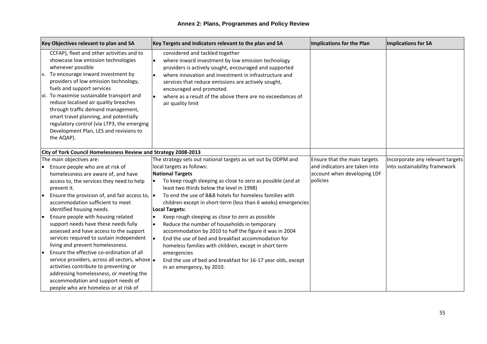|    | Key Objectives relevant to plan and SA                                                                                                                                                                                                                                                                                                                                                                                                                                                          |                | Key Targets and Indicators relevant to the plan and SA                                                                                                                                                                                                                                                                                                                         | Implications for the Plan     | Implications for SA              |
|----|-------------------------------------------------------------------------------------------------------------------------------------------------------------------------------------------------------------------------------------------------------------------------------------------------------------------------------------------------------------------------------------------------------------------------------------------------------------------------------------------------|----------------|--------------------------------------------------------------------------------------------------------------------------------------------------------------------------------------------------------------------------------------------------------------------------------------------------------------------------------------------------------------------------------|-------------------------------|----------------------------------|
|    | CCFAP), fleet and other activities and to<br>showcase low emission technologies<br>whenever possible<br>v. To encourage inward investment by<br>providers of low emission technology,<br>fuels and support services<br>vi. To maximise sustainable transport and<br>reduce localised air quality breaches<br>through traffic demand management,<br>smart travel planning, and potentially<br>regulatory control (via LTP3, the emerging<br>Development Plan, LES and revisions to<br>the AQAP). | l.<br>l.<br>I۰ | considered and tackled together<br>where inward investment by low emission technology<br>providers is actively sought, encouraged and supported<br>where innovation and investment in infrastructure and<br>services that reduce emissions are actively sought,<br>encouraged and promoted.<br>where as a result of the above there are no exceedances of<br>air quality limit |                               |                                  |
|    | City of York Council Homelessness Review and Strategy 2008-2013                                                                                                                                                                                                                                                                                                                                                                                                                                 |                |                                                                                                                                                                                                                                                                                                                                                                                |                               |                                  |
|    | The main objectives are:                                                                                                                                                                                                                                                                                                                                                                                                                                                                        |                | The strategy sets out national targets as set out by ODPM and                                                                                                                                                                                                                                                                                                                  | Ensure that the main targets  | Incorporate any relevant targets |
|    | Ensure people who are at risk of                                                                                                                                                                                                                                                                                                                                                                                                                                                                |                | local targets as follows:                                                                                                                                                                                                                                                                                                                                                      | and indicators are taken into | into sustainability framework    |
|    | homelessness are aware of, and have                                                                                                                                                                                                                                                                                                                                                                                                                                                             |                | <b>National Targets</b>                                                                                                                                                                                                                                                                                                                                                        | account when developing LDF   |                                  |
|    | access to, the services they need to help                                                                                                                                                                                                                                                                                                                                                                                                                                                       | $\bullet$      | To keep rough sleeping as close to zero as possible (and at                                                                                                                                                                                                                                                                                                                    | policies                      |                                  |
|    | prevent it.                                                                                                                                                                                                                                                                                                                                                                                                                                                                                     |                | least two thirds below the level in 1998)                                                                                                                                                                                                                                                                                                                                      |                               |                                  |
|    | Ensure the provision of, and fair access to, $\bullet$                                                                                                                                                                                                                                                                                                                                                                                                                                          |                | To end the use of B&B hotels for homeless families with                                                                                                                                                                                                                                                                                                                        |                               |                                  |
|    | accommodation sufficient to meet                                                                                                                                                                                                                                                                                                                                                                                                                                                                |                | children except in short-term (less than 6 weeks) emergencies                                                                                                                                                                                                                                                                                                                  |                               |                                  |
|    | identified housing needs.                                                                                                                                                                                                                                                                                                                                                                                                                                                                       |                | Local Targets:                                                                                                                                                                                                                                                                                                                                                                 |                               |                                  |
| I۰ | Ensure people with housing related                                                                                                                                                                                                                                                                                                                                                                                                                                                              | $\bullet$      | Keep rough sleeping as close to zero as possible                                                                                                                                                                                                                                                                                                                               |                               |                                  |
|    | support needs have these needs fully                                                                                                                                                                                                                                                                                                                                                                                                                                                            | $\bullet$      | Reduce the number of households in temporary                                                                                                                                                                                                                                                                                                                                   |                               |                                  |
|    | assessed and have access to the support                                                                                                                                                                                                                                                                                                                                                                                                                                                         |                | accommodation by 2010 to half the figure it was in 2004                                                                                                                                                                                                                                                                                                                        |                               |                                  |
|    | services required to sustain independent                                                                                                                                                                                                                                                                                                                                                                                                                                                        | $\bullet$      | End the use of bed and breakfast accommodation for                                                                                                                                                                                                                                                                                                                             |                               |                                  |
|    | living and prevent homelessness.                                                                                                                                                                                                                                                                                                                                                                                                                                                                |                | homeless families with children, except in short term                                                                                                                                                                                                                                                                                                                          |                               |                                  |
| I۰ | Ensure the effective co-ordination of all                                                                                                                                                                                                                                                                                                                                                                                                                                                       |                | emergencies                                                                                                                                                                                                                                                                                                                                                                    |                               |                                  |
|    | service providers, across all sectors, whose .                                                                                                                                                                                                                                                                                                                                                                                                                                                  |                | End the use of bed and breakfast for 16-17 year olds, except                                                                                                                                                                                                                                                                                                                   |                               |                                  |
|    | activities contribute to preventing or                                                                                                                                                                                                                                                                                                                                                                                                                                                          |                | in an emergency, by 2010.                                                                                                                                                                                                                                                                                                                                                      |                               |                                  |
|    | addressing homelessness, or meeting the                                                                                                                                                                                                                                                                                                                                                                                                                                                         |                |                                                                                                                                                                                                                                                                                                                                                                                |                               |                                  |
|    | accommodation and support needs of                                                                                                                                                                                                                                                                                                                                                                                                                                                              |                |                                                                                                                                                                                                                                                                                                                                                                                |                               |                                  |
|    | people who are homeless or at risk of                                                                                                                                                                                                                                                                                                                                                                                                                                                           |                |                                                                                                                                                                                                                                                                                                                                                                                |                               |                                  |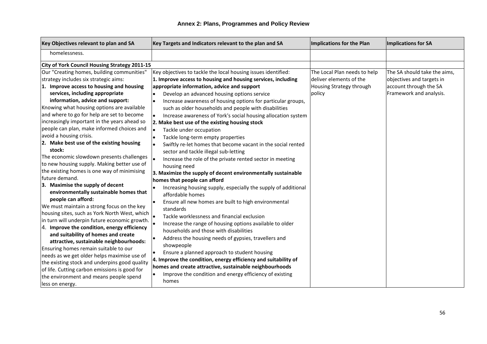| Key Objectives relevant to plan and SA         | Key Targets and Indicators relevant to the plan and SA                     | Implications for the Plan    | Implications for SA          |
|------------------------------------------------|----------------------------------------------------------------------------|------------------------------|------------------------------|
| homelessness.                                  |                                                                            |                              |                              |
| City of York Council Housing Strategy 2011-15  |                                                                            |                              |                              |
| Our "Creating homes, building communities"     | Key objectives to tackle the local housing issues identified:              | The Local Plan needs to help | The SA should take the aims, |
| strategy includes six strategic aims:          | 1. Improve access to housing and housing services, including               | deliver elements of the      | objectives and targets in    |
| 1. Improve access to housing and housing       | appropriate information, advice and support                                | Housing Strategy through     | account through the SA       |
| services, including appropriate                | Develop an advanced housing options service                                | policy                       | Framework and analysis.      |
| information, advice and support:               | Increase awareness of housing options for particular groups,<br>I۰         |                              |                              |
| Knowing what housing options are available     | such as older households and people with disabilities                      |                              |                              |
| and where to go for help are set to become     | Increase awareness of York's social housing allocation system<br>$\bullet$ |                              |                              |
| increasingly important in the years ahead so   | 2. Make best use of the existing housing stock                             |                              |                              |
| people can plan, make informed choices and     | Tackle under occupation<br>I۰                                              |                              |                              |
| avoid a housing crisis.                        | Tackle long-term empty properties<br>$\bullet$                             |                              |                              |
| 2. Make best use of the existing housing       | Swiftly re-let homes that become vacant in the social rented               |                              |                              |
| stock:                                         | sector and tackle illegal sub-letting                                      |                              |                              |
| The economic slowdown presents challenges      | Increase the role of the private rented sector in meeting                  |                              |                              |
| to new housing supply. Making better use of    | housing need                                                               |                              |                              |
| the existing homes is one way of minimising    | 3. Maximize the supply of decent environmentally sustainable               |                              |                              |
| future demand.                                 | homes that people can afford                                               |                              |                              |
| 3. Maximise the supply of decent               | Increasing housing supply, especially the supply of additional             |                              |                              |
| environmentally sustainable homes that         | affordable homes                                                           |                              |                              |
| people can afford:                             | Ensure all new homes are built to high environmental                       |                              |                              |
| We must maintain a strong focus on the key     | standards                                                                  |                              |                              |
| housing sites, such as York North West, which  | Tackle worklessness and financial exclusion                                |                              |                              |
| in turn will underpin future economic growth.  | Increase the range of housing options available to older                   |                              |                              |
| $ 4.$ Improve the condition, energy efficiency | households and those with disabilities                                     |                              |                              |
| and suitability of homes and create            | Address the housing needs of gypsies, travellers and                       |                              |                              |
| attractive, sustainable neighbourhoods:        | showpeople                                                                 |                              |                              |
| Ensuring homes remain suitable to our          | Ensure a planned approach to student housing                               |                              |                              |
| needs as we get older helps maximise use of    | 4. Improve the condition, energy efficiency and suitability of             |                              |                              |
| the existing stock and underpins good quality  | homes and create attractive, sustainable neighbourhoods                    |                              |                              |
| of life. Cutting carbon emissions is good for  | Improve the condition and energy efficiency of existing                    |                              |                              |
| the environment and means people spend         |                                                                            |                              |                              |
| less on energy.                                | homes                                                                      |                              |                              |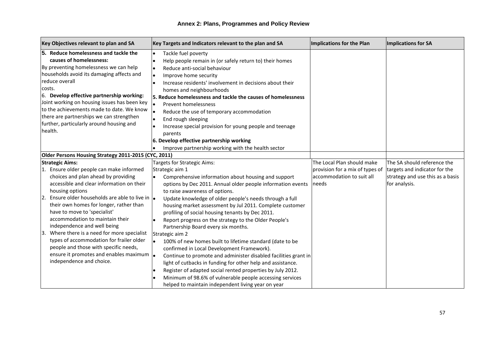| Key Objectives relevant to plan and SA                                                                                                                                                                                                                                                                                                                                                                                                                                                                                                                                                                               | Key Targets and Indicators relevant to the plan and SA                                                                                                                                                                                                                                                                                                                                                                                                                                                                                                                                                                                                                                                                                                                                                                                                                                                                                                                  | Implications for the Plan                                                                           | Implications for SA                                                                                               |
|----------------------------------------------------------------------------------------------------------------------------------------------------------------------------------------------------------------------------------------------------------------------------------------------------------------------------------------------------------------------------------------------------------------------------------------------------------------------------------------------------------------------------------------------------------------------------------------------------------------------|-------------------------------------------------------------------------------------------------------------------------------------------------------------------------------------------------------------------------------------------------------------------------------------------------------------------------------------------------------------------------------------------------------------------------------------------------------------------------------------------------------------------------------------------------------------------------------------------------------------------------------------------------------------------------------------------------------------------------------------------------------------------------------------------------------------------------------------------------------------------------------------------------------------------------------------------------------------------------|-----------------------------------------------------------------------------------------------------|-------------------------------------------------------------------------------------------------------------------|
| 5. Reduce homelessness and tackle the<br>causes of homelessness:<br>By preventing homelessness we can help<br>households avoid its damaging affects and<br>reduce overall<br>costs.<br>6. Develop effective partnership working:<br>Joint working on housing issues has been key<br>to the achievements made to date. We know<br>there are partnerships we can strengthen<br>further, particularly around housing and<br>health.                                                                                                                                                                                     | Tackle fuel poverty<br>$\bullet$<br>Help people remain in (or safely return to) their homes<br>$\bullet$<br>Reduce anti-social behaviour<br>l e<br>Improve home security<br>$\bullet$<br>Increase residents' involvement in decisions about their<br>I۰<br>homes and neighbourhoods<br>5. Reduce homelessness and tackle the causes of homelessness<br><b>Prevent homelessness</b><br>l o<br>Reduce the use of temporary accommodation<br>End rough sleeping<br>$\bullet$<br>Increase special provision for young people and teenage<br>parents<br>6. Develop effective partnership working                                                                                                                                                                                                                                                                                                                                                                             |                                                                                                     |                                                                                                                   |
|                                                                                                                                                                                                                                                                                                                                                                                                                                                                                                                                                                                                                      | Improve partnership working with the health sector                                                                                                                                                                                                                                                                                                                                                                                                                                                                                                                                                                                                                                                                                                                                                                                                                                                                                                                      |                                                                                                     |                                                                                                                   |
| Older Persons Housing Strategy 2011-2015 (CYC, 2011)                                                                                                                                                                                                                                                                                                                                                                                                                                                                                                                                                                 |                                                                                                                                                                                                                                                                                                                                                                                                                                                                                                                                                                                                                                                                                                                                                                                                                                                                                                                                                                         |                                                                                                     |                                                                                                                   |
| <b>Strategic Aims:</b><br>1. Ensure older people can make informed<br>choices and plan ahead by providing<br>accessible and clear information on their<br>housing options<br>Ensure older households are able to live in $\vert \bullet \vert$<br>12.<br>their own homes for longer, rather than<br>have to move to 'specialist'<br>accommodation to maintain their<br>independence and well being<br>Where there is a need for more specialist<br>13.<br>types of accommodation for frailer older<br>people and those with specific needs,<br>ensure it promotes and enables maximum  .<br>independence and choice. | Targets for Strategic Aims:<br>Strategic aim 1<br>$\bullet$<br>Comprehensive information about housing and support<br>options by Dec 2011. Annual older people information events<br>to raise awareness of options.<br>Update knowledge of older people's needs through a full<br>housing market assessment by Jul 2011. Complete customer<br>profiling of social housing tenants by Dec 2011.<br>Report progress on the strategy to the Older People's<br>$\bullet$<br>Partnership Board every six months.<br>Strategic aim 2<br>l.<br>100% of new homes built to lifetime standard (date to be<br>confirmed in Local Development Framework).<br>Continue to promote and administer disabled facilities grant in<br>light of cutbacks in funding for other help and assistance.<br>Register of adapted social rented properties by July 2012.<br>l e<br>Minimum of 98.6% of vulnerable people accessing services<br>helped to maintain independent living year on year | The Local Plan should make<br>provision for a mix of types of<br>accommodation to suit all<br>needs | The SA should reference the<br>targets and indicator for the<br>strategy and use this as a basis<br>for analysis. |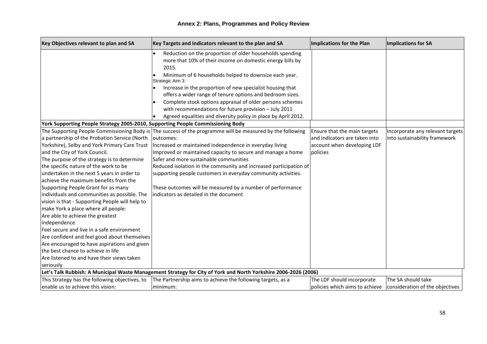| Key Objectives relevant to plan and SA                                          | Key Targets and Indicators relevant to the plan and SA                                                                                      | Implications for the Plan      | Implications for SA              |
|---------------------------------------------------------------------------------|---------------------------------------------------------------------------------------------------------------------------------------------|--------------------------------|----------------------------------|
|                                                                                 | Reduction on the proportion of older households spending<br>$\bullet$<br>more that 10% of their income on domestic energy bills by<br>2015. |                                |                                  |
|                                                                                 | Minimum of 6 households helped to downsize each year.<br>Strategic Aim 3:                                                                   |                                |                                  |
|                                                                                 | Increase in the proportion of new specialist housing that                                                                                   |                                |                                  |
|                                                                                 | offers a wider range of tenure options and bedroom sizes.                                                                                   |                                |                                  |
|                                                                                 | Complete stock options appraisal of older persons schemes                                                                                   |                                |                                  |
|                                                                                 | with recommendations for future provision - July 2011                                                                                       |                                |                                  |
|                                                                                 | Agreed equalities and diversity policy in place by April 2012.                                                                              |                                |                                  |
| York Supporting People Strategy 2005-2010, Supporting People Commissioning Body |                                                                                                                                             |                                |                                  |
|                                                                                 | The Supporting People Commissioning Body is The success of the programme will be measured by the following                                  | Ensure that the main targets   | Incorporate any relevant targets |
| a partnership of the Probation Service (North                                   | loutcomes:                                                                                                                                  | and indicators are taken into  | into sustainability framework    |
| Yorkshire), Selby and York Primary Care Trust                                   | Increased or maintained independence in everyday living                                                                                     | account when developing LDF    |                                  |
| and the City of York Council.                                                   | Improved or maintained capacity to secure and manage a home                                                                                 | policies                       |                                  |
| The purpose of the strategy is to determine                                     | Safer and more sustainable communities                                                                                                      |                                |                                  |
| the specific nature of the work to be                                           | Reduced isolation in the community and increased participation of                                                                           |                                |                                  |
| undertaken in the next 5 years in order to                                      | supporting people customers in everyday community activities.                                                                               |                                |                                  |
| achieve the maximum benefits from the                                           |                                                                                                                                             |                                |                                  |
| Supporting People Grant for as many                                             | These outcomes will be measured by a number of performance                                                                                  |                                |                                  |
| individuals and communities as possible. The                                    | indicators as detailed in the document                                                                                                      |                                |                                  |
| vision is that - Supporting People will help to                                 |                                                                                                                                             |                                |                                  |
| make York a place where all people:                                             |                                                                                                                                             |                                |                                  |
| Are able to achieve the greatest                                                |                                                                                                                                             |                                |                                  |
| independence                                                                    |                                                                                                                                             |                                |                                  |
| Feel secure and live in a safe environment                                      |                                                                                                                                             |                                |                                  |
| Are confident and feel good about themselves                                    |                                                                                                                                             |                                |                                  |
| Are encouraged to have aspirations and given                                    |                                                                                                                                             |                                |                                  |
| the best chance to achieve in life                                              |                                                                                                                                             |                                |                                  |
| Are listened to and have their views taken                                      |                                                                                                                                             |                                |                                  |
| seriously                                                                       |                                                                                                                                             |                                |                                  |
|                                                                                 | Let's Talk Rubbish: A Municipal Waste Management Strategy for City of York and North Yorkshire 2006-2026 (2006)                             |                                |                                  |
| This Strategy has the following objectives, to                                  | The Partnership aims to achieve the following targets, as a                                                                                 | The LDF should incorporate     | The SA should take               |
| enable us to achieve this vision:                                               | minimum:                                                                                                                                    | policies which aims to achieve | consideration of the objectives  |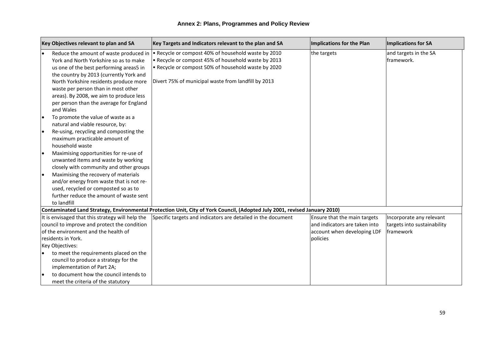| Key Objectives relevant to plan and SA           |                                          | Key Targets and Indicators relevant to the plan and SA                                                                     | <b>Implications for the Plan</b> | Implications for SA         |
|--------------------------------------------------|------------------------------------------|----------------------------------------------------------------------------------------------------------------------------|----------------------------------|-----------------------------|
|                                                  | Reduce the amount of waste produced in   | • Recycle or compost 40% of household waste by 2010                                                                        | the targets                      | and targets in the SA       |
| York and North Yorkshire so as to make           |                                          | . Recycle or compost 45% of household waste by 2013                                                                        |                                  | framework.                  |
| us one of the best performing areas5 in          |                                          | . Recycle or compost 50% of household waste by 2020                                                                        |                                  |                             |
| the country by 2013 (currently York and          |                                          |                                                                                                                            |                                  |                             |
|                                                  | North Yorkshire residents produce more   | Divert 75% of municipal waste from landfill by 2013                                                                        |                                  |                             |
| waste per person than in most other              |                                          |                                                                                                                            |                                  |                             |
|                                                  | areas). By 2008, we aim to produce less  |                                                                                                                            |                                  |                             |
|                                                  | per person than the average for England  |                                                                                                                            |                                  |                             |
| and Wales                                        |                                          |                                                                                                                            |                                  |                             |
| To promote the value of waste as a               |                                          |                                                                                                                            |                                  |                             |
| natural and viable resource, by:                 |                                          |                                                                                                                            |                                  |                             |
| Re-using, recycling and composting the           |                                          |                                                                                                                            |                                  |                             |
| maximum practicable amount of                    |                                          |                                                                                                                            |                                  |                             |
| household waste                                  |                                          |                                                                                                                            |                                  |                             |
| Maximising opportunities for re-use of           |                                          |                                                                                                                            |                                  |                             |
| unwanted items and waste by working              |                                          |                                                                                                                            |                                  |                             |
|                                                  | closely with community and other groups  |                                                                                                                            |                                  |                             |
| Maximising the recovery of materials<br>١o       |                                          |                                                                                                                            |                                  |                             |
|                                                  | and/or energy from waste that is not re- |                                                                                                                            |                                  |                             |
| used, recycled or composted so as to             |                                          |                                                                                                                            |                                  |                             |
|                                                  | further reduce the amount of waste sent  |                                                                                                                            |                                  |                             |
| to landfill                                      |                                          |                                                                                                                            |                                  |                             |
|                                                  |                                          | Contaminated Land Strategy, Environmental Protection Unit, City of York Council, (Adopted July 2001, revised January 2010) |                                  |                             |
| It is envisaged that this strategy will help the |                                          | Specific targets and indicators are detailed in the document                                                               | Ensure that the main targets     | Incorporate any relevant    |
| council to improve and protect the condition     |                                          |                                                                                                                            | and indicators are taken into    | targets into sustainability |
| of the environment and the health of             |                                          |                                                                                                                            | account when developing LDF      | framework                   |
| residents in York.                               |                                          |                                                                                                                            | policies                         |                             |
| Key Objectives:                                  |                                          |                                                                                                                            |                                  |                             |
|                                                  | to meet the requirements placed on the   |                                                                                                                            |                                  |                             |
| council to produce a strategy for the            |                                          |                                                                                                                            |                                  |                             |
| implementation of Part 2A;                       |                                          |                                                                                                                            |                                  |                             |
|                                                  | to document how the council intends to   |                                                                                                                            |                                  |                             |
| meet the criteria of the statutory               |                                          |                                                                                                                            |                                  |                             |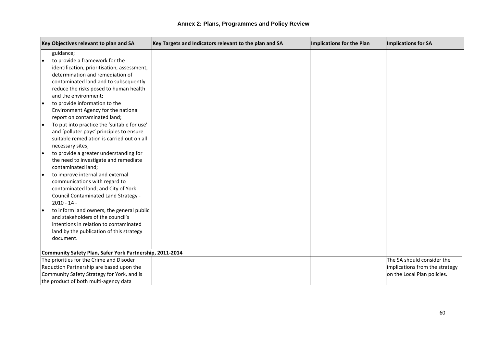|    | Key Objectives relevant to plan and SA                   | Key Targets and Indicators relevant to the plan and SA | <b>Implications for the Plan</b> | Implications for SA            |
|----|----------------------------------------------------------|--------------------------------------------------------|----------------------------------|--------------------------------|
|    | guidance;                                                |                                                        |                                  |                                |
| I۰ | to provide a framework for the                           |                                                        |                                  |                                |
|    | identification, prioritisation, assessment,              |                                                        |                                  |                                |
|    | determination and remediation of                         |                                                        |                                  |                                |
|    | contaminated land and to subsequently                    |                                                        |                                  |                                |
|    | reduce the risks posed to human health                   |                                                        |                                  |                                |
|    | and the environment;                                     |                                                        |                                  |                                |
| I۰ | to provide information to the                            |                                                        |                                  |                                |
|    | Environment Agency for the national                      |                                                        |                                  |                                |
|    | report on contaminated land;                             |                                                        |                                  |                                |
| ١. | To put into practice the 'suitable for use'              |                                                        |                                  |                                |
|    | and 'polluter pays' principles to ensure                 |                                                        |                                  |                                |
|    | suitable remediation is carried out on all               |                                                        |                                  |                                |
|    | necessary sites;                                         |                                                        |                                  |                                |
| ¦• | to provide a greater understanding for                   |                                                        |                                  |                                |
|    | the need to investigate and remediate                    |                                                        |                                  |                                |
|    | contaminated land;                                       |                                                        |                                  |                                |
| I۰ | to improve internal and external                         |                                                        |                                  |                                |
|    | communications with regard to                            |                                                        |                                  |                                |
|    | contaminated land; and City of York                      |                                                        |                                  |                                |
|    | Council Contaminated Land Strategy -                     |                                                        |                                  |                                |
|    | $2010 - 14 -$                                            |                                                        |                                  |                                |
| le | to inform land owners, the general public                |                                                        |                                  |                                |
|    | and stakeholders of the council's                        |                                                        |                                  |                                |
|    | intentions in relation to contaminated                   |                                                        |                                  |                                |
|    | land by the publication of this strategy                 |                                                        |                                  |                                |
|    | document.                                                |                                                        |                                  |                                |
|    |                                                          |                                                        |                                  |                                |
|    | Community Safety Plan, Safer York Partnership, 2011-2014 |                                                        |                                  |                                |
|    | The priorities for the Crime and Disoder                 |                                                        |                                  | The SA should consider the     |
|    | Reduction Partnership are based upon the                 |                                                        |                                  | implications from the strategy |
|    | Community Safety Strategy for York, and is               |                                                        |                                  | on the Local Plan policies.    |
|    | the product of both multi-agency data                    |                                                        |                                  |                                |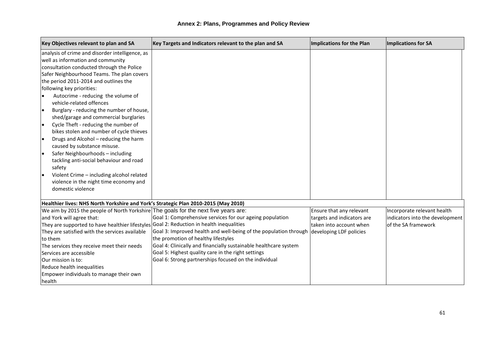| Key Objectives relevant to plan and SA                                                                                                                                                                                                                                                                                                                                                                                                                                                                                                                                                                                               | Key Targets and Indicators relevant to the plan and SA                                                                                                                                                                                                                                                                                                                         | Implications for the Plan                                                         | Implications for SA                                                                   |
|--------------------------------------------------------------------------------------------------------------------------------------------------------------------------------------------------------------------------------------------------------------------------------------------------------------------------------------------------------------------------------------------------------------------------------------------------------------------------------------------------------------------------------------------------------------------------------------------------------------------------------------|--------------------------------------------------------------------------------------------------------------------------------------------------------------------------------------------------------------------------------------------------------------------------------------------------------------------------------------------------------------------------------|-----------------------------------------------------------------------------------|---------------------------------------------------------------------------------------|
| analysis of crime and disorder intelligence, as<br>well as information and community<br>consultation conducted through the Police<br>Safer Neighbourhood Teams. The plan covers<br>the period 2011-2014 and outlines the<br>following key priorities:<br>Autocrime - reducing the volume of<br>vehicle-related offences<br>Burglary - reducing the number of house,<br>I۰<br>shed/garage and commercial burglaries<br>Cycle Theft - reducing the number of<br>١.<br>bikes stolen and number of cycle thieves<br>Drugs and Alcohol - reducing the harm<br>I۰<br>caused by substance misuse.<br>Safer Neighbourhoods - including<br>١e |                                                                                                                                                                                                                                                                                                                                                                                |                                                                                   |                                                                                       |
| tackling anti-social behaviour and road<br>safety<br>Violent Crime - including alcohol related<br>violence in the night time economy and<br>domestic violence                                                                                                                                                                                                                                                                                                                                                                                                                                                                        |                                                                                                                                                                                                                                                                                                                                                                                |                                                                                   |                                                                                       |
| Healthier lives: NHS North Yorkshire and York's Strategic Plan 2010-2015 (May 2010)                                                                                                                                                                                                                                                                                                                                                                                                                                                                                                                                                  |                                                                                                                                                                                                                                                                                                                                                                                |                                                                                   |                                                                                       |
| We aim by 2015 the people of North Yorkshire The goals for the next five years are:<br>and York will agree that:<br>They are supported to have healthier lifestyles Goal 2: Reduction in health inequalities<br>They are satisfied with the services available<br>to them<br>The services they receive meet their needs<br>Services are accessible<br>Our mission is to:<br>Reduce health inequalities<br>Empower individuals to manage their own<br>health                                                                                                                                                                          | Goal 1: Comprehensive services for our ageing population<br>Goal 3: Improved health and well-being of the population through developing LDF policies<br>the promotion of healthy lifestyles<br>Goal 4: Clinically and financially sustainable healthcare system<br>Goal 5: Highest quality care in the right settings<br>Goal 6: Strong partnerships focused on the individual | Ensure that any relevant<br>targets and indicators are<br>taken into account when | Incorporate relevant health<br>indicators into the development<br>of the SA framework |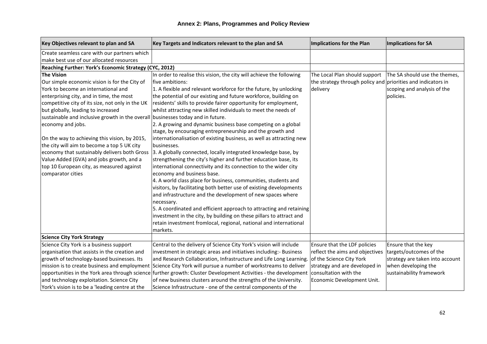| Key Objectives relevant to plan and SA                                          | Key Targets and Indicators relevant to the plan and SA                                                          | Implications for the Plan                                    | Implications for SA             |
|---------------------------------------------------------------------------------|-----------------------------------------------------------------------------------------------------------------|--------------------------------------------------------------|---------------------------------|
| Create seamless care with our partners which                                    |                                                                                                                 |                                                              |                                 |
| make best use of our allocated resources                                        |                                                                                                                 |                                                              |                                 |
| Reaching Further: York's Economic Strategy (CYC, 2012)                          |                                                                                                                 |                                                              |                                 |
| <b>The Vision</b>                                                               | In order to realise this vision, the city will achieve the following                                            | The Local Plan should support                                | The SA should use the themes,   |
| Our simple economic vision is for the City of                                   | five ambitions:                                                                                                 | the strategy through policy and priorities and indicators in |                                 |
| York to become an international and                                             | 1. A flexible and relevant workforce for the future, by unlocking                                               | delivery                                                     | scoping and analysis of the     |
| enterprising city, and in time, the most                                        | the potential of our existing and future workforce, building on                                                 |                                                              | policies.                       |
| competitive city of its size, not only in the UK                                | residents' skills to provide fairer opportunity for employment,                                                 |                                                              |                                 |
| but globally, leading to increased                                              | whilst attracting new skilled individuals to meet the needs of                                                  |                                                              |                                 |
| sustainable and inclusive growth in the overall businesses today and in future. |                                                                                                                 |                                                              |                                 |
| economy and jobs.                                                               | 2. A growing and dynamic business base competing on a global                                                    |                                                              |                                 |
|                                                                                 | stage, by encouraging entrepreneurship and the growth and                                                       |                                                              |                                 |
| On the way to achieving this vision, by 2015,                                   | internationalisation of existing business, as well as attracting new                                            |                                                              |                                 |
| the city will aim to become a top 5 UK city                                     | businesses.                                                                                                     |                                                              |                                 |
| economy that sustainably delivers both Gross                                    | 3. A globally connected, locally integrated knowledge base, by                                                  |                                                              |                                 |
| Value Added (GVA) and jobs growth, and a                                        | strengthening the city's higher and further education base, its                                                 |                                                              |                                 |
| top 10 European city, as measured against                                       | international connectivity and its connection to the wider city                                                 |                                                              |                                 |
| comparator cities                                                               | economy and business base.                                                                                      |                                                              |                                 |
|                                                                                 | 4. A world class place for business, communities, students and                                                  |                                                              |                                 |
|                                                                                 | visitors, by facilitating both better use of existing developments                                              |                                                              |                                 |
|                                                                                 | and infrastructure and the development of new spaces where                                                      |                                                              |                                 |
|                                                                                 | necessary.                                                                                                      |                                                              |                                 |
|                                                                                 | 5. A coordinated and efficient approach to attracting and retaining                                             |                                                              |                                 |
|                                                                                 | investment in the city, by building on these pillars to attract and                                             |                                                              |                                 |
|                                                                                 | retain investment fromlocal, regional, national and international                                               |                                                              |                                 |
|                                                                                 | markets.                                                                                                        |                                                              |                                 |
| <b>Science City York Strategy</b>                                               |                                                                                                                 |                                                              |                                 |
| Science City York is a business support                                         | Central to the delivery of Science City York's vision will include                                              | Ensure that the LDF policies                                 | Ensure that the key             |
| organisation that assists in the creation and                                   | investment in strategic areas and initiatives including:- Business                                              | reflect the aims and objectives                              | targets/outcomes of the         |
| growth of technology-based businesses. Its                                      | and Research Collaboration, Infrastructure and Life Long Learning.                                              | of the Science City York                                     | strategy are taken into account |
| mission is to create business and employment                                    | Science City York will pursue a number of workstreams to deliver                                                | strategy and are developed in                                | when developing the             |
|                                                                                 | opportunities in the York area through science further growth: Cluster Development Activities - the development | consultation with the                                        | sustainability framework        |
| and technology exploitation. Science City                                       | of new business clusters around the strengths of the University.                                                | Economic Development Unit.                                   |                                 |
| York's vision is to be a 'leading centre at the                                 | Science Infrastructure - one of the central components of the                                                   |                                                              |                                 |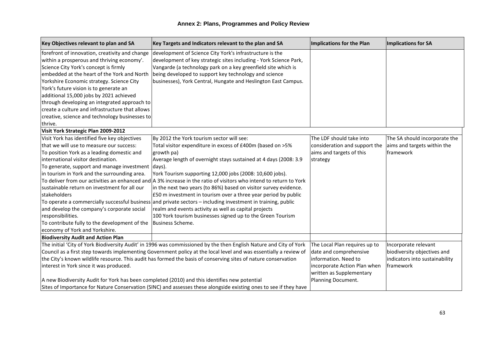| Key Objectives relevant to plan and SA            | Key Targets and Indicators relevant to the plan and SA                                                                     | <b>Implications for the Plan</b> | Implications for SA            |
|---------------------------------------------------|----------------------------------------------------------------------------------------------------------------------------|----------------------------------|--------------------------------|
| forefront of innovation, creativity and change    | development of Science City York's infrastructure is the                                                                   |                                  |                                |
| within a prosperous and thriving economy'.        | development of key strategic sites including - York Science Park,                                                          |                                  |                                |
| Science City York's concept is firmly             | Vangarde (a technology park on a key greenfield site which is                                                              |                                  |                                |
| embedded at the heart of the York and North       | being developed to support key technology and science                                                                      |                                  |                                |
| Yorkshire Economic strategy. Science City         | businesses), York Central, Hungate and Heslington East Campus.                                                             |                                  |                                |
| York's future vision is to generate an            |                                                                                                                            |                                  |                                |
| additional 15,000 jobs by 2021 achieved           |                                                                                                                            |                                  |                                |
| through developing an integrated approach to      |                                                                                                                            |                                  |                                |
| create a culture and infrastructure that allows   |                                                                                                                            |                                  |                                |
| creative, science and technology businesses to    |                                                                                                                            |                                  |                                |
| thrive.                                           |                                                                                                                            |                                  |                                |
| Visit York Strategic Plan 2009-2012               |                                                                                                                            |                                  |                                |
| Visit York has identified five key objectives     | By 2012 the York tourism sector will see:                                                                                  | The LDF should take into         | The SA should incorporate the  |
| that we will use to measure our success:          | Total visitor expenditure in excess of £400m (based on >5%                                                                 | consideration and support the    | aims and targets within the    |
| To position York as a leading domestic and        | growth pa)                                                                                                                 | aims and targets of this         | framework                      |
| international visitor destination.                | Average length of overnight stays sustained at 4 days (2008: 3.9                                                           | strategy                         |                                |
| To generate, support and manage investment days). |                                                                                                                            |                                  |                                |
| in tourism in York and the surrounding area.      | York Tourism supporting 12,000 jobs (2008: 10,600 jobs).                                                                   |                                  |                                |
|                                                   | To deliver from our activities an enhanced and $\vert$ A 3% increase in the ratio of visitors who intend to return to York |                                  |                                |
| sustainable return on investment for all our      | in the next two years (to 86%) based on visitor survey evidence.                                                           |                                  |                                |
| stakeholders                                      | £50 m investment in tourism over a three year period by public                                                             |                                  |                                |
|                                                   | To operate a commercially successful business and private sectors – including investment in training, public               |                                  |                                |
| and develop the company's corporate social        | realm and events activity as well as capital projects                                                                      |                                  |                                |
| responsibilities.                                 | 100 York tourism businesses signed up to the Green Tourism                                                                 |                                  |                                |
| To contribute fully to the development of the     | Business Scheme.                                                                                                           |                                  |                                |
| economy of York and Yorkshire.                    |                                                                                                                            |                                  |                                |
| <b>Biodiversity Audit and Action Plan</b>         |                                                                                                                            |                                  |                                |
|                                                   | The initial 'City of York Biodiversity Audit' in 1996 was commissioned by the then English Nature and City of York         | The Local Plan requires up to    | Incorporate relevant           |
|                                                   | Council as a first step towards implementing Government policy at the local level and was essentially a review of          | date and comprehensive           | biodiversity objectives and    |
|                                                   | the City's known wildlife resource. This audit has formed the basis of conserving sites of nature conservation             | information. Need to             | indicators into sustainability |
| interest in York since it was produced.           |                                                                                                                            | incorporate Action Plan when     | lframework                     |
|                                                   |                                                                                                                            | written as Supplementary         |                                |
|                                                   | A new Biodiversity Audit for York has been completed (2010) and this identifies new potential                              | Planning Document.               |                                |
|                                                   | Sites of Importance for Nature Conservation (SINC) and assesses these alongside existing ones to see if they have          |                                  |                                |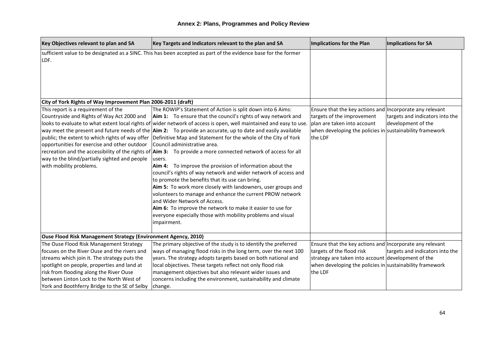| Key Objectives relevant to plan and SA                                                                                                                                                                                                   | Key Targets and Indicators relevant to the plan and SA                                                                                                                                                                                                                                                                                                                                                                                                                                                                                                                                                                                                                                                                                                                                                                                                                                                                                                                                                                                                                                                                                                                             | Implications for the Plan                                                                                                                                                                    | Implications for SA                                   |
|------------------------------------------------------------------------------------------------------------------------------------------------------------------------------------------------------------------------------------------|------------------------------------------------------------------------------------------------------------------------------------------------------------------------------------------------------------------------------------------------------------------------------------------------------------------------------------------------------------------------------------------------------------------------------------------------------------------------------------------------------------------------------------------------------------------------------------------------------------------------------------------------------------------------------------------------------------------------------------------------------------------------------------------------------------------------------------------------------------------------------------------------------------------------------------------------------------------------------------------------------------------------------------------------------------------------------------------------------------------------------------------------------------------------------------|----------------------------------------------------------------------------------------------------------------------------------------------------------------------------------------------|-------------------------------------------------------|
| LDF.<br>City of York Rights of Way Improvement Plan 2006-2011 (draft)<br>This report is a requirement of the<br>opportunities for exercise and other outdoor<br>way to the blind/partially sighted and people<br>with mobility problems. | sufficient value to be designated as a SINC. This has been accepted as part of the evidence base for the former<br>The ROWIP's Statement of Action is split down into 6 Aims:<br>Countryside and Rights of Way Act 2000 and Aim 1: To ensure that the council's rights of way network and<br>looks to evaluate to what extent local rights of wider network of access is open, well maintained and easy to use.<br>way meet the present and future needs of the $\text{Aim } 2$ : To provide an accurate, up to date and easily available<br>public; the extent to which rights of way offer  Definitive Map and Statement for the whole of the City of York<br>Council administrative area.<br>recreation and the accessibility of the rights of $\text{Aim } 3$ : To provide a more connected network of access for all<br>users.<br>Aim 4: To improve the provision of information about the<br>council's rights of way network and wider network of access and<br>to promote the benefits that its use can bring.<br>Aim 5: To work more closely with landowners, user groups and<br>volunteers to manage and enhance the current PROW network<br>and Wider Network of Access. | Ensure that the key actions and Incorporate any relevant<br>targets of the improvement<br>plan are taken into account<br>when developing the policies in sustainability framework<br>the LDF | targets and indicators into the<br>development of the |
|                                                                                                                                                                                                                                          | Aim 6: To improve the network to make it easier to use for<br>everyone especially those with mobility problems and visual<br>impairment.                                                                                                                                                                                                                                                                                                                                                                                                                                                                                                                                                                                                                                                                                                                                                                                                                                                                                                                                                                                                                                           |                                                                                                                                                                                              |                                                       |
| Ouse Flood Risk Management Strategy (Environment Agency, 2010)                                                                                                                                                                           |                                                                                                                                                                                                                                                                                                                                                                                                                                                                                                                                                                                                                                                                                                                                                                                                                                                                                                                                                                                                                                                                                                                                                                                    |                                                                                                                                                                                              |                                                       |
| The Ouse Flood Risk Management Strategy                                                                                                                                                                                                  | The primary objective of the study is to identify the preferred                                                                                                                                                                                                                                                                                                                                                                                                                                                                                                                                                                                                                                                                                                                                                                                                                                                                                                                                                                                                                                                                                                                    | Ensure that the key actions and Incorporate any relevant                                                                                                                                     |                                                       |
| focuses on the River Ouse and the rivers and                                                                                                                                                                                             | ways of managing flood risks in the long term, over the next 100                                                                                                                                                                                                                                                                                                                                                                                                                                                                                                                                                                                                                                                                                                                                                                                                                                                                                                                                                                                                                                                                                                                   | targets of the flood risk                                                                                                                                                                    | targets and indicators into the                       |
| streams which join it. The strategy puts the                                                                                                                                                                                             | years. The strategy adopts targets based on both national and                                                                                                                                                                                                                                                                                                                                                                                                                                                                                                                                                                                                                                                                                                                                                                                                                                                                                                                                                                                                                                                                                                                      | strategy are taken into account development of the                                                                                                                                           |                                                       |
| spotlight on people, properties and land at                                                                                                                                                                                              | local objectives. These targets reflect not only flood risk                                                                                                                                                                                                                                                                                                                                                                                                                                                                                                                                                                                                                                                                                                                                                                                                                                                                                                                                                                                                                                                                                                                        | when developing the policies in sustainability framework                                                                                                                                     |                                                       |
| risk from flooding along the River Ouse                                                                                                                                                                                                  | management objectives but also relevant wider issues and                                                                                                                                                                                                                                                                                                                                                                                                                                                                                                                                                                                                                                                                                                                                                                                                                                                                                                                                                                                                                                                                                                                           | the LDF                                                                                                                                                                                      |                                                       |
| between Linton Lock to the North West of                                                                                                                                                                                                 | concerns including the environment, sustainability and climate                                                                                                                                                                                                                                                                                                                                                                                                                                                                                                                                                                                                                                                                                                                                                                                                                                                                                                                                                                                                                                                                                                                     |                                                                                                                                                                                              |                                                       |
| York and Boothferry Bridge to the SE of Selby   change.                                                                                                                                                                                  |                                                                                                                                                                                                                                                                                                                                                                                                                                                                                                                                                                                                                                                                                                                                                                                                                                                                                                                                                                                                                                                                                                                                                                                    |                                                                                                                                                                                              |                                                       |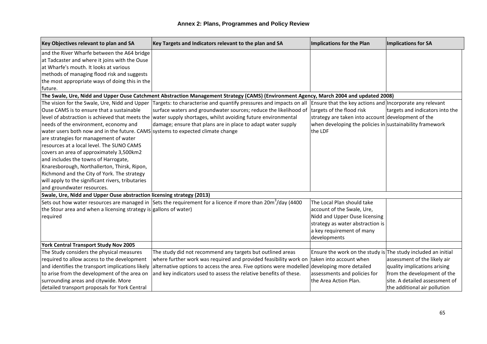| Key Objectives relevant to plan and SA                                          | Key Targets and Indicators relevant to the plan and SA                                                                                 | Implications for the Plan                                     | <b>Implications for SA</b>      |
|---------------------------------------------------------------------------------|----------------------------------------------------------------------------------------------------------------------------------------|---------------------------------------------------------------|---------------------------------|
| and the River Wharfe between the A64 bridge                                     |                                                                                                                                        |                                                               |                                 |
| at Tadcaster and where it joins with the Ouse                                   |                                                                                                                                        |                                                               |                                 |
| at Wharfe's mouth. It looks at various                                          |                                                                                                                                        |                                                               |                                 |
| methods of managing flood risk and suggests                                     |                                                                                                                                        |                                                               |                                 |
| the most appropriate ways of doing this in the                                  |                                                                                                                                        |                                                               |                                 |
| future.                                                                         |                                                                                                                                        |                                                               |                                 |
|                                                                                 | The Swale, Ure, Nidd and Upper Ouse Catchment Abstraction Management Strategy (CAMS) (Environment Agency, March 2004 and updated 2008) |                                                               |                                 |
| The vision for the Swale, Ure, Nidd and Upper                                   | Targets: to characterise and quantify pressures and impacts on all   Ensure that the key actions and   Incorporate any relevant        |                                                               |                                 |
| Ouse CAMS is to ensure that a sustainable                                       | surface waters and groundwater sources; reduce the likelihood of                                                                       | targets of the flood risk                                     | targets and indicators into the |
|                                                                                 | level of abstraction is achieved that meets the water supply shortages, whilst avoiding future environmental                           | strategy are taken into account development of the            |                                 |
| needs of the environment, economy and                                           | damage; ensure that plans are in place to adapt water supply                                                                           | when developing the policies in sustainability framework      |                                 |
| water users both now and in the future. CAMS systems to expected climate change |                                                                                                                                        | the LDF                                                       |                                 |
| are strategies for management of water                                          |                                                                                                                                        |                                                               |                                 |
| resources at a local level. The SUNO CAMS                                       |                                                                                                                                        |                                                               |                                 |
| covers an area of approximately 3,500km2                                        |                                                                                                                                        |                                                               |                                 |
| and includes the towns of Harrogate,                                            |                                                                                                                                        |                                                               |                                 |
| Knaresborough, Northallerton, Thirsk, Ripon,                                    |                                                                                                                                        |                                                               |                                 |
| Richmond and the City of York. The strategy                                     |                                                                                                                                        |                                                               |                                 |
| will apply to the significant rivers, tributaries                               |                                                                                                                                        |                                                               |                                 |
| and groundwater resources.                                                      |                                                                                                                                        |                                                               |                                 |
| Swale, Ure, Nidd and Upper Ouse abstraction licensing strategy (2013)           |                                                                                                                                        |                                                               |                                 |
|                                                                                 | Sets out how water resources are managed in Sets the requirement for a licence if more than 20m <sup>3</sup> /day (4400)               | The Local Plan should take                                    |                                 |
| the Stour area and when a licensing strategy is gallons of water)               |                                                                                                                                        | account of the Swale, Ure,                                    |                                 |
| required                                                                        |                                                                                                                                        | Nidd and Upper Ouse licensing                                 |                                 |
|                                                                                 |                                                                                                                                        | strategy as water abstraction is                              |                                 |
|                                                                                 |                                                                                                                                        | a key requirement of many                                     |                                 |
|                                                                                 |                                                                                                                                        | developments                                                  |                                 |
| York Central Transport Study Nov 2005                                           |                                                                                                                                        |                                                               |                                 |
| The Study considers the physical measures                                       | The study did not recommend any targets but outlined areas                                                                             | Ensure the work on the study is The study included an initial |                                 |
| required to allow access to the development                                     | where further work was required and provided feasibility work on taken into account when                                               |                                                               | assessment of the likely air    |
| and identifies the transport implications likely                                | alternative options to access the area. Five options were modelled developing more detailed                                            |                                                               | quality implications arising    |
| to arise from the development of the area on                                    | and key indicators used to assess the relative benefits of these.                                                                      | assessments and policies for                                  | from the development of the     |
| surrounding areas and citywide. More                                            |                                                                                                                                        | the Area Action Plan.                                         | site. A detailed assessment of  |
| detailed transport proposals for York Central                                   |                                                                                                                                        |                                                               | the additional air pollution    |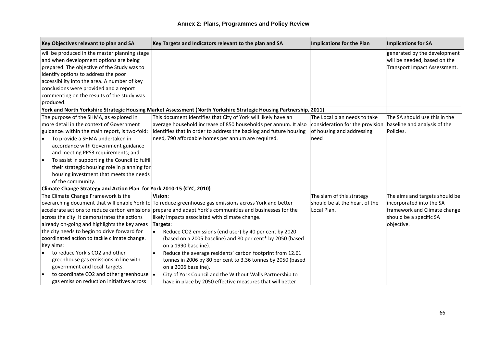| Key Objectives relevant to plan and SA                               | Key Targets and Indicators relevant to the plan and SA                                                             | Implications for the Plan       | <b>Implications for SA</b>     |
|----------------------------------------------------------------------|--------------------------------------------------------------------------------------------------------------------|---------------------------------|--------------------------------|
| will be produced in the master planning stage                        |                                                                                                                    |                                 | generated by the development   |
| and when development options are being                               |                                                                                                                    |                                 | will be needed, based on the   |
| prepared. The objective of the Study was to                          |                                                                                                                    |                                 | Transport Impact Assessment.   |
| identify options to address the poor                                 |                                                                                                                    |                                 |                                |
| accessibility into the area. A number of key                         |                                                                                                                    |                                 |                                |
| conclusions were provided and a report                               |                                                                                                                    |                                 |                                |
| commenting on the results of the study was                           |                                                                                                                    |                                 |                                |
| produced.                                                            |                                                                                                                    |                                 |                                |
|                                                                      | York and North Yorkshire Strategic Housing Market Assessment (North Yorkshire Strategic Housing Partnership, 2011) |                                 |                                |
| The purpose of the SHMA, as explored in                              | This document identifies that City of York will likely have an                                                     | The Local plan needs to take    | The SA should use this in the  |
| more detail in the context of Government                             | average household increase of 850 households per annum. It also                                                    | consideration for the provision | baseline and analysis of the   |
| guidance within the main report, is two-fold:                        | identifies that in order to address the backlog and future housing                                                 | of housing and addressing       | Policies.                      |
| To provide a SHMA undertaken in<br>l e                               | need, 790 affordable homes per annum are required.                                                                 | need                            |                                |
| accordance with Government guidance                                  |                                                                                                                    |                                 |                                |
| and meeting PPS3 requirements; and                                   |                                                                                                                    |                                 |                                |
| To assist in supporting the Council to fulfil<br>l.                  |                                                                                                                    |                                 |                                |
| their strategic housing role in planning for                         |                                                                                                                    |                                 |                                |
| housing investment that meets the needs                              |                                                                                                                    |                                 |                                |
| of the community.                                                    |                                                                                                                    |                                 |                                |
| Climate Change Strategy and Action Plan for York 2010-15 (CYC, 2010) |                                                                                                                    |                                 |                                |
| The Climate Change Framework is the                                  | Vision:                                                                                                            | The siam of this strategy       | The aims and targets should be |
|                                                                      | overarching document that will enable York to To reduce greenhouse gas emissions across York and better            | should be at the heart of the   | incorporated into the SA       |
|                                                                      | accelerate actions to reduce carbon emissions prepare and adapt York's communities and businesses for the          | Local Plan.                     | framework and Climate change   |
| across the city. It demonstrates the actions                         | likely impacts associated with climate change.                                                                     |                                 | should be a specific SA        |
| already on-going and highlights the key areas                        | Targets:                                                                                                           |                                 | objective.                     |
| the city needs to begin to drive forward for                         | Reduce CO2 emissions (end user) by 40 per cent by 2020<br>$\bullet$                                                |                                 |                                |
| coordinated action to tackle climate change.                         | (based on a 2005 baseline) and 80 per cent* by 2050 (based                                                         |                                 |                                |
| Key aims:                                                            | on a 1990 baseline).                                                                                               |                                 |                                |
| to reduce York's CO2 and other                                       | Reduce the average residents' carbon footprint from 12.61<br>I۰                                                    |                                 |                                |
| greenhouse gas emissions in line with                                | tonnes in 2006 by 80 per cent to 3.36 tonnes by 2050 (based                                                        |                                 |                                |
| government and local targets.                                        | on a 2006 baseline).                                                                                               |                                 |                                |
| to coordinate CO2 and other greenhouse •                             | City of York Council and the Without Walls Partnership to                                                          |                                 |                                |
| gas emission reduction initiatives across                            | have in place by 2050 effective measures that will better                                                          |                                 |                                |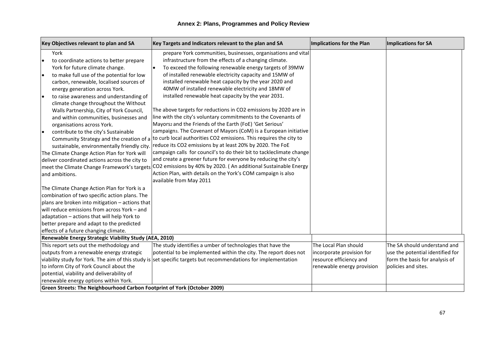| Key Objectives relevant to plan and SA                                   | Key Targets and Indicators relevant to the plan and SA                                                         | <b>Implications for the Plan</b> | Implications for SA              |
|--------------------------------------------------------------------------|----------------------------------------------------------------------------------------------------------------|----------------------------------|----------------------------------|
| York                                                                     | prepare York communities, businesses, organisations and vital                                                  |                                  |                                  |
| to coordinate actions to better prepare                                  | infrastructure from the effects of a changing climate.                                                         |                                  |                                  |
| York for future climate change.                                          | To exceed the following renewable energy targets of 39MW<br>$\bullet$                                          |                                  |                                  |
| to make full use of the potential for low<br>∣∙                          | of installed renewable electricity capacity and 15MW of                                                        |                                  |                                  |
| carbon, renewable, localised sources of                                  | installed renewable heat capacity by the year 2020 and                                                         |                                  |                                  |
| energy generation across York.                                           | 40MW of installed renewable electricity and 18MW of                                                            |                                  |                                  |
| to raise awareness and understanding of<br>١o                            | installed renewable heat capacity by the year 2031.                                                            |                                  |                                  |
| climate change throughout the Without                                    |                                                                                                                |                                  |                                  |
| Walls Partnership, City of York Council,                                 | The above targets for reductions in CO2 emissions by 2020 are in                                               |                                  |                                  |
| and within communities, businesses and                                   | line with the city's voluntary commitments to the Covenants of                                                 |                                  |                                  |
| organisations across York.                                               | Mayors2 and the Friends of the Earth (FoE) 'Get Serious'                                                       |                                  |                                  |
| contribute to the city's Sustainable                                     | campaigns. The Covenant of Mayors (CoM) is a European initiative                                               |                                  |                                  |
|                                                                          | Community Strategy and the creation of a to curb local authorities CO2 emissions. This requires the city to    |                                  |                                  |
|                                                                          | sustainable, environmentally friendly city. reduce its CO2 emissions by at least 20% by 2020. The FoE          |                                  |                                  |
| The Climate Change Action Plan for York will                             | campaign calls for council's to do their bit to tackleclimate change                                           |                                  |                                  |
| deliver coordinated actions across the city to                           | and create a greener future for everyone by reducing the city's                                                |                                  |                                  |
|                                                                          | meet the Climate Change Framework's targets CO2 emissions by 40% by 2020. (An additional Sustainable Energy    |                                  |                                  |
| and ambitions.                                                           | Action Plan, with details on the York's COM campaign is also                                                   |                                  |                                  |
|                                                                          | available from May 2011                                                                                        |                                  |                                  |
| The Climate Change Action Plan for York is a                             |                                                                                                                |                                  |                                  |
| combination of two specific action plans. The                            |                                                                                                                |                                  |                                  |
| plans are broken into mitigation - actions that                          |                                                                                                                |                                  |                                  |
| will reduce emissions from across York - and                             |                                                                                                                |                                  |                                  |
| adaptation - actions that will help York to                              |                                                                                                                |                                  |                                  |
| better prepare and adapt to the predicted                                |                                                                                                                |                                  |                                  |
| effects of a future changing climate.                                    |                                                                                                                |                                  |                                  |
| Renewable Energy Strategic Viability Study (AEA, 2010)                   |                                                                                                                |                                  |                                  |
| This report sets out the methodology and                                 | The study identifies a umber of technologies that have the                                                     | The Local Plan should            | The SA should understand and     |
| outputs from a renewable energy strategic                                | potential to be implemented within the city. The report does not                                               | incorporate provision for        | use the potential identified for |
|                                                                          | viability study for York. The aim of this study is set specific targets but recommendations for implementation | resource efficiency and          | form the basis for analysis of   |
| to inform City of York Council about the                                 |                                                                                                                | renewable energy provision       | policies and sites.              |
| potential, viability and deliverability of                               |                                                                                                                |                                  |                                  |
| renewable energy options within York.                                    |                                                                                                                |                                  |                                  |
| Green Streets: The Neighbourhood Carbon Footprint of York (October 2009) |                                                                                                                |                                  |                                  |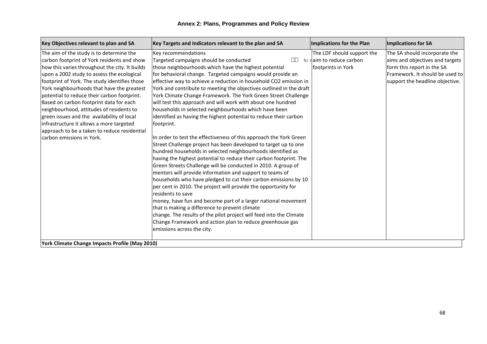| Key Objectives relevant to plan and SA         | Key Targets and Indicators relevant to the plan and SA              | Implications for the Plan  | <b>Implications for SA</b>      |
|------------------------------------------------|---------------------------------------------------------------------|----------------------------|---------------------------------|
| The aim of the study is to determine the       | Key recommendations                                                 | The LDF should support the | The SA should incorporate the   |
| carbon footprint of York residents and show    | Targeted campaigns should be conducted<br>$\Box$                    | to eaim to reduce carbon   | aims and objectives and targets |
| how this varies throughout the city. It builds | those neighbourhoods which have the highest potential               | footprints in York         | form this report in the SA      |
| upon a 2002 study to assess the ecological     | for behavioral change. Targeted campaigns would provide an          |                            | Framework. It should be used to |
| footprint of York. The study identifies those  | effective way to achieve a reduction in household CO2 emission in   |                            | support the headline objective. |
| York neighbourhoods that have the greatest     | York and contribute to meeting the objectives outlined in the draft |                            |                                 |
| potential to reduce their carbon footprint.    | York Climate Change Framework. The York Green Street Challenge      |                            |                                 |
| Based on carbon footprint data for each        | will test this approach and will work with about one hundred        |                            |                                 |
| neighbourhood, attitudes of residents to       | households in selected neighbourhoods which have been               |                            |                                 |
| green issues and the availability of local     | identified as having the highest potential to reduce their carbon   |                            |                                 |
| infrastructure it allows a more targeted       | footprint.                                                          |                            |                                 |
| approach to be a taken to reduce residential   |                                                                     |                            |                                 |
| Icarbon emissions in York.                     | In order to test the effectiveness of this approach the York Green  |                            |                                 |
|                                                | Street Challenge project has been developed to target up to one     |                            |                                 |
|                                                | hundred households in selected neighbourhoods identified as         |                            |                                 |
|                                                | having the highest potential to reduce their carbon footprint. The  |                            |                                 |
|                                                | Green Streets Challenge will be conducted in 2010. A group of       |                            |                                 |
|                                                | mentors will provide information and support to teams of            |                            |                                 |
|                                                | households who have pledged to cut their carbon emissions by 10     |                            |                                 |
|                                                | per cent in 2010. The project will provide the opportunity for      |                            |                                 |
|                                                | residents to save                                                   |                            |                                 |
|                                                | money, have fun and become part of a larger national movement       |                            |                                 |
|                                                | that is making a difference to prevent climate                      |                            |                                 |
|                                                | change. The results of the pilot project will feed into the Climate |                            |                                 |
|                                                | Change Framework and action plan to reduce greenhouse gas           |                            |                                 |
|                                                | emissions across the city.                                          |                            |                                 |
|                                                |                                                                     |                            |                                 |
| York Climate Change Impacts Profile (May 2010) |                                                                     |                            |                                 |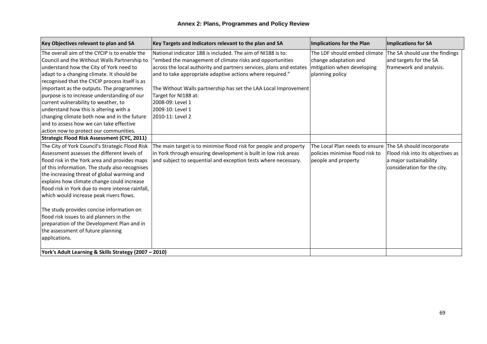| Key Objectives relevant to plan and SA                | Key Targets and Indicators relevant to the plan and SA              | Implications for the Plan       | Implications for SA               |
|-------------------------------------------------------|---------------------------------------------------------------------|---------------------------------|-----------------------------------|
| The overall aim of the CYCIP is to enable the         | National indicator 188 is included. The aim of NI188 is to:         | The LDF should embed climate    | The SA should use the findings    |
| Council and the Without Walls Partnership to          | "embed the management of climate risks and opportunities            | change adaptation and           | and targets for the SA            |
| understand how the City of York need to               | across the local authority and partners services, plans and estates | mitigation when developing      | framework and analysis.           |
| adapt to a changing climate. It should be             | and to take appropriate adaptive actions where required."           | planning policy                 |                                   |
| recognised that the CYCIP process itself is as        |                                                                     |                                 |                                   |
| important as the outputs. The programmes              | The Without Walls partnership has set the LAA Local Improvement     |                                 |                                   |
| purpose is to increase understanding of our           | Target for NI188 at:                                                |                                 |                                   |
| current vulnerability to weather, to                  | 2008-09: Level 1                                                    |                                 |                                   |
| understand how this is altering with a                | 2009-10: Level 1                                                    |                                 |                                   |
| changing climate both now and in the future           | 2010-11: Level 2                                                    |                                 |                                   |
| and to assess how we can take effective               |                                                                     |                                 |                                   |
| action now to protect our communities.                |                                                                     |                                 |                                   |
| Strategic Flood Risk Assessment (CYC, 2011)           |                                                                     |                                 |                                   |
| The City of York Council's Strategic Flood Risk       | The main target is to minimise flood risk for people and property   | The Local Plan needs to ensure  | The SA should incorporate         |
| Assessment assesses the different levels of           | in York through ensuring development is built in low risk areas     | policies minimise flood risk to | Flood risk into its objectives as |
| flood risk in the York area and provides maps         | and subject to sequential and exception tests where necessary.      | people and property             | a major sustainability            |
| of this information. The study also recognises        |                                                                     |                                 | consideration for the city.       |
| the increasing threat of global warming and           |                                                                     |                                 |                                   |
| explains how climate change could increase            |                                                                     |                                 |                                   |
| flood risk in York due to more intense rainfall,      |                                                                     |                                 |                                   |
| which would increase peak rivers flows.               |                                                                     |                                 |                                   |
| The study provides concise information on             |                                                                     |                                 |                                   |
| flood risk issues to aid planners in the              |                                                                     |                                 |                                   |
| preparation of the Development Plan and in            |                                                                     |                                 |                                   |
| the assessment of future planning                     |                                                                     |                                 |                                   |
| applications.                                         |                                                                     |                                 |                                   |
|                                                       |                                                                     |                                 |                                   |
| York's Adult Learning & Skills Strategy (2007 - 2010) |                                                                     |                                 |                                   |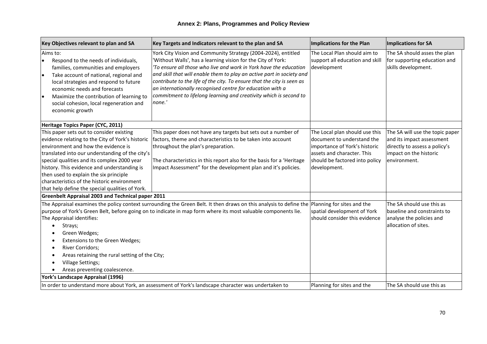| Key Objectives relevant to plan and SA                                                                                                                                                                                                                                                                                                                                                                                           | Key Targets and Indicators relevant to the plan and SA                                                                                                                                                                                                                                                                                                                                                                                                                                            | Implications for the Plan                                                                                                                                                     | <b>Implications for SA</b>                                                                                                              |
|----------------------------------------------------------------------------------------------------------------------------------------------------------------------------------------------------------------------------------------------------------------------------------------------------------------------------------------------------------------------------------------------------------------------------------|---------------------------------------------------------------------------------------------------------------------------------------------------------------------------------------------------------------------------------------------------------------------------------------------------------------------------------------------------------------------------------------------------------------------------------------------------------------------------------------------------|-------------------------------------------------------------------------------------------------------------------------------------------------------------------------------|-----------------------------------------------------------------------------------------------------------------------------------------|
| Aims to:<br>Respond to the needs of individuals,<br>$\bullet$<br>families, communities and employers<br>Take account of national, regional and<br>le<br>local strategies and respond to future<br>economic needs and forecasts<br>Maximize the contribution of learning to<br>l e<br>social cohesion, local regeneration and<br>economic growth                                                                                  | York City Vision and Community Strategy (2004-2024), entitled<br>'Without Walls', has a learning vision for the City of York:<br>'To ensure all those who live and work in York have the education<br>and skill that will enable them to play an active part in society and<br>contribute to the life of the city. To ensure that the city is seen as<br>an internationally recognised centre for education with a<br>commitment to lifelong learning and creativity which is second to<br>none.' | The Local Plan should aim to<br>support all education and skill<br>development                                                                                                | The SA should asses the plan<br>for supporting education and<br>skills development.                                                     |
| Heritage Topics Paper (CYC, 2011)                                                                                                                                                                                                                                                                                                                                                                                                |                                                                                                                                                                                                                                                                                                                                                                                                                                                                                                   |                                                                                                                                                                               |                                                                                                                                         |
| This paper sets out to consider existing<br>evidence relating to the City of York's historic<br>environment and how the evidence is<br>translated into our understanding of the city's<br>special qualities and its complex 2000 year<br>history. This evidence and understanding is<br>then used to explain the six principle<br>characteristics of the historic environment<br>that help define the special qualities of York. | This paper does not have any targets but sets out a number of<br>factors, theme and characteristics to be taken into account<br>throughout the plan's preparation.<br>The characteristics in this report also for the basis for a 'Heritage<br>Impact Assessment" for the development plan and it's policies.                                                                                                                                                                                     | The Local plan should use this<br>document to understand the<br>importance of York's historic<br>assets and character. This<br>should be factored into policy<br>development. | The SA will use the topic paper<br>and its impact assessment<br>directly to assess a policy's<br>impact on the historic<br>environment. |
| Greenbelt Appraisal 2003 and Technical paper 2011                                                                                                                                                                                                                                                                                                                                                                                |                                                                                                                                                                                                                                                                                                                                                                                                                                                                                                   |                                                                                                                                                                               |                                                                                                                                         |
| The Appraisal identifies:<br>Strays;<br>$\bullet$<br>Green Wedges;<br>$\bullet$<br>Extensions to the Green Wedges;<br>$\bullet$<br>River Corridors;<br>$\bullet$<br>Areas retaining the rural setting of the City;<br>$\bullet$<br><b>Village Settings;</b><br>$\bullet$<br>Areas preventing coalescence.<br>$\bullet$<br>York's Landscape Appraisal (1996)                                                                      | The Appraisal examines the policy context surrounding the Green Belt. It then draws on this analysis to define the Planning for sites and the<br>purpose of York's Green Belt, before going on to indicate in map form where its most valuable components lie.                                                                                                                                                                                                                                    | spatial development of York<br>should consider this evidence                                                                                                                  | The SA should use this as<br>baseline and constraints to<br>analyse the policies and<br>allocation of sites.                            |
|                                                                                                                                                                                                                                                                                                                                                                                                                                  | In order to understand more about York, an assessment of York's landscape character was undertaken to                                                                                                                                                                                                                                                                                                                                                                                             | Planning for sites and the                                                                                                                                                    | The SA should use this as                                                                                                               |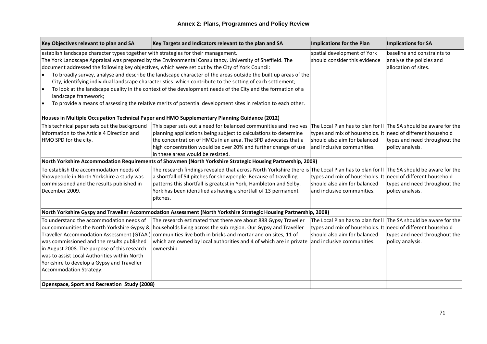| Key Objectives relevant to plan and SA                                                                                                                                                                                                                          | Key Targets and Indicators relevant to the plan and SA                                                                                                                                                                                                                                                                                                                         | Implications for the Plan                                                                                                                                                                     | Implications for SA                               |
|-----------------------------------------------------------------------------------------------------------------------------------------------------------------------------------------------------------------------------------------------------------------|--------------------------------------------------------------------------------------------------------------------------------------------------------------------------------------------------------------------------------------------------------------------------------------------------------------------------------------------------------------------------------|-----------------------------------------------------------------------------------------------------------------------------------------------------------------------------------------------|---------------------------------------------------|
| establish landscape character types together with strategies for their management.                                                                                                                                                                              |                                                                                                                                                                                                                                                                                                                                                                                | spatial development of York                                                                                                                                                                   | baseline and constraints to                       |
|                                                                                                                                                                                                                                                                 | The York Landscape Appraisal was prepared by the Environmental Consultancy, University of Sheffield. The<br>document addressed the following key objectives, which were set out by the City of York Council:                                                                                                                                                                   | should consider this evidence                                                                                                                                                                 | analyse the policies and<br>allocation of sites.  |
|                                                                                                                                                                                                                                                                 | To broadly survey, analyse and describe the landscape character of the areas outside the built up areas of the<br>City, identifying individual landscape characteristics which contribute to the setting of each settlement;                                                                                                                                                   |                                                                                                                                                                                               |                                                   |
| l e<br>landscape framework;                                                                                                                                                                                                                                     | To look at the landscape quality in the context of the development needs of the City and the formation of a                                                                                                                                                                                                                                                                    |                                                                                                                                                                                               |                                                   |
| $\bullet$                                                                                                                                                                                                                                                       | To provide a means of assessing the relative merits of potential development sites in relation to each other.                                                                                                                                                                                                                                                                  |                                                                                                                                                                                               |                                                   |
|                                                                                                                                                                                                                                                                 | Houses in Multiple Occupation Technical Paper and HMO Supplementary Planning Guidance (2012)                                                                                                                                                                                                                                                                                   |                                                                                                                                                                                               |                                                   |
| This technical paper sets out the background<br>information to the Article 4 Direction and<br>HMO SPD for the city.                                                                                                                                             | This paper sets out a need for balanced communities and involves<br>planning applications being subject to calculations to determine<br>the concentration of HMOs in an area. The SPD advocates that a<br>high concentration would be over 20% and further change of use<br>in these areas would be resisted.                                                                  | The Local Plan has to plan for II The SA should be aware for the<br>types and mix of households. It need of different household<br>should also aim for balanced<br>and inclusive communities. | types and need throughout the<br>policy analysis. |
|                                                                                                                                                                                                                                                                 | North Yorkshire Accommodation Requirements of Showmen (North Yorkshire Strategic Housing Partnership, 2009)                                                                                                                                                                                                                                                                    |                                                                                                                                                                                               |                                                   |
| To establish the accommodation needs of<br>Showpeople in North Yorkshire a study was<br>commissioned and the results published in<br>December 2009.                                                                                                             | The research findings revealed that across North Yorkshire there is The Local Plan has to plan for II The SA should be aware for the<br>a shortfall of 54 pitches for showpeople. Because of travelling<br>patterns this shortfall is greatest in York, Hambleton and Selby.<br>York has been identified as having a shortfall of 13 permanent<br>pitches.                     | types and mix of households. It need of different household<br>should also aim for balanced<br>and inclusive communities.                                                                     | types and need throughout the<br>policy analysis. |
|                                                                                                                                                                                                                                                                 | North Yorkshire Gyspy and Traveller Accommodation Assessment (North Yorkshire Strategic Housing Partnership, 2008)                                                                                                                                                                                                                                                             |                                                                                                                                                                                               |                                                   |
| To understand the accommodation needs of<br>was commissioned and the results published<br>in August 2008. The purpose of this research<br>was to assist Local Authorities within North<br>Yorkshire to develop a Gypsy and Traveller<br>Accommodation Strategy. | The research estimated that there are about 888 Gypsy Traveller<br>our communities the North Yorkshire Gypsy & nouseholds living across the sub region. Our Gypsy and Traveller<br>Traveller Accommodation Assessment (GTAA) communities live both in bricks and mortar and on sites, 11 of<br>which are owned by local authorities and 4 of which are in private<br>ownership | The Local Plan has to plan for II The SA should be aware for the<br>types and mix of households. It need of different household<br>should also aim for balanced<br>and inclusive communities. | types and need throughout the<br>policy analysis. |
| Openspace, Sport and Recreation Study (2008)                                                                                                                                                                                                                    |                                                                                                                                                                                                                                                                                                                                                                                |                                                                                                                                                                                               |                                                   |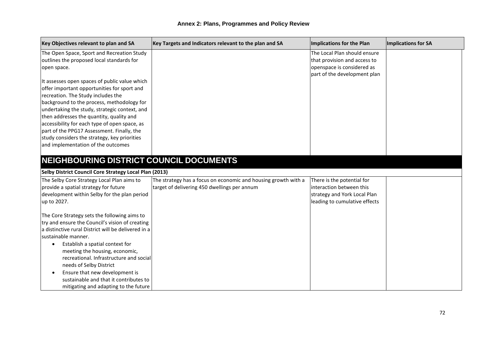| Key Objectives relevant to plan and SA                 | Key Targets and Indicators relevant to the plan and SA         | Implications for the Plan                                  | Implications for SA |
|--------------------------------------------------------|----------------------------------------------------------------|------------------------------------------------------------|---------------------|
| The Open Space, Sport and Recreation Study             |                                                                | The Local Plan should ensure                               |                     |
| outlines the proposed local standards for              |                                                                | that provision and access to                               |                     |
| open space.                                            |                                                                | openspace is considered as<br>part of the development plan |                     |
| It assesses open spaces of public value which          |                                                                |                                                            |                     |
| offer important opportunities for sport and            |                                                                |                                                            |                     |
| recreation. The Study includes the                     |                                                                |                                                            |                     |
| background to the process, methodology for             |                                                                |                                                            |                     |
| undertaking the study, strategic context, and          |                                                                |                                                            |                     |
| then addresses the quantity, quality and               |                                                                |                                                            |                     |
| accessibility for each type of open space, as          |                                                                |                                                            |                     |
| part of the PPG17 Assessment. Finally, the             |                                                                |                                                            |                     |
| study considers the strategy, key priorities           |                                                                |                                                            |                     |
| and implementation of the outcomes                     |                                                                |                                                            |                     |
|                                                        |                                                                |                                                            |                     |
| NEIGHBOURING DISTRICT COUNCIL DOCUMENTS                |                                                                |                                                            |                     |
| Selby District Council Core Strategy Local Plan (2013) |                                                                |                                                            |                     |
| The Selby Core Strategy Local Plan aims to             | The strategy has a focus on economic and housing growth with a | There is the potential for                                 |                     |
| provide a spatial strategy for future                  | target of delivering 450 dwellings per annum                   | interaction between this                                   |                     |
| development within Selby for the plan period           |                                                                | strategy and York Local Plan                               |                     |
| up to 2027.                                            |                                                                | leading to cumulative effects                              |                     |
| The Core Strategy sets the following aims to           |                                                                |                                                            |                     |
| try and ensure the Council's vision of creating        |                                                                |                                                            |                     |
| a distinctive rural District will be delivered in a    |                                                                |                                                            |                     |
| sustainable manner.                                    |                                                                |                                                            |                     |
| Establish a spatial context for<br>$\bullet$           |                                                                |                                                            |                     |
| meeting the housing, economic,                         |                                                                |                                                            |                     |
| recreational. Infrastructure and social                |                                                                |                                                            |                     |
| needs of Selby District                                |                                                                |                                                            |                     |
| Ensure that new development is<br>$\bullet$            |                                                                |                                                            |                     |
| sustainable and that it contributes to                 |                                                                |                                                            |                     |
| mitigating and adapting to the future                  |                                                                |                                                            |                     |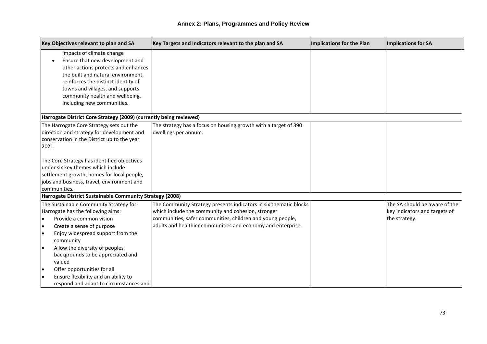| Key Objectives relevant to plan and SA                                                                                                                                                                                                                                                                                                                                                                                       | Key Targets and Indicators relevant to the plan and SA                                                                                                                                                                                                | <b>Implications for the Plan</b> | Implications for SA                                                             |
|------------------------------------------------------------------------------------------------------------------------------------------------------------------------------------------------------------------------------------------------------------------------------------------------------------------------------------------------------------------------------------------------------------------------------|-------------------------------------------------------------------------------------------------------------------------------------------------------------------------------------------------------------------------------------------------------|----------------------------------|---------------------------------------------------------------------------------|
| impacts of climate change<br>Ensure that new development and<br>$\bullet$<br>other actions protects and enhances<br>the built and natural environment,<br>reinforces the distinct identity of<br>towns and villages, and supports<br>community health and wellbeing.<br>Including new communities.                                                                                                                           |                                                                                                                                                                                                                                                       |                                  |                                                                                 |
| Harrogate District Core Strategy (2009) (currently being reviewed)                                                                                                                                                                                                                                                                                                                                                           |                                                                                                                                                                                                                                                       |                                  |                                                                                 |
| The Harrogate Core Strategy sets out the<br>direction and strategy for development and<br>conservation in the District up to the year<br>2021.<br>The Core Strategy has identified objectives<br>under six key themes which include<br>settlement growth, homes for local people,<br>jobs and business, travel, environment and<br>communities.                                                                              | The strategy has a focus on housing growth with a target of 390<br>dwellings per annum.                                                                                                                                                               |                                  |                                                                                 |
| Harrogate District Sustainable Community Strategy (2008)                                                                                                                                                                                                                                                                                                                                                                     |                                                                                                                                                                                                                                                       |                                  |                                                                                 |
| The Sustainable Community Strategy for<br>Harrogate has the following aims:<br>Provide a common vision<br>$\bullet$<br>Create a sense of purpose<br>I۰<br>Enjoy widespread support from the<br>I۰<br>community<br>Allow the diversity of peoples<br>I۰<br>backgrounds to be appreciated and<br>valued<br>Offer opportunities for all<br>I۰<br>Ensure flexibility and an ability to<br>respond and adapt to circumstances and | The Community Strategy presents indicators in six thematic blocks<br>which include the community and cohesion, stronger<br>communities, safer communities, children and young people,<br>adults and healthier communities and economy and enterprise. |                                  | The SA should be aware of the<br>key indicators and targets of<br>the strategy. |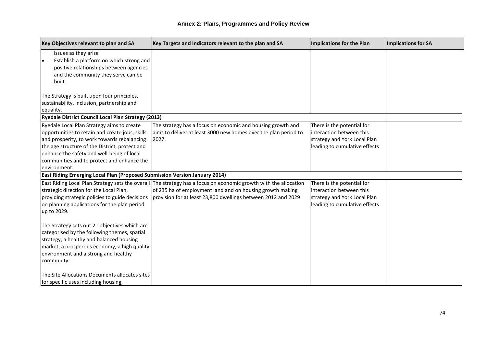| Key Objectives relevant to plan and SA                                                                                                                                                                                                                                                                     | Key Targets and Indicators relevant to the plan and SA                                                                                                                                                                                         | Implications for the Plan                                                                                               | Implications for SA |  |  |
|------------------------------------------------------------------------------------------------------------------------------------------------------------------------------------------------------------------------------------------------------------------------------------------------------------|------------------------------------------------------------------------------------------------------------------------------------------------------------------------------------------------------------------------------------------------|-------------------------------------------------------------------------------------------------------------------------|---------------------|--|--|
| issues as they arise<br>Establish a platform on which strong and<br>positive relationships between agencies<br>and the community they serve can be<br>built.<br>The Strategy is built upon four principles,                                                                                                |                                                                                                                                                                                                                                                |                                                                                                                         |                     |  |  |
| sustainability, inclusion, partnership and<br>equality.                                                                                                                                                                                                                                                    |                                                                                                                                                                                                                                                |                                                                                                                         |                     |  |  |
| Ryedale District Council Local Plan Strategy (2013)                                                                                                                                                                                                                                                        |                                                                                                                                                                                                                                                |                                                                                                                         |                     |  |  |
| Ryedale Local Plan Strategy aims to create<br>opportunities to retain and create jobs, skills<br>and prosperity, to work towards rebalancing<br>the age structure of the District, protect and<br>enhance the safety and well-being of local<br>communities and to protect and enhance the<br>environment. | The strategy has a focus on economic and housing growth and<br>aims to deliver at least 3000 new homes over the plan period to<br>2027.                                                                                                        | There is the potential for<br>interaction between this<br>strategy and York Local Plan<br>leading to cumulative effects |                     |  |  |
|                                                                                                                                                                                                                                                                                                            | East Riding Emerging Local Plan (Proposed Submission Version January 2014)                                                                                                                                                                     |                                                                                                                         |                     |  |  |
| strategic direction for the Local Plan,<br>providing strategic policies to guide decisions<br>on planning applications for the plan period<br>up to 2029.                                                                                                                                                  | East Riding Local Plan Strategy sets the overall The strategy has a focus on economic growth with the allocation<br>of 235 ha of employment land and on housing growth making<br>provision for at least 23,800 dwellings between 2012 and 2029 | There is the potential for<br>interaction between this<br>strategy and York Local Plan<br>leading to cumulative effects |                     |  |  |
| The Strategy sets out 21 objectives which are<br>categorised by the following themes, spatial<br>strategy, a healthy and balanced housing<br>market, a prosperous economy, a high quality<br>environment and a strong and healthy<br>community.                                                            |                                                                                                                                                                                                                                                |                                                                                                                         |                     |  |  |
| The Site Allocations Documents allocates sites<br>for specific uses including housing,                                                                                                                                                                                                                     |                                                                                                                                                                                                                                                |                                                                                                                         |                     |  |  |